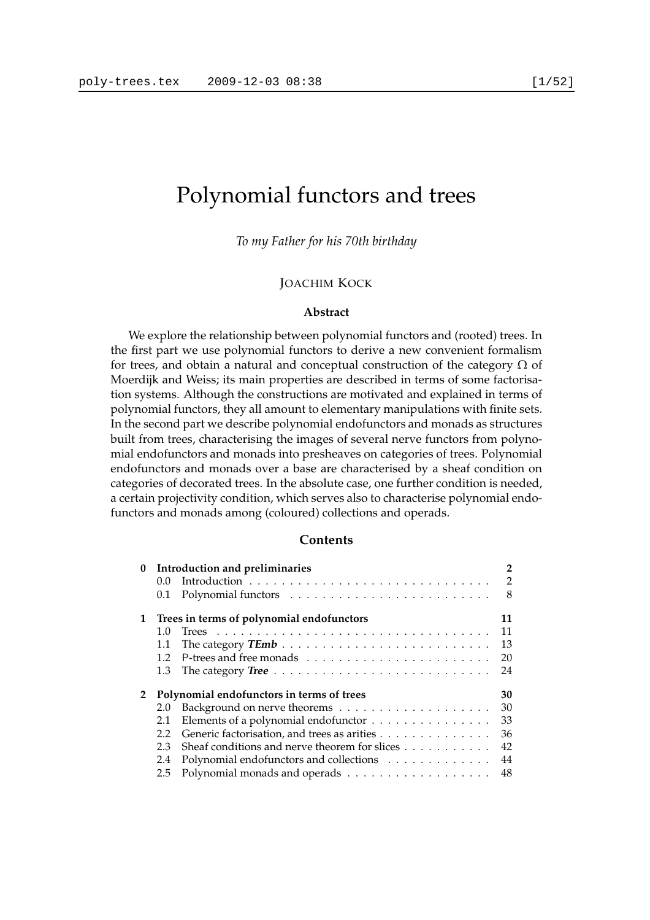# Polynomial functors and trees

*To my Father for his 70th birthday*

#### JOACHIM KOCK

#### **Abstract**

We explore the relationship between polynomial functors and (rooted) trees. In the first part we use polynomial functors to derive a new convenient formalism for trees, and obtain a natural and conceptual construction of the category  $\Omega$  of Moerdijk and Weiss; its main properties are described in terms of some factorisation systems. Although the constructions are motivated and explained in terms of polynomial functors, they all amount to elementary manipulations with finite sets. In the second part we describe polynomial endofunctors and monads as structures built from trees, characterising the images of several nerve functors from polynomial endofunctors and monads into presheaves on categories of trees. Polynomial endofunctors and monads over a base are characterised by a sheaf condition on categories of decorated trees. In the absolute case, one further condition is needed, a certain projectivity condition, which serves also to characterise polynomial endofunctors and monads among (coloured) collections and operads.

#### **Contents**

| $\bf{0}$     | $0.0^{\circ}$<br>0.1                      | Introduction and preliminaries                                                  | 2<br>$\overline{2}$<br>8 |
|--------------|-------------------------------------------|---------------------------------------------------------------------------------|--------------------------|
| $\mathbf{1}$ | Trees in terms of polynomial endofunctors |                                                                                 | 11                       |
|              | 1.0                                       |                                                                                 | 11                       |
|              | 1.1                                       |                                                                                 | 13                       |
|              | 1.2                                       |                                                                                 | 20                       |
|              | 1.3                                       | The category Tree $\dots \dots \dots \dots \dots \dots \dots \dots \dots \dots$ | 24                       |
| $\mathbf{2}$ | Polynomial endofunctors in terms of trees |                                                                                 | 30                       |
|              | 2.0                                       |                                                                                 | 30                       |
|              | 2.1                                       | Elements of a polynomial endofunctor                                            | 33                       |
|              | 2.2                                       | Generic factorisation, and trees as arities                                     | 36                       |
|              | 2.3                                       | Sheaf conditions and nerve theorem for slices                                   | 42                       |
|              | 2.4                                       | Polynomial endofunctors and collections                                         | 44                       |
|              | 2.5                                       |                                                                                 | 48                       |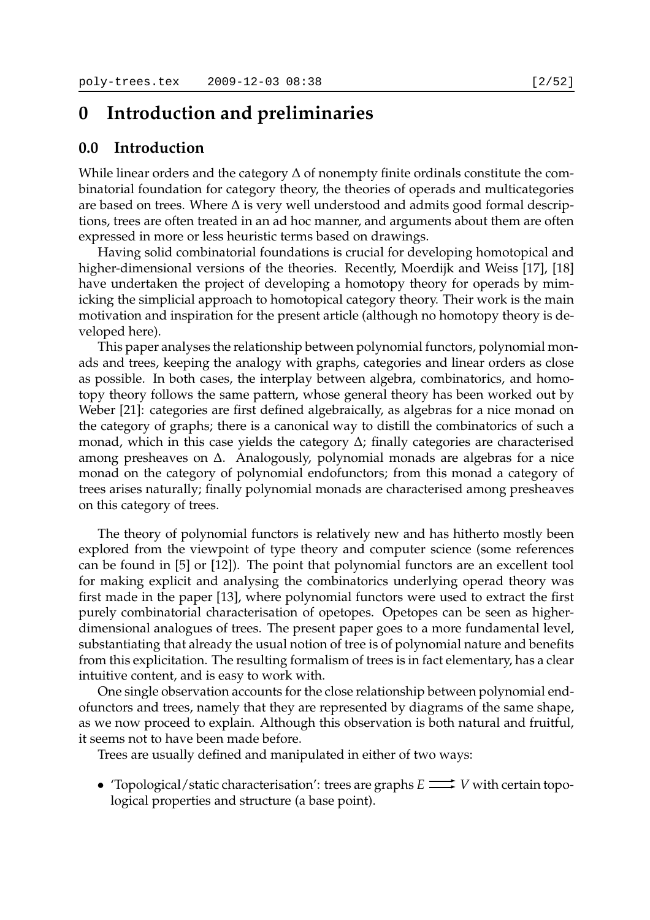## **0 Introduction and preliminaries**

## **0.0 Introduction**

While linear orders and the category  $\Delta$  of nonempty finite ordinals constitute the combinatorial foundation for category theory, the theories of operads and multicategories are based on trees. Where ∆ is very well understood and admits good formal descriptions, trees are often treated in an ad hoc manner, and arguments about them are often expressed in more or less heuristic terms based on drawings.

Having solid combinatorial foundations is crucial for developing homotopical and higher-dimensional versions of the theories. Recently, Moerdijk and Weiss [17], [18] have undertaken the project of developing a homotopy theory for operads by mimicking the simplicial approach to homotopical category theory. Their work is the main motivation and inspiration for the present article (although no homotopy theory is developed here).

This paper analyses the relationship between polynomial functors, polynomial monads and trees, keeping the analogy with graphs, categories and linear orders as close as possible. In both cases, the interplay between algebra, combinatorics, and homotopy theory follows the same pattern, whose general theory has been worked out by Weber [21]: categories are first defined algebraically, as algebras for a nice monad on the category of graphs; there is a canonical way to distill the combinatorics of such a monad, which in this case yields the category ∆; finally categories are characterised among presheaves on ∆. Analogously, polynomial monads are algebras for a nice monad on the category of polynomial endofunctors; from this monad a category of trees arises naturally; finally polynomial monads are characterised among presheaves on this category of trees.

The theory of polynomial functors is relatively new and has hitherto mostly been explored from the viewpoint of type theory and computer science (some references can be found in [5] or [12]). The point that polynomial functors are an excellent tool for making explicit and analysing the combinatorics underlying operad theory was first made in the paper [13], where polynomial functors were used to extract the first purely combinatorial characterisation of opetopes. Opetopes can be seen as higherdimensional analogues of trees. The present paper goes to a more fundamental level, substantiating that already the usual notion of tree is of polynomial nature and benefits from this explicitation. The resulting formalism of trees is in fact elementary, has a clear intuitive content, and is easy to work with.

One single observation accounts for the close relationship between polynomial endofunctors and trees, namely that they are represented by diagrams of the same shape, as we now proceed to explain. Although this observation is both natural and fruitful, it seems not to have been made before.

Trees are usually defined and manipulated in either of two ways:

• 'Topological/static characterisation': trees are graphs  $E \longrightarrow V$  with certain topological properties and structure (a base point).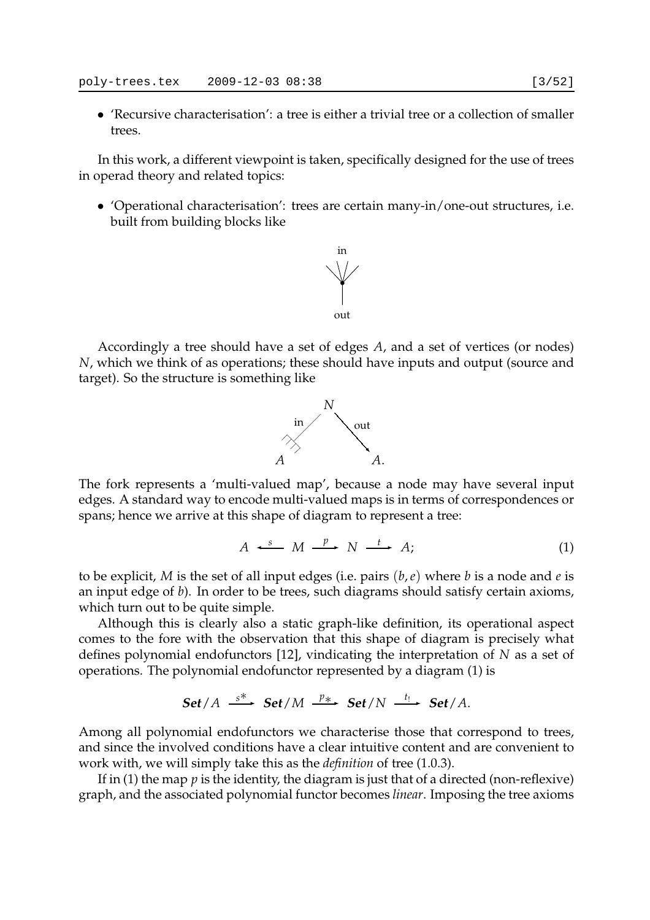• 'Recursive characterisation': a tree is either a trivial tree or a collection of smaller trees.

In this work, a different viewpoint is taken, specifically designed for the use of trees in operad theory and related topics:

• 'Operational characterisation': trees are certain many-in/one-out structures, i.e. built from building blocks like



Accordingly a tree should have a set of edges *A*, and a set of vertices (or nodes) *N*, which we think of as operations; these should have inputs and output (source and target). So the structure is something like



The fork represents a 'multi-valued map', because a node may have several input edges. A standard way to encode multi-valued maps is in terms of correspondences or spans; hence we arrive at this shape of diagram to represent a tree:

$$
A \xrightarrow{s} M \xrightarrow{p} N \xrightarrow{t} A;
$$
 (1)

to be explicit, *M* is the set of all input edges (i.e. pairs (*b*,*e*) where *b* is a node and *e* is an input edge of *b*). In order to be trees, such diagrams should satisfy certain axioms, which turn out to be quite simple.

Although this is clearly also a static graph-like definition, its operational aspect comes to the fore with the observation that this shape of diagram is precisely what defines polynomial endofunctors [12], vindicating the interpretation of *N* as a set of operations. The polynomial endofunctor represented by a diagram (1) is

Set/A 
$$
\xrightarrow{s^*}
$$
 Set/M  $\xrightarrow{p_*}$  Set/N  $\xrightarrow{t_!}$  Set/A.

Among all polynomial endofunctors we characterise those that correspond to trees, and since the involved conditions have a clear intuitive content and are convenient to work with, we will simply take this as the *definition* of tree (1.0.3).

If in (1) the map *p* is the identity, the diagram is just that of a directed (non-reflexive) graph, and the associated polynomial functor becomes *linear*. Imposing the tree axioms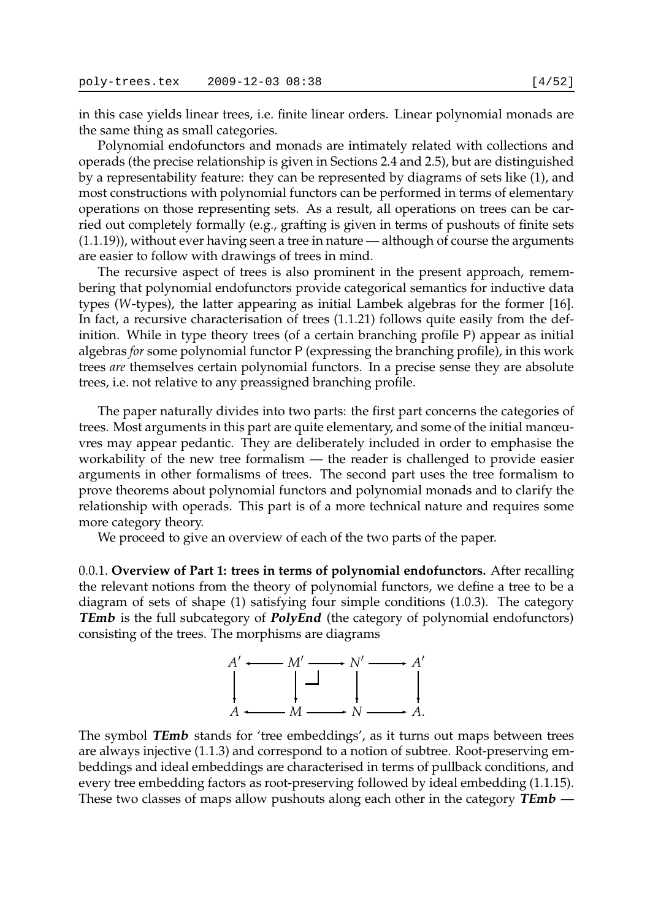in this case yields linear trees, i.e. finite linear orders. Linear polynomial monads are the same thing as small categories.

Polynomial endofunctors and monads are intimately related with collections and operads (the precise relationship is given in Sections 2.4 and 2.5), but are distinguished by a representability feature: they can be represented by diagrams of sets like (1), and most constructions with polynomial functors can be performed in terms of elementary operations on those representing sets. As a result, all operations on trees can be carried out completely formally (e.g., grafting is given in terms of pushouts of finite sets (1.1.19)), without ever having seen a tree in nature — although of course the arguments are easier to follow with drawings of trees in mind.

The recursive aspect of trees is also prominent in the present approach, remembering that polynomial endofunctors provide categorical semantics for inductive data types (*W*-types), the latter appearing as initial Lambek algebras for the former [16]. In fact, a recursive characterisation of trees (1.1.21) follows quite easily from the definition. While in type theory trees (of a certain branching profile P) appear as initial algebras *for* some polynomial functor P (expressing the branching profile), in this work trees *are* themselves certain polynomial functors. In a precise sense they are absolute trees, i.e. not relative to any preassigned branching profile.

The paper naturally divides into two parts: the first part concerns the categories of trees. Most arguments in this part are quite elementary, and some of the initial manœuvres may appear pedantic. They are deliberately included in order to emphasise the workability of the new tree formalism — the reader is challenged to provide easier arguments in other formalisms of trees. The second part uses the tree formalism to prove theorems about polynomial functors and polynomial monads and to clarify the relationship with operads. This part is of a more technical nature and requires some more category theory.

We proceed to give an overview of each of the two parts of the paper.

0.0.1. **Overview of Part 1: trees in terms of polynomial endofunctors.** After recalling the relevant notions from the theory of polynomial functors, we define a tree to be a diagram of sets of shape (1) satisfying four simple conditions (1.0.3). The category **TEmb** is the full subcategory of **PolyEnd** (the category of polynomial endofunctors) consisting of the trees. The morphisms are diagrams



The symbol **TEmb** stands for 'tree embeddings', as it turns out maps between trees are always injective (1.1.3) and correspond to a notion of subtree. Root-preserving embeddings and ideal embeddings are characterised in terms of pullback conditions, and every tree embedding factors as root-preserving followed by ideal embedding (1.1.15). These two classes of maps allow pushouts along each other in the category **TEmb** —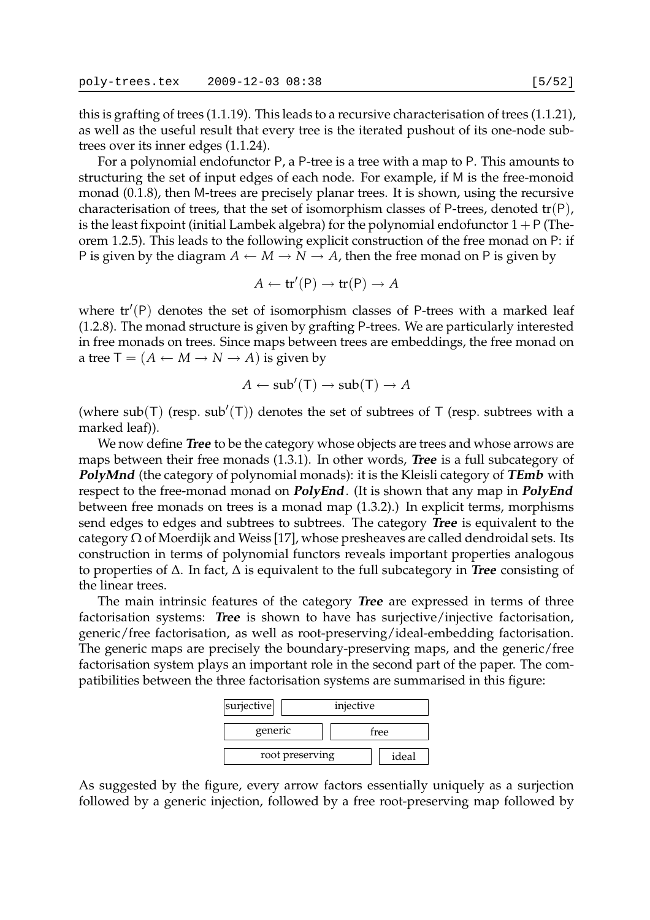this is grafting of trees (1.1.19). This leads to a recursive characterisation of trees (1.1.21), as well as the useful result that every tree is the iterated pushout of its one-node subtrees over its inner edges (1.1.24).

For a polynomial endofunctor P, a P-tree is a tree with a map to P. This amounts to structuring the set of input edges of each node. For example, if M is the free-monoid monad (0.1.8), then M-trees are precisely planar trees. It is shown, using the recursive characterisation of trees, that the set of isomorphism classes of P-trees, denoted  $tr(P)$ , is the least fixpoint (initial Lambek algebra) for the polynomial endofunctor  $1 + P$  (Theorem 1.2.5). This leads to the following explicit construction of the free monad on P: if P is given by the diagram  $A \leftarrow M \rightarrow N \rightarrow A$ , then the free monad on P is given by

$$
A \leftarrow \mathsf{tr}'(\mathsf{P}) \rightarrow \mathsf{tr}(\mathsf{P}) \rightarrow A
$$

where  $tr'(P)$  denotes the set of isomorphism classes of P-trees with a marked leaf (1.2.8). The monad structure is given by grafting P-trees. We are particularly interested in free monads on trees. Since maps between trees are embeddings, the free monad on a tree  $T = (A \leftarrow M \rightarrow N \rightarrow A)$  is given by

$$
A \leftarrow sub'(\mathsf{T}) \rightarrow sub(\mathsf{T}) \rightarrow A
$$

(where sub(T) (resp. sub'(T)) denotes the set of subtrees of T (resp. subtrees with a marked leaf)).

We now define **Tree** to be the category whose objects are trees and whose arrows are maps between their free monads (1.3.1). In other words, **Tree** is a full subcategory of **PolyMnd** (the category of polynomial monads): it is the Kleisli category of **TEmb** with respect to the free-monad monad on **PolyEnd**. (It is shown that any map in **PolyEnd** between free monads on trees is a monad map (1.3.2).) In explicit terms, morphisms send edges to edges and subtrees to subtrees. The category **Tree** is equivalent to the category  $\Omega$  of Moerdijk and Weiss [17], whose presheaves are called dendroidal sets. Its construction in terms of polynomial functors reveals important properties analogous to properties of ∆. In fact, ∆ is equivalent to the full subcategory in **Tree** consisting of the linear trees.

The main intrinsic features of the category **Tree** are expressed in terms of three factorisation systems: **Tree** is shown to have has surjective/injective factorisation, generic/free factorisation, as well as root-preserving/ideal-embedding factorisation. The generic maps are precisely the boundary-preserving maps, and the generic/free factorisation system plays an important role in the second part of the paper. The compatibilities between the three factorisation systems are summarised in this figure:



As suggested by the figure, every arrow factors essentially uniquely as a surjection followed by a generic injection, followed by a free root-preserving map followed by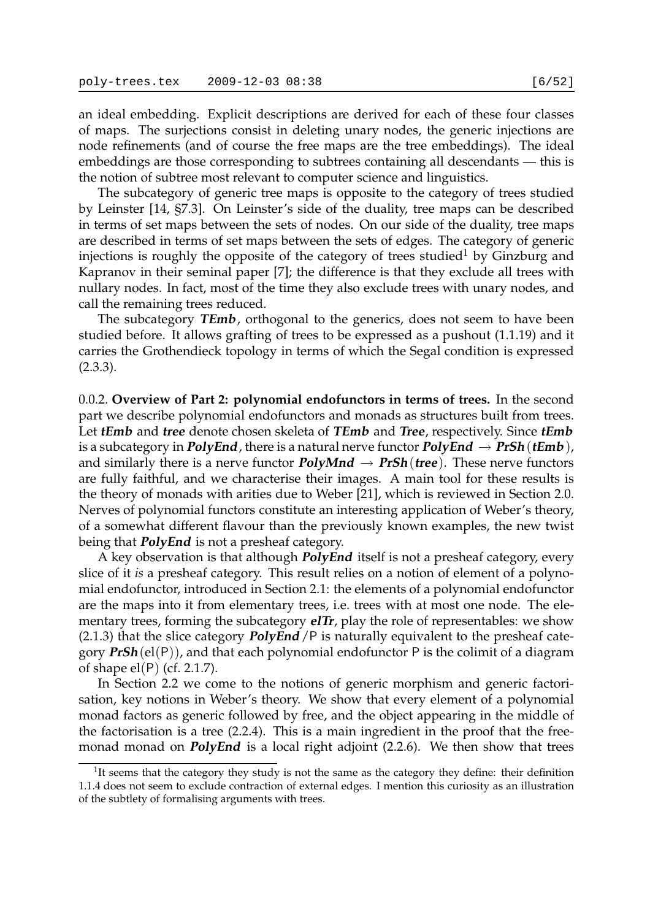an ideal embedding. Explicit descriptions are derived for each of these four classes of maps. The surjections consist in deleting unary nodes, the generic injections are node refinements (and of course the free maps are the tree embeddings). The ideal embeddings are those corresponding to subtrees containing all descendants — this is the notion of subtree most relevant to computer science and linguistics.

The subcategory of generic tree maps is opposite to the category of trees studied by Leinster [14, §7.3]. On Leinster's side of the duality, tree maps can be described in terms of set maps between the sets of nodes. On our side of the duality, tree maps are described in terms of set maps between the sets of edges. The category of generic injections is roughly the opposite of the category of trees studied<sup>1</sup> by Ginzburg and Kapranov in their seminal paper [7]; the difference is that they exclude all trees with nullary nodes. In fact, most of the time they also exclude trees with unary nodes, and call the remaining trees reduced.

The subcategory **TEmb**, orthogonal to the generics, does not seem to have been studied before. It allows grafting of trees to be expressed as a pushout (1.1.19) and it carries the Grothendieck topology in terms of which the Segal condition is expressed (2.3.3).

0.0.2. **Overview of Part 2: polynomial endofunctors in terms of trees.** In the second part we describe polynomial endofunctors and monads as structures built from trees. Let **tEmb** and **tree** denote chosen skeleta of **TEmb** and **Tree**, respectively. Since **tEmb** is a subcategory in **PolyEnd**, there is a natural nerve functor **PolyEnd**  $\rightarrow$  **PrSh**(**tEmb**), and similarly there is a nerve functor  $PolyMnd \rightarrow PrSh(tree)$ . These nerve functors are fully faithful, and we characterise their images. A main tool for these results is the theory of monads with arities due to Weber [21], which is reviewed in Section 2.0. Nerves of polynomial functors constitute an interesting application of Weber's theory, of a somewhat different flavour than the previously known examples, the new twist being that **PolyEnd** is not a presheaf category.

A key observation is that although **PolyEnd** itself is not a presheaf category, every slice of it *is* a presheaf category. This result relies on a notion of element of a polynomial endofunctor, introduced in Section 2.1: the elements of a polynomial endofunctor are the maps into it from elementary trees, i.e. trees with at most one node. The elementary trees, forming the subcategory **elTr**, play the role of representables: we show (2.1.3) that the slice category **PolyEnd**/P is naturally equivalent to the presheaf category **PrSh**(el(P)), and that each polynomial endofunctor P is the colimit of a diagram of shape el(P) (cf. 2.1.7).

In Section 2.2 we come to the notions of generic morphism and generic factorisation, key notions in Weber's theory. We show that every element of a polynomial monad factors as generic followed by free, and the object appearing in the middle of the factorisation is a tree (2.2.4). This is a main ingredient in the proof that the freemonad monad on **PolyEnd** is a local right adjoint (2.2.6). We then show that trees

<sup>&</sup>lt;sup>1</sup>It seems that the category they study is not the same as the category they define: their definition 1.1.4 does not seem to exclude contraction of external edges. I mention this curiosity as an illustration of the subtlety of formalising arguments with trees.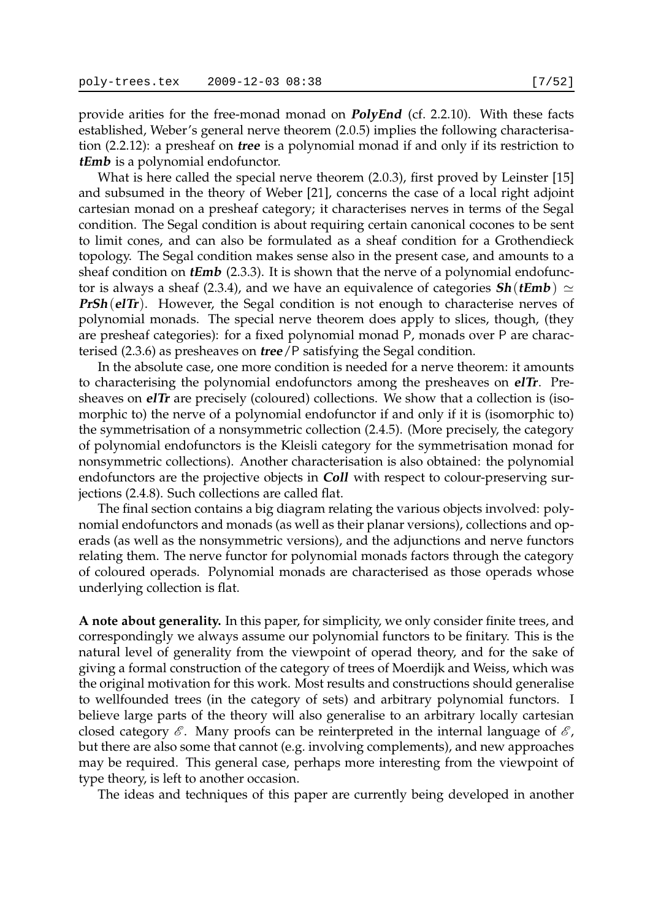provide arities for the free-monad monad on **PolyEnd** (cf. 2.2.10). With these facts established, Weber's general nerve theorem (2.0.5) implies the following characterisation (2.2.12): a presheaf on **tree** is a polynomial monad if and only if its restriction to **tEmb** is a polynomial endofunctor.

What is here called the special nerve theorem (2.0.3), first proved by Leinster [15] and subsumed in the theory of Weber [21], concerns the case of a local right adjoint cartesian monad on a presheaf category; it characterises nerves in terms of the Segal condition. The Segal condition is about requiring certain canonical cocones to be sent to limit cones, and can also be formulated as a sheaf condition for a Grothendieck topology. The Segal condition makes sense also in the present case, and amounts to a sheaf condition on **tEmb** (2.3.3). It is shown that the nerve of a polynomial endofunctor is always a sheaf (2.3.4), and we have an equivalence of categories **Sh**(*tEmb*)  $\simeq$ **PrSh**(elTr). However, the Segal condition is not enough to characterise nerves of polynomial monads. The special nerve theorem does apply to slices, though, (they are presheaf categories): for a fixed polynomial monad P, monads over P are characterised (2.3.6) as presheaves on **tree**/P satisfying the Segal condition.

In the absolute case, one more condition is needed for a nerve theorem: it amounts to characterising the polynomial endofunctors among the presheaves on **elTr**. Presheaves on **elTr** are precisely (coloured) collections. We show that a collection is (isomorphic to) the nerve of a polynomial endofunctor if and only if it is (isomorphic to) the symmetrisation of a nonsymmetric collection (2.4.5). (More precisely, the category of polynomial endofunctors is the Kleisli category for the symmetrisation monad for nonsymmetric collections). Another characterisation is also obtained: the polynomial endofunctors are the projective objects in **Coll** with respect to colour-preserving surjections (2.4.8). Such collections are called flat.

The final section contains a big diagram relating the various objects involved: polynomial endofunctors and monads (as well as their planar versions), collections and operads (as well as the nonsymmetric versions), and the adjunctions and nerve functors relating them. The nerve functor for polynomial monads factors through the category of coloured operads. Polynomial monads are characterised as those operads whose underlying collection is flat.

**A note about generality.** In this paper, for simplicity, we only consider finite trees, and correspondingly we always assume our polynomial functors to be finitary. This is the natural level of generality from the viewpoint of operad theory, and for the sake of giving a formal construction of the category of trees of Moerdijk and Weiss, which was the original motivation for this work. Most results and constructions should generalise to wellfounded trees (in the category of sets) and arbitrary polynomial functors. I believe large parts of the theory will also generalise to an arbitrary locally cartesian closed category  $\mathscr E$ . Many proofs can be reinterpreted in the internal language of  $\mathscr E$ , but there are also some that cannot (e.g. involving complements), and new approaches may be required. This general case, perhaps more interesting from the viewpoint of type theory, is left to another occasion.

The ideas and techniques of this paper are currently being developed in another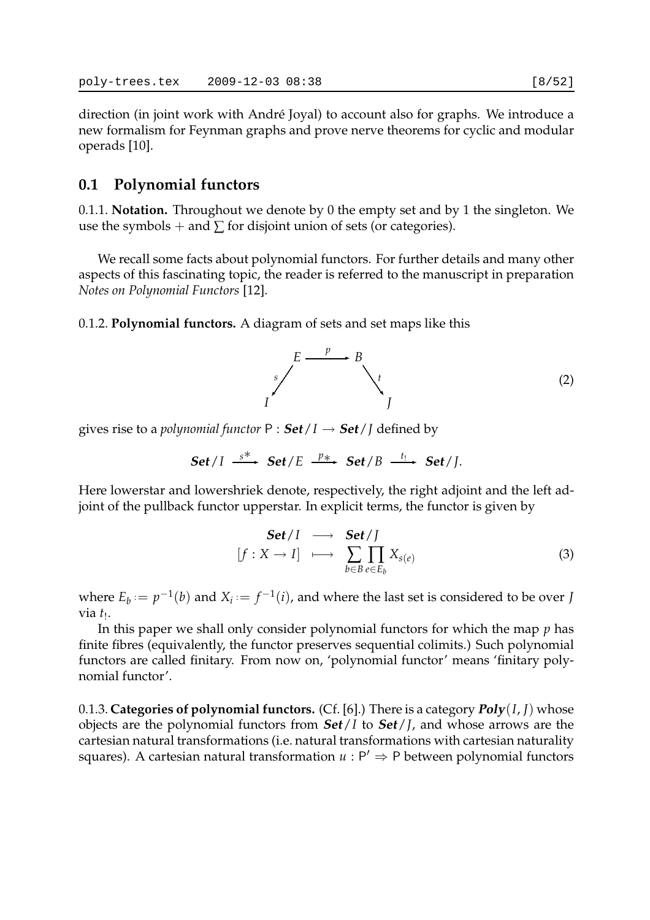direction (in joint work with André Joyal) to account also for graphs. We introduce a new formalism for Feynman graphs and prove nerve theorems for cyclic and modular operads [10].

## **0.1 Polynomial functors**

0.1.1. **Notation.** Throughout we denote by 0 the empty set and by 1 the singleton. We use the symbols + and  $\sum$  for disjoint union of sets (or categories).

We recall some facts about polynomial functors. For further details and many other aspects of this fascinating topic, the reader is referred to the manuscript in preparation *Notes on Polynomial Functors* [12].

0.1.2. **Polynomial functors.** A diagram of sets and set maps like this

$$
\sum_{I}^{E} \xrightarrow{p} B
$$
 (2)

gives rise to a *polynomial functor*  $P : Set / I \rightarrow Set / J$  defined by

Set/
$$
I \xrightarrow{s^*}
$$
 Set/ $E \xrightarrow{p_{*}}$ Set/ $B \xrightarrow{t_!}$  Set/ $J$ .

Here lowerstar and lowershriek denote, respectively, the right adjoint and the left adjoint of the pullback functor upperstar. In explicit terms, the functor is given by

$$
\begin{array}{ccc}\n\mathbf{Set}/I & \longrightarrow & \mathbf{Set}/J \\
[f : X \to I] & \longmapsto & \sum_{b \in B} \prod_{e \in E_b} X_{s(e)}\n\end{array}
$$
\n(3)

where  $E_b := p^{-1}(b)$  and  $X_i := f^{-1}(i)$ , and where the last set is considered to be over *J* via *t*<sub>!</sub>.

In this paper we shall only consider polynomial functors for which the map *p* has finite fibres (equivalently, the functor preserves sequential colimits.) Such polynomial functors are called finitary. From now on, 'polynomial functor' means 'finitary polynomial functor'.

0.1.3. **Categories of polynomial functors.** (Cf. [6].) There is a category **Poly**(*I*, *J*) whose objects are the polynomial functors from **Set**/*I* to **Set**/*J*, and whose arrows are the cartesian natural transformations (i.e. natural transformations with cartesian naturality squares). A cartesian natural transformation  $u : P' \Rightarrow P$  between polynomial functors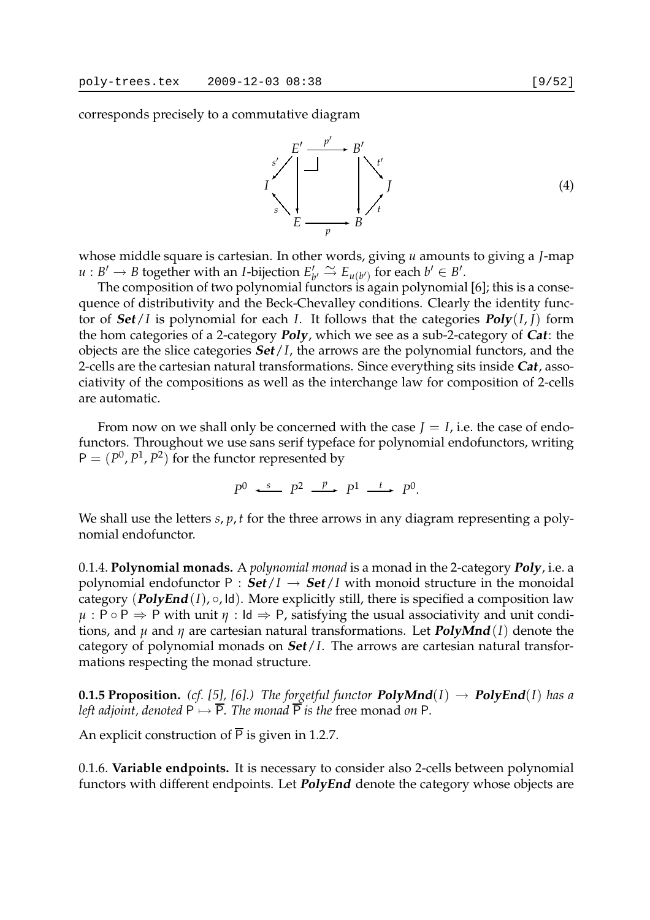corresponds precisely to a commutative diagram



whose middle square is cartesian. In other words, giving *u* amounts to giving a *J*-map  $u : B' \to B$  together with an *I*-bijection  $E'_k$  $\mu_b' \stackrel{\sim}{\rightarrow} E_{u(b')}$  for each  $b' \in B'$ .

The composition of two polynomial functors is again polynomial [6]; this is a consequence of distributivity and the Beck-Chevalley conditions. Clearly the identity functor of  $Set/I$  is polynomial for each *I*. It follows that the categories  $Poly(I, I)$  form the hom categories of a 2-category **Poly**, which we see as a sub-2-category of **Cat**: the objects are the slice categories **Set**/*I*, the arrows are the polynomial functors, and the 2-cells are the cartesian natural transformations. Since everything sits inside **Cat**, associativity of the compositions as well as the interchange law for composition of 2-cells are automatic.

From now on we shall only be concerned with the case  $J = I$ , i.e. the case of endofunctors. Throughout we use sans serif typeface for polynomial endofunctors, writing  $P = (P^0, P^1, P^2)$  for the functor represented by

 $P^0 \xrightarrow{s} P^2 \xrightarrow{p} P^1 \xrightarrow{t} P^0$ .

We shall use the letters *s*, *p*, *t* for the three arrows in any diagram representing a polynomial endofunctor.

0.1.4. **Polynomial monads.** A *polynomial monad* is a monad in the 2-category **Poly**, i.e. a polynomial endofunctor P :  $\text{Set}/I \rightarrow \text{Set}/I$  with monoid structure in the monoidal category  $(\text{PolyEnd}(I), \circ, \text{Id})$ . More explicitly still, there is specified a composition law  $\mu$ : P  $\circ$  P  $\Rightarrow$  P with unit  $\eta$  : Id  $\Rightarrow$  P, satisfying the usual associativity and unit conditions, and *µ* and *η* are cartesian natural transformations. Let **PolyMnd**(*I*) denote the category of polynomial monads on **Set**/*I*. The arrows are cartesian natural transformations respecting the monad structure.

**0.1.5 Proposition.** *(cf.* [5], [6].) The forgetful functor  $\text{PolyMnd}(I) \rightarrow \text{PolyEnd}(I)$  has a *left adjoint, denoted*  $P \mapsto \overline{P}$ *. The monad*  $\overline{P}$  *is the free monad on* P*.* 

An explicit construction of  $\overline{P}$  is given in 1.2.7.

0.1.6. **Variable endpoints.** It is necessary to consider also 2-cells between polynomial functors with different endpoints. Let **PolyEnd** denote the category whose objects are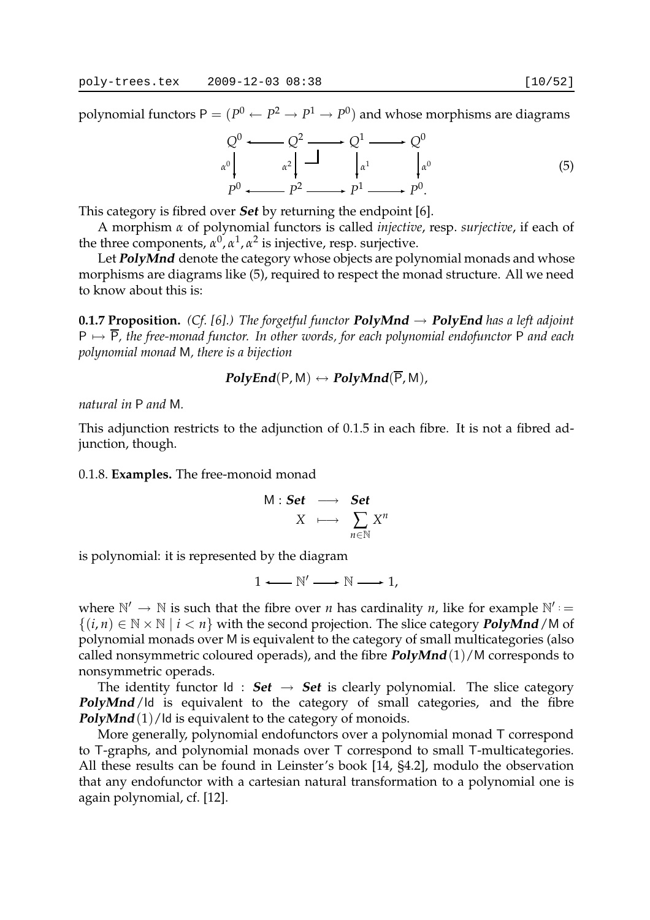polynomial functors  $\mathsf{P}=(P^0 \leftarrow P^2 \rightarrow P^1 \rightarrow P^0)$  and whose morphisms are diagrams

$$
Q^{0} \longrightarrow Q^{2} \longrightarrow Q^{1} \longrightarrow Q^{0}
$$
  
\n
$$
\begin{array}{c} \alpha^{0} \\ \downarrow \alpha^{1} \end{array} \qquad \begin{array}{c} Q^{1} \\ \downarrow \alpha^{1} \end{array} \qquad \begin{array}{c} Q^{0} \\ \downarrow \alpha^{0} \end{array}
$$
\n
$$
P^{0} \longrightarrow P^{2} \longrightarrow P^{1} \longrightarrow P^{0}.
$$
\n
$$
(5)
$$

This category is fibred over **Set** by returning the endpoint [6].

A morphism *α* of polynomial functors is called *injective*, resp. *surjective*, if each of the three components,  $\alpha^0$ ,  $\alpha^1$ ,  $\alpha^2$  is injective, resp. surjective.

Let **PolyMnd** denote the category whose objects are polynomial monads and whose morphisms are diagrams like (5), required to respect the monad structure. All we need to know about this is:

**0.1.7 Proposition.** *(Cf.* [6].) The forgetful functor **PolyMnd**  $\rightarrow$  **PolyEnd** has a left adjoint P 7→ P*, the free-monad functor. In other words, for each polynomial endofunctor* P *and each polynomial monad* M*, there is a bijection*

$$
PolyEnd(P,M) \leftrightarrow PolyMnd(\overline{P},M),
$$

*natural in* P *and* M*.*

This adjunction restricts to the adjunction of 0.1.5 in each fibre. It is not a fibred adjunction, though.

0.1.8. **Examples.** The free-monoid monad

$$
\begin{array}{rcl} \mathsf{M}: \mathbf{Set} & \longrightarrow & \mathbf{Set} \\ X & \longmapsto & \sum_{n \in \mathbb{N}} X^n \end{array}
$$

is polynomial: it is represented by the diagram

$$
1 \longleftarrow \mathbb{N}' \longrightarrow \mathbb{N} \longrightarrow 1,
$$

where  $\mathbb{N}' \to \mathbb{N}$  is such that the fibre over *n* has cardinality *n*, like for example  $\mathbb{N}'$  : =  $\{(i,n) \in \mathbb{N} \times \mathbb{N} \mid i < n\}$  with the second projection. The slice category **PolyMnd**/M of polynomial monads over M is equivalent to the category of small multicategories (also called nonsymmetric coloured operads), and the fibre **PolyMnd**(1)/M corresponds to nonsymmetric operads.

The identity functor  $Id : Set \rightarrow Set$  is clearly polynomial. The slice category **PolyMnd**/Id is equivalent to the category of small categories, and the fibre **PolyMnd**(1)/Id is equivalent to the category of monoids.

More generally, polynomial endofunctors over a polynomial monad T correspond to T-graphs, and polynomial monads over T correspond to small T-multicategories. All these results can be found in Leinster's book [14, §4.2], modulo the observation that any endofunctor with a cartesian natural transformation to a polynomial one is again polynomial, cf. [12].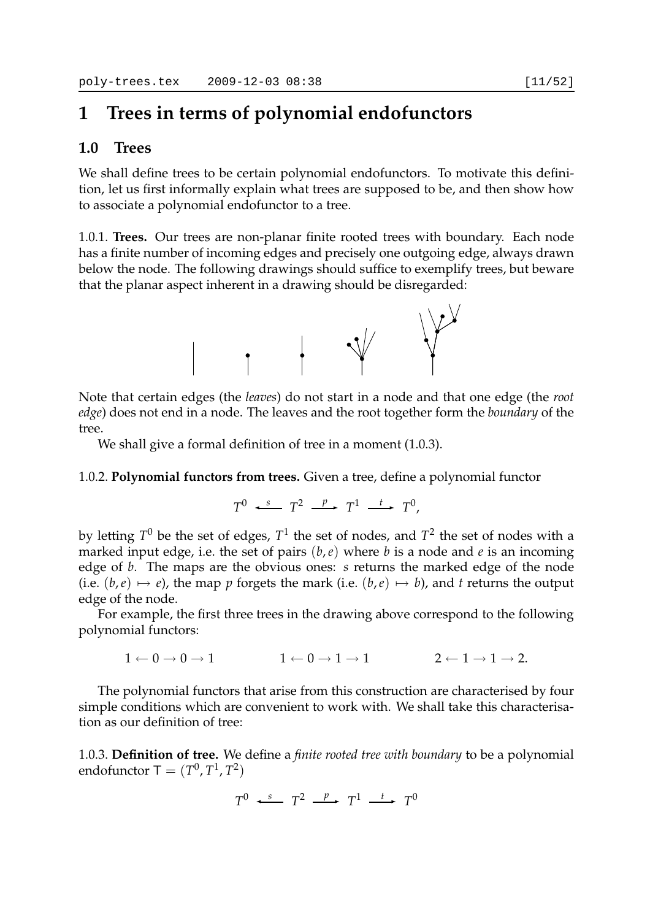# **1 Trees in terms of polynomial endofunctors**

## **1.0 Trees**

We shall define trees to be certain polynomial endofunctors. To motivate this definition, let us first informally explain what trees are supposed to be, and then show how to associate a polynomial endofunctor to a tree.

1.0.1. **Trees.** Our trees are non-planar finite rooted trees with boundary. Each node has a finite number of incoming edges and precisely one outgoing edge, always drawn below the node. The following drawings should suffice to exemplify trees, but beware that the planar aspect inherent in a drawing should be disregarded:



Note that certain edges (the *leaves*) do not start in a node and that one edge (the *root edge*) does not end in a node. The leaves and the root together form the *boundary* of the tree.

We shall give a formal definition of tree in a moment (1.0.3).

## 1.0.2. **Polynomial functors from trees.** Given a tree, define a polynomial functor

$$
T^0 \xrightarrow{s} T^2 \xrightarrow{p} T^1 \xrightarrow{t} T^0,
$$

by letting  $T^0$  be the set of edges,  $T^1$  the set of nodes, and  $T^2$  the set of nodes with a marked input edge, i.e. the set of pairs (*b*,*e*) where *b* is a node and *e* is an incoming edge of *b*. The maps are the obvious ones: *s* returns the marked edge of the node (i.e.  $(b, e) \mapsto e$ ), the map *p* forgets the mark (i.e.  $(b, e) \mapsto b$ ), and *t* returns the output edge of the node.

For example, the first three trees in the drawing above correspond to the following polynomial functors:

$$
1 \leftarrow 0 \to 0 \to 1 \hspace{1cm} 1 \leftarrow 0 \to 1 \to 1 \hspace{1cm} 2 \leftarrow 1 \to 1 \to 2.
$$

The polynomial functors that arise from this construction are characterised by four simple conditions which are convenient to work with. We shall take this characterisation as our definition of tree:

1.0.3. **Definition of tree.** We define a *finite rooted tree with boundary* to be a polynomial endofunctor  $\mathsf{T} = (T^0, T^1, T^2)$ 

 $T^0$   $\longleftrightarrow$   $T^2$   $\longrightarrow$   $T^1$   $\longrightarrow$   $T^0$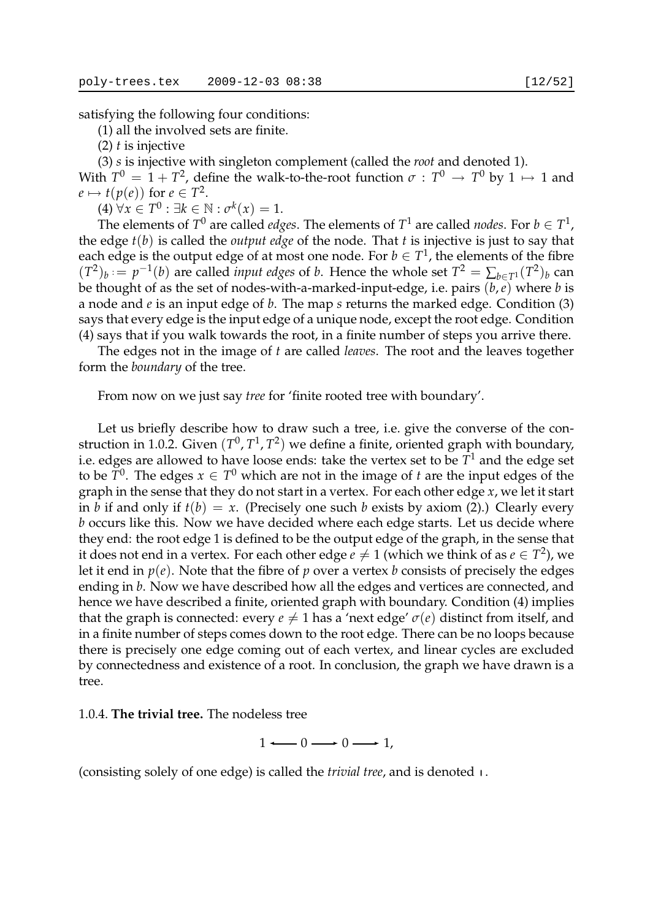(1) all the involved sets are finite.

(2) *t* is injective

(3) *s* is injective with singleton complement (called the *root* and denoted 1). With  $T^0 = 1 + T^2$ , define the walk-to-the-root function  $\sigma : T^0 \to T^0$  by  $1 \mapsto 1$  and  $e \mapsto t(p(e))$  for  $e \in T^2$ .

 $(4) \forall x \in T^0 : \exists k \in \mathbb{N} : \sigma^k(x) = 1.$ 

The elements of  $T^0$  are called *edges*. The elements of  $T^1$  are called *nodes*. For  $b \in T^1$ , the edge *t*(*b*) is called the *output edge* of the node. That *t* is injective is just to say that each edge is the output edge of at most one node. For  $b \in T^1$ , the elements of the fibre  $(T^2)_b := p^{-1}(b)$  are called *input edges* of *b*. Hence the whole set  $T^2 = \sum_{b \in T^1} (T^2)_b$  can be thought of as the set of nodes-with-a-marked-input-edge, i.e. pairs (*b*,*e*) where *b* is a node and *e* is an input edge of *b*. The map *s* returns the marked edge. Condition (3) says that every edge is the input edge of a unique node, except the root edge. Condition (4) says that if you walk towards the root, in a finite number of steps you arrive there.

The edges not in the image of *t* are called *leaves*. The root and the leaves together form the *boundary* of the tree.

From now on we just say *tree* for 'finite rooted tree with boundary'.

Let us briefly describe how to draw such a tree, i.e. give the converse of the construction in 1.0.2. Given  $(T^0, T^1, T^2)$  we define a finite, oriented graph with boundary, i.e. edges are allowed to have loose ends: take the vertex set to be *T* <sup>1</sup> and the edge set to be  $T^0$ . The edges  $x \in T^0$  which are not in the image of *t* are the input edges of the graph in the sense that they do not start in a vertex. For each other edge *x*, we let it start in *b* if and only if  $t(b) = x$ . (Precisely one such *b* exists by axiom (2).) Clearly every *b* occurs like this. Now we have decided where each edge starts. Let us decide where they end: the root edge 1 is defined to be the output edge of the graph, in the sense that it does not end in a vertex. For each other edge  $e\neq 1$  (which we think of as  $e\in T^2$ ), we let it end in *p*(*e*). Note that the fibre of *p* over a vertex *b* consists of precisely the edges ending in *b*. Now we have described how all the edges and vertices are connected, and hence we have described a finite, oriented graph with boundary. Condition (4) implies that the graph is connected: every  $e \neq 1$  has a 'next edge'  $\sigma(e)$  distinct from itself, and in a finite number of steps comes down to the root edge. There can be no loops because there is precisely one edge coming out of each vertex, and linear cycles are excluded by connectedness and existence of a root. In conclusion, the graph we have drawn is a tree.

1.0.4. **The trivial tree.** The nodeless tree

$$
1 \longleftarrow 0 \longrightarrow 0 \longrightarrow 1,
$$

(consisting solely of one edge) is called the *trivial tree*, and is denoted  $\mu$ .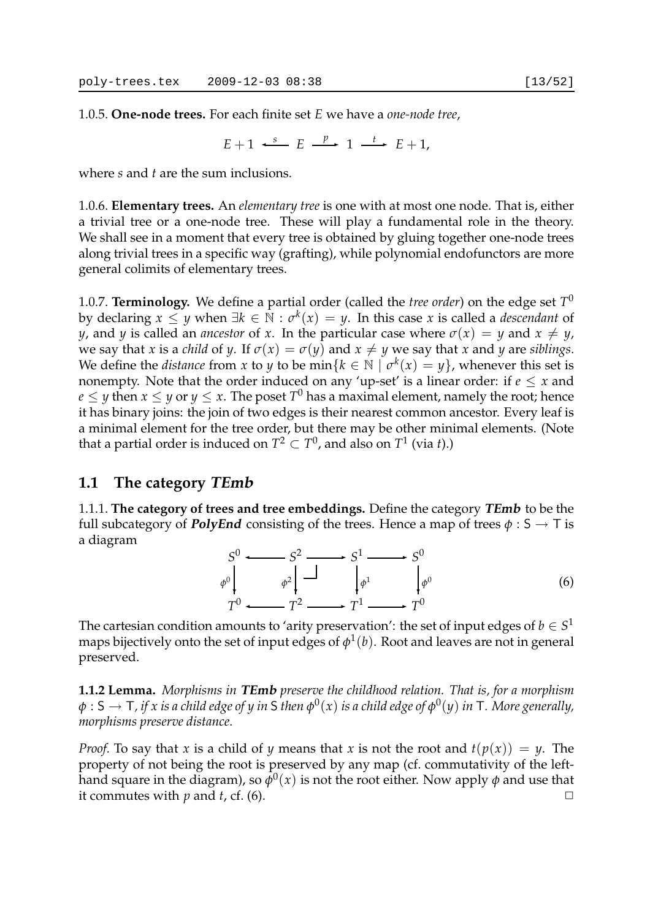1.0.5. **One-node trees.** For each finite set *E* we have a *one-node tree*,

$$
E+1 \xrightarrow{s} E \xrightarrow{p} 1 \xrightarrow{t} E+1,
$$

where *s* and *t* are the sum inclusions.

1.0.6. **Elementary trees.** An *elementary tree* is one with at most one node. That is, either a trivial tree or a one-node tree. These will play a fundamental role in the theory. We shall see in a moment that every tree is obtained by gluing together one-node trees along trivial trees in a specific way (grafting), while polynomial endofunctors are more general colimits of elementary trees.

1.0.7. **Terminology.** We define a partial order (called the *tree order*) on the edge set  $T^0$ by declaring  $x \leq y$  when  $\exists k \in \mathbb{N} : \sigma^k(x) = y$ . In this case *x* is called a *descendant* of *y*, and *y* is called an *ancestor* of *x*. In the particular case where  $\sigma(x) = y$  and  $x \neq y$ , we say that *x* is a *child* of *y*. If  $\sigma(x) = \sigma(y)$  and  $x \neq y$  we say that *x* and *y* are *siblings*. We define the *distance* from *x* to *y* to be min $\{k \in \mathbb{N} \mid \sigma^k(x) = y\}$ , whenever this set is nonempty. Note that the order induced on any 'up-set' is a linear order: if  $e \leq x$  and  $e \leq y$  then  $x \leq y$  or  $y \leq x.$  The poset  $T^0$  has a maximal element, namely the root; hence it has binary joins: the join of two edges is their nearest common ancestor. Every leaf is a minimal element for the tree order, but there may be other minimal elements. (Note that a partial order is induced on  $T^2\subset T^0$ , and also on  $T^1$  (via *t*).)

## **1.1 The category TEmb**

1.1.1. **The category of trees and tree embeddings.** Define the category **TEmb** to be the full subcategory of **PolyEnd** consisting of the trees. Hence a map of trees  $\phi : S \to T$  is a diagram

$$
S^{0} \longrightarrow S^{2} \longrightarrow S^{1} \longrightarrow S^{0}
$$
  
\n
$$
\phi^{0} \downarrow \qquad \phi^{2} \downarrow \qquad \downarrow \phi^{1} \qquad \downarrow \phi^{0}
$$
  
\n
$$
T^{0} \longrightarrow T^{2} \longrightarrow T^{1} \longrightarrow T^{0}
$$
\n(6)

The cartesian condition amounts to 'arity preservation': the set of input edges of  $b \in S^1$ maps bijectively onto the set of input edges of  $\phi^1(b)$ . Root and leaves are not in general preserved.

**1.1.2 Lemma.** *Morphisms in* **TEmb** *preserve the childhood relation. That is, for a morphism*  $\phi: \mathsf{S} \to \mathsf{T}$  , if  $x$  is a child edge of  $y$  in  $\mathsf{S}$  then  $\phi^0(x)$  is a child edge of  $\phi^0(y)$  in  $\mathsf{T}.$  More generally, *morphisms preserve distance.*

*Proof.* To say that *x* is a child of *y* means that *x* is not the root and  $t(p(x)) = y$ . The property of not being the root is preserved by any map (cf. commutativity of the lefthand square in the diagram), so  $\bar{\phi}^0(x)$  is not the root either. Now apply  $\phi$  and use that it commutes with *p* and *t*, cf. (6).  $\Box$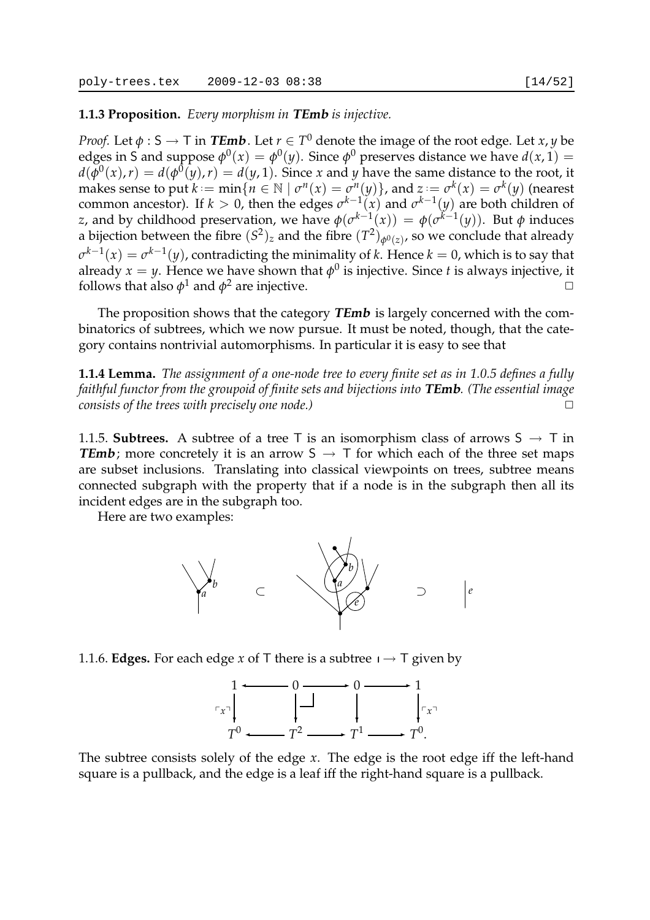**1.1.3 Proposition.** *Every morphism in* **TEmb** *is injective.*

*Proof.* Let  $\phi: \mathsf{S} \to \mathsf{T}$  in  $\mathcal{\mathit{TEmb}}$  . Let  $r \in \mathsf{T}^0$  denote the image of the root edge. Let  $x,y$  be edges in S and suppose  $\phi^0(x) = \phi^0(y)$ . Since  $\phi^0$  preserves distance we have  $d(x, 1) =$  $d(\bar{\phi}^0(x), r) = d(\phi^0(y), r) = d(y, 1)$ . Since *x* and *y* have the same distance to the root, it makes sense to put  $k := \min\{n \in \mathbb{N} \mid \sigma^n(x) = \sigma^n(y)\}$ , and  $z := \sigma^k(x) = \sigma^k(y)$  (nearest common ancestor). If  $k > 0$ , then the edges  $\sigma^{k-1}(x)$  and  $\sigma^{k-1}(y)$  are both children of *z*, and by childhood preservation, we have  $\phi(c^{k-1}(x)) = \phi(c^{k-1}(y))$ . But *φ* induces a bijection between the fibre  $(S^2)_z$  and the fibre  $(T^2)_{\phi^0(z)}$ , so we conclude that already  $\sigma^{k-1}(x) = \sigma^{k-1}(y)$ , contradicting the minimality of *k*. Hence  $k = 0$ , which is to say that already  $x = y$ . Hence we have shown that  $\phi^0$  is injective. Since *t* is always injective, it follows that also  $\phi^1$  and  $\phi^2$  are injective.

The proposition shows that the category **TEmb** is largely concerned with the combinatorics of subtrees, which we now pursue. It must be noted, though, that the category contains nontrivial automorphisms. In particular it is easy to see that

**1.1.4 Lemma.** *The assignment of a one-node tree to every finite set as in 1.0.5 defines a fully faithful functor from the groupoid of finite sets and bijections into* **TEmb***. (The essential image consists of the trees with precisely one node.)* 

1.1.5. **Subtrees.** A subtree of a tree T is an isomorphism class of arrows  $S \rightarrow T$  in **TEmb**; more concretely it is an arrow  $S \rightarrow T$  for which each of the three set maps are subset inclusions. Translating into classical viewpoints on trees, subtree means connected subgraph with the property that if a node is in the subgraph then all its incident edges are in the subgraph too.

Here are two examples:



1.1.6. **Edges.** For each edge *x* of T there is a subtree  $\mathbf{I} \rightarrow \mathbf{T}$  given by



The subtree consists solely of the edge *x*. The edge is the root edge iff the left-hand square is a pullback, and the edge is a leaf iff the right-hand square is a pullback.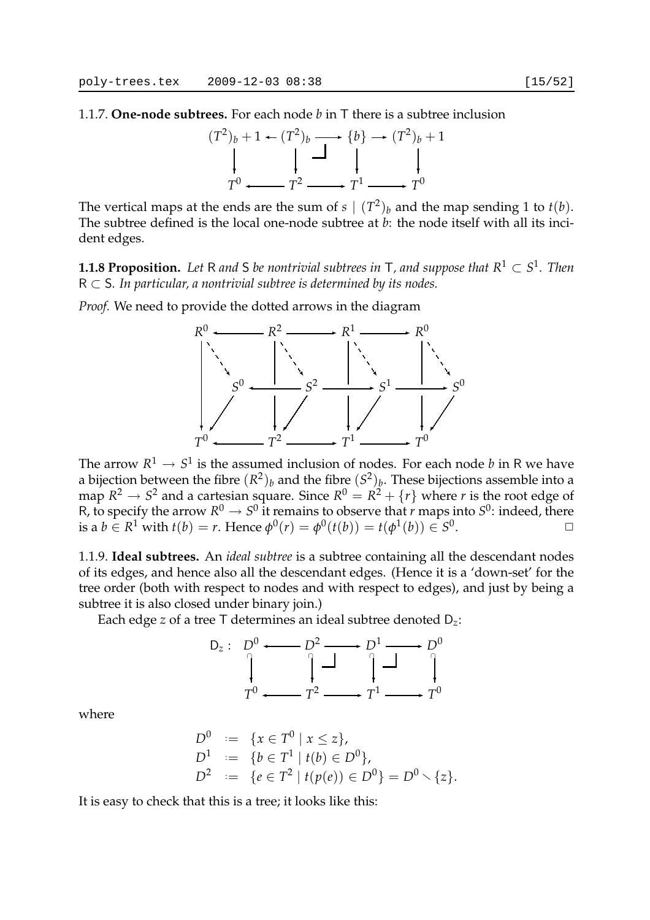1.1.7. **One-node subtrees.** For each node *b* in T there is a subtree inclusion



The vertical maps at the ends are the sum of  $s \mid (T^2)_b$  and the map sending 1 to  $t(b)$ . The subtree defined is the local one-node subtree at *b*: the node itself with all its incident edges.

**1.1.8 Proposition.** Let R and S be nontrivial subtrees in T, and suppose that  $R^1 \subset S^1$ . Then R ⊂ S*. In particular, a nontrivial subtree is determined by its nodes.*

*Proof.* We need to provide the dotted arrows in the diagram



The arrow  $R^1\to S^1$  is the assumed inclusion of nodes. For each node  $b$  in R we have a bijection between the fibre  $(R^2)_b$  and the fibre  $(S^2)_b$ . These bijections assemble into a map  $R^2 \rightarrow S^2$  and a cartesian square. Since  $R^0 = R^2 + \{r\}$  where  $r$  is the root edge of R, to specify the arrow  $R^0 \to S^0$  it remains to observe that *r* maps into  $S^0$ : indeed, there is a  $b \in R^1$  with  $t(b) = r$ . Hence  $\phi^0(r) = \phi^0(t(b)) = t(\phi^1(b)) \in S^0$ .  $\Box$ 

1.1.9. **Ideal subtrees.** An *ideal subtree* is a subtree containing all the descendant nodes of its edges, and hence also all the descendant edges. (Hence it is a 'down-set' for the tree order (both with respect to nodes and with respect to edges), and just by being a subtree it is also closed under binary join.)

Each edge *z* of a tree T determines an ideal subtree denoted D*z*:



where

$$
D0 := {x \in T0 | x \le z},
$$
  
\n
$$
D1 := {b \in T1 | t(b) \in D0},
$$
  
\n
$$
D2 := {e \in T2 | t(p(e)) \in D0} = D0 \set {z}.
$$

It is easy to check that this is a tree; it looks like this: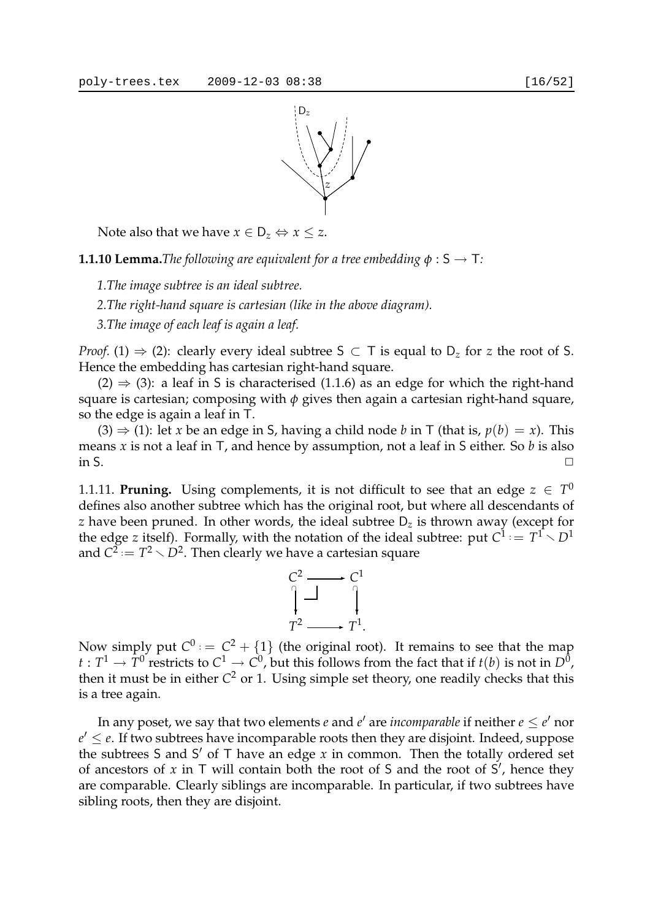

Note also that we have  $x \in D_z \Leftrightarrow x \leq z$ .

**1.1.10 Lemma.***The following are equivalent for a tree embedding*  $\phi$  :  $S \rightarrow T$ *:* 

*1.The image subtree is an ideal subtree.*

*2.The right-hand square is cartesian (like in the above diagram).*

*3.The image of each leaf is again a leaf.*

*Proof.* (1)  $\Rightarrow$  (2): clearly every ideal subtree S  $\subset$  T is equal to  $D_z$  for *z* the root of S. Hence the embedding has cartesian right-hand square.

 $(2) \Rightarrow (3)$ : a leaf in S is characterised  $(1.1.6)$  as an edge for which the right-hand square is cartesian; composing with *φ* gives then again a cartesian right-hand square, so the edge is again a leaf in T.

 $(3) \Rightarrow (1)$ : let *x* be an edge in S, having a child node *b* in T (that is,  $p(b) = x$ ). This means *x* is not a leaf in T, and hence by assumption, not a leaf in S either. So *b* is also in S.  $\Box$ 

1.1.11. **Pruning.** Using complements, it is not difficult to see that an edge  $z \in T^0$ defines also another subtree which has the original root, but where all descendants of *z* have been pruned. In other words, the ideal subtree  $D<sub>z</sub>$  is thrown away (except for the edge *z* itself). Formally, with the notation of the ideal subtree: put  $C^1 := T^1 \setminus D^1$ and  $C^2 = T^2 \times D^2$ . Then clearly we have a cartesian square



Now simply put  $C^0$  :  $= C^2 + \{1\}$  (the original root). It remains to see that the map  $t:T^1\to \bar{T}^0$  restricts to  $C^1\to C^0$ , but this follows from the fact that if  $t(b)$  is not in  $D^0$ , then it must be in either *C* <sup>2</sup> or 1. Using simple set theory, one readily checks that this is a tree again.

In any poset, we say that two elements  $e$  and  $e'$  are *incomparable* if neither  $e \leq e'$  nor  $e' \leq e$ . If two subtrees have incomparable roots then they are disjoint. Indeed, suppose the subtrees S and S ′ of T have an edge *x* in common. Then the totally ordered set of ancestors of  $x$  in  $\top$  will contain both the root of  $S$  and the root of  $S'$ , hence they are comparable. Clearly siblings are incomparable. In particular, if two subtrees have sibling roots, then they are disjoint.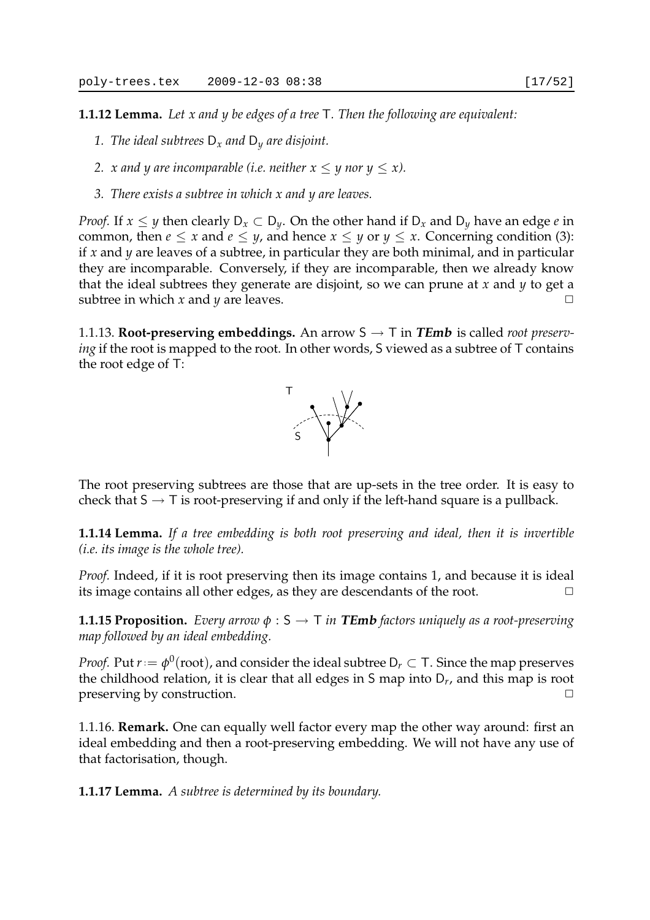**1.1.12 Lemma.** *Let x and y be edges of a tree* T*. Then the following are equivalent:*

- *1. The ideal subtrees* D*<sup>x</sup> and* D*<sup>y</sup> are disjoint.*
- *2. x* and *y* are incomparable (i.e. neither  $x \leq y$  nor  $y \leq x$ ).
- *3. There exists a subtree in which x and y are leaves.*

*Proof.* If  $x \leq y$  then clearly  $D_x \subset D_y$ . On the other hand if  $D_x$  and  $D_y$  have an edge *e* in common, then  $e \le x$  and  $e \le y$ , and hence  $x \le y$  or  $y \le x$ . Concerning condition (3): if *x* and *y* are leaves of a subtree, in particular they are both minimal, and in particular they are incomparable. Conversely, if they are incomparable, then we already know that the ideal subtrees they generate are disjoint, so we can prune at *x* and *y* to get a subtree in which *x* and *y* are leaves.  $\Box$ 

1.1.13. **Root-preserving embeddings.** An arrow  $S \rightarrow T$  in **TEmb** is called *root preserving* if the root is mapped to the root. In other words, S viewed as a subtree of T contains the root edge of T:



The root preserving subtrees are those that are up-sets in the tree order. It is easy to check that  $S \to T$  is root-preserving if and only if the left-hand square is a pullback.

**1.1.14 Lemma.** *If a tree embedding is both root preserving and ideal, then it is invertible (i.e. its image is the whole tree).*

*Proof.* Indeed, if it is root preserving then its image contains 1, and because it is ideal its image contains all other edges, as they are descendants of the root.  $\Box$ 

**1.1.15 Proposition.** *Every arrow*  $\phi$  :  $S \rightarrow T$  *in TEmb factors uniquely as a root-preserving map followed by an ideal embedding.*

*Proof.* Put  $r:=\phi^0(\text{root})$ , and consider the ideal subtree D $_r\subset$  T. Since the map preserves the childhood relation, it is clear that all edges in S map into D*<sup>r</sup>* , and this map is root preserving by construction.  $\Box$ 

1.1.16. **Remark.** One can equally well factor every map the other way around: first an ideal embedding and then a root-preserving embedding. We will not have any use of that factorisation, though.

**1.1.17 Lemma.** *A subtree is determined by its boundary.*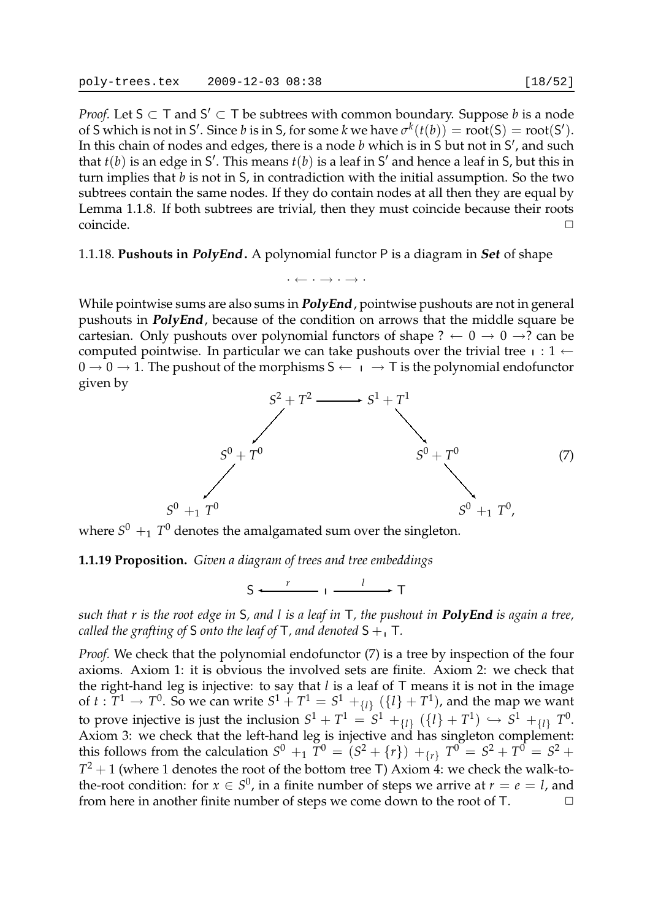*Proof.* Let  $S \subset T$  and  $S' \subset T$  be subtrees with common boundary. Suppose *b* is a node of S which is not in S'. Since *b* is in S, for some *k* we have  $\sigma^k(t(b)) = \text{root}(S) = \text{root}(S')$ . In this chain of nodes and edges, there is a node *b* which is in S but not in S', and such that  $t(b)$  is an edge in S'. This means  $t(b)$  is a leaf in S' and hence a leaf in S, but this in turn implies that *b* is not in S, in contradiction with the initial assumption. So the two subtrees contain the same nodes. If they do contain nodes at all then they are equal by Lemma 1.1.8. If both subtrees are trivial, then they must coincide because their roots coincide. ✷

1.1.18. **Pushouts in PolyEnd.** A polynomial functor P is a diagram in **Set** of shape

While pointwise sums are also sums in **PolyEnd**, pointwise pushouts are not in general pushouts in **PolyEnd**, because of the condition on arrows that the middle square be cartesian. Only pushouts over polynomial functors of shape ?  $\leftarrow 0 \rightarrow 0 \rightarrow$ ? can be computed pointwise. In particular we can take pushouts over the trivial tree  $p : 1 \leftarrow$  $0 \to 0 \to 1$ . The pushout of the morphisms  $S \leftarrow \Box \rightarrow \top$  is the polynomial endofunctor given by

 $\cdot \leftarrow \cdot \rightarrow \cdot \rightarrow \cdot$ 



where  $S^0\, +_{1}\, T^0$  denotes the amalgamated sum over the singleton.

### **1.1.19 Proposition.** *Given a diagram of trees and tree embeddings*

$$
S \xleftarrow{r} I \xrightarrow{l} T
$$

*such that r is the root edge in* S*, and l is a leaf in* T*, the pushout in* **PolyEnd** *is again a tree, called the grafting of* S *onto the leaf of*  $T$ *, and denoted*  $S + T$ *.* 

*Proof.* We check that the polynomial endofunctor (7) is a tree by inspection of the four axioms. Axiom 1: it is obvious the involved sets are finite. Axiom 2: we check that the right-hand leg is injective: to say that *l* is a leaf of T means it is not in the image of  $t:\overline{T^1}\to T^0.$  So we can write  $S^1+\overline{T^1}=S^1+_{\{l\}}(\{l\}+\overline{T^1})$ , and the map we want to prove injective is just the inclusion  $S^1 + T^1 = \overline{S^1} +_{\{l\}} (\{ l\} + T^1) \, \hookrightarrow \, S^1 +_{\{l\}} T^0.$ Axiom 3: we check that the left-hand leg is injective and has singleton complement: this follows from the calculation  $S^0 +_{1} T^0 = (S^2 + \{r\}) +_{\{r\}} T^0 = S^2 + T^0 = S^2 +$  $T^2 + 1$  (where 1 denotes the root of the bottom tree T) Axiom 4: we check the walk-tothe-root condition: for  $x \in S^0$ , in a finite number of steps we arrive at  $r = e = l$ , and from here in another finite number of steps we come down to the root of T.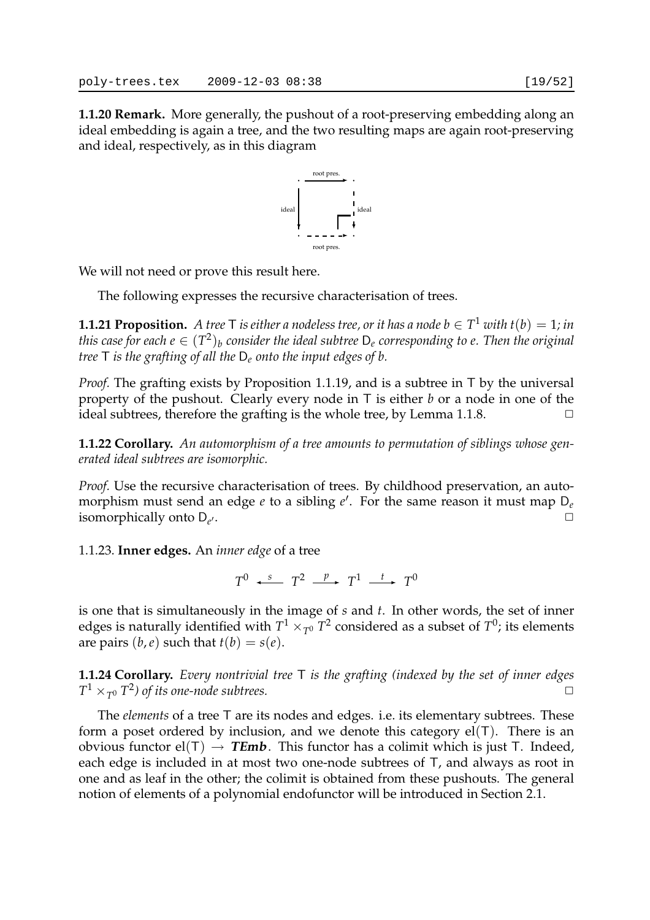**1.1.20 Remark.** More generally, the pushout of a root-preserving embedding along an ideal embedding is again a tree, and the two resulting maps are again root-preserving and ideal, respectively, as in this diagram



We will not need or prove this result here.

The following expresses the recursive characterisation of trees.

**1.1.21 Proposition.** A tree T is either a nodeless tree, or it has a node  $b \in T^1$  with  $t(b) = 1$ ; in this case for each  $e \in (T^2)_b$  consider the ideal subtree  $\mathsf{D}_e$  corresponding to  $e.$  Then the original *tree* T *is the grafting of all the* D*<sup>e</sup> onto the input edges of b.*

*Proof.* The grafting exists by Proposition 1.1.19, and is a subtree in T by the universal property of the pushout. Clearly every node in T is either *b* or a node in one of the ideal subtrees, therefore the grafting is the whole tree, by Lemma 1.1.8.

**1.1.22 Corollary.** *An automorphism of a tree amounts to permutation of siblings whose generated ideal subtrees are isomorphic.*

*Proof.* Use the recursive characterisation of trees. By childhood preservation, an automorphism must send an edge *e* to a sibling *e* ′ . For the same reason it must map D*<sup>e</sup>* isomorphically onto D*<sup>e</sup>*  $\overline{\phantom{a}}$ .

1.1.23. **Inner edges.** An *inner edge* of a tree

 $T^0$   $\longleftrightarrow$   $T^2$   $\longrightarrow$   $T^1$   $\longrightarrow$   $T^0$ 

is one that is simultaneously in the image of *s* and *t*. In other words, the set of inner edges is naturally identified with  $T^1\times_{T^0} T^2$  considered as a subset of  $T^0$ ; its elements are pairs  $(b, e)$  such that  $t(b) = s(e)$ .

**1.1.24 Corollary.** *Every nontrivial tree* T *is the grafting (indexed by the set of inner edges*  $T^1 \times_{T^0} T^2$  of its one-node subtrees.

The *elements* of a tree T are its nodes and edges. i.e. its elementary subtrees. These form a poset ordered by inclusion, and we denote this category  $el(T)$ . There is an obvious functor  $el(T) \rightarrow \text{TEmb}$ . This functor has a colimit which is just T. Indeed, each edge is included in at most two one-node subtrees of T, and always as root in one and as leaf in the other; the colimit is obtained from these pushouts. The general notion of elements of a polynomial endofunctor will be introduced in Section 2.1.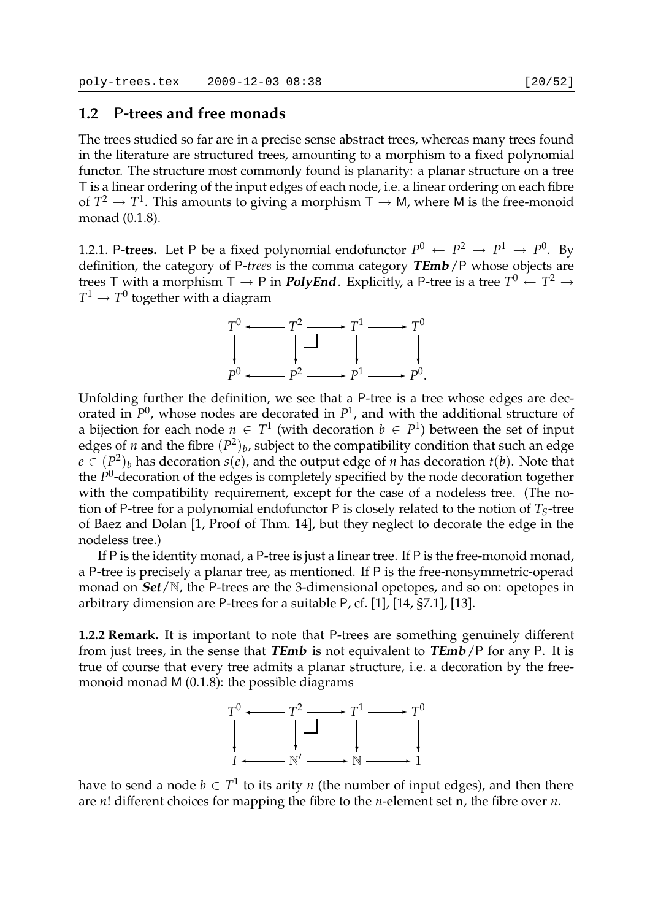## **1.2** P**-trees and free monads**

The trees studied so far are in a precise sense abstract trees, whereas many trees found in the literature are structured trees, amounting to a morphism to a fixed polynomial functor. The structure most commonly found is planarity: a planar structure on a tree T is a linear ordering of the input edges of each node, i.e. a linear ordering on each fibre of  $T^2 \to T^1$ . This amounts to giving a morphism  $\mathsf{T} \to \mathsf{M}$ , where M is the free-monoid monad (0.1.8).

1.2.1. P-trees. Let P be a fixed polynomial endofunctor  $P^0 \leftarrow P^2 \rightarrow P^1 \rightarrow P^0$ . By definition, the category of P*-trees* is the comma category **TEmb**/P whose objects are trees T with a morphism T  $\rightarrow$  P in  $\bm{\mathit{PolyEnd}}\text{.}$  Explicitly, a P-tree is a tree  $T^0$   $\leftarrow$   $T^2$   $\rightarrow$  $T^1 \to T^0$  together with a diagram

> *T* <sup>0</sup> ✛ *T* <sup>2</sup> ✲ *T* <sup>1</sup> ✲ *T* 0 *P* 0 k.  $\leftarrow$   $P^2$ ❄  $\rightarrow P^1$ k.  $\rightarrow P^0$ . ❄

Unfolding further the definition, we see that a P-tree is a tree whose edges are decorated in *P* 0 , whose nodes are decorated in *P* 1 , and with the additional structure of a bijection for each node  $n \in T^1$  (with decoration  $b \in P^1$ ) between the set of input edges of *n* and the fibre  $(P^2)_b$ , subject to the compatibility condition that such an edge  $e \in (P^2)_b$  has decoration  $s(e)$ , and the output edge of *n* has decoration  $t(b)$ . Note that the P<sup>0</sup>-decoration of the edges is completely specified by the node decoration together with the compatibility requirement, except for the case of a nodeless tree. (The notion of P-tree for a polynomial endofunctor P is closely related to the notion of  $T<sub>S</sub>$ -tree of Baez and Dolan [1, Proof of Thm. 14], but they neglect to decorate the edge in the nodeless tree.)

If P is the identity monad, a P-tree is just a linear tree. If P is the free-monoid monad, a P-tree is precisely a planar tree, as mentioned. If P is the free-nonsymmetric-operad monad on **Set**/N, the P-trees are the 3-dimensional opetopes, and so on: opetopes in arbitrary dimension are P-trees for a suitable P, cf. [1], [14, §7.1], [13].

**1.2.2 Remark.** It is important to note that P-trees are something genuinely different from just trees, in the sense that **TEmb** is not equivalent to **TEmb**/P for any P. It is true of course that every tree admits a planar structure, i.e. a decoration by the freemonoid monad M (0.1.8): the possible diagrams



have to send a node  $b \in T^1$  to its arity  $n$  (the number of input edges), and then there are *n*! different choices for mapping the fibre to the *n*-element set **n**, the fibre over *n*.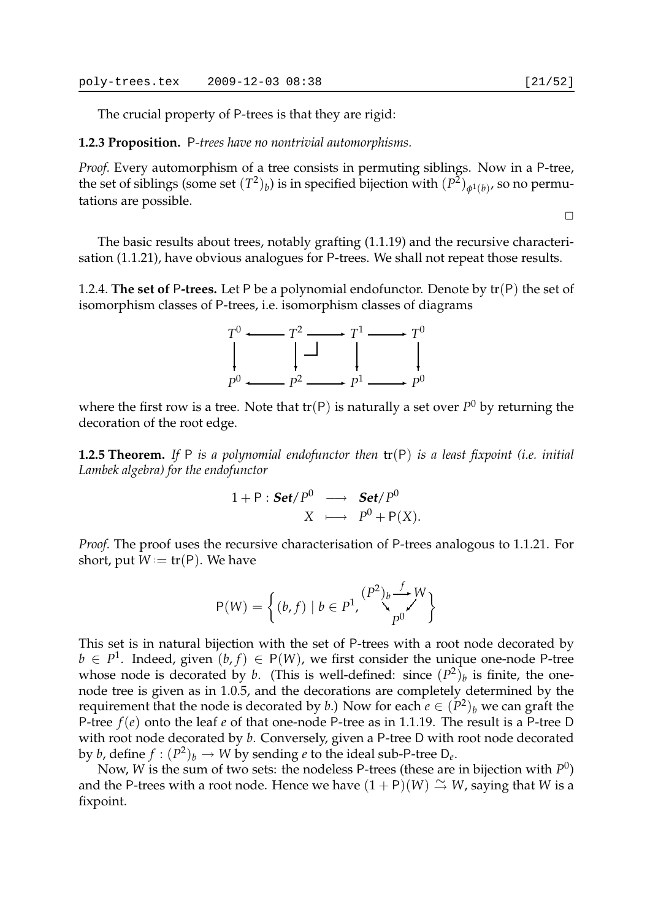The crucial property of P-trees is that they are rigid:

#### **1.2.3 Proposition.** P*-trees have no nontrivial automorphisms.*

*Proof.* Every automorphism of a tree consists in permuting siblings. Now in a P-tree, the set of siblings (some set  $(T^2)_b$ ) is in specified bijection with  $(P^{\tilde{2}})_{\phi^1(b)},$  so no permutations are possible.

 $\Box$ 

The basic results about trees, notably grafting (1.1.19) and the recursive characterisation (1.1.21), have obvious analogues for P-trees. We shall not repeat those results.

1.2.4. **The set of** P**-trees.** Let P be a polynomial endofunctor. Denote by tr(P) the set of isomorphism classes of P-trees, i.e. isomorphism classes of diagrams



where the first row is a tree. Note that  $tr(P)$  is naturally a set over  $P^0$  by returning the decoration of the root edge.

**1.2.5 Theorem.** *If* P *is a polynomial endofunctor then* tr(P) *is a least fixpoint (i.e. initial Lambek algebra) for the endofunctor*

$$
1+P: Set/P^0 \longrightarrow Set/P^0
$$
  

$$
X \longmapsto P^0 + P(X).
$$

*Proof.* The proof uses the recursive characterisation of P-trees analogous to 1.1.21. For short, put  $W = \text{tr}(P)$ . We have

$$
P(W) = \left\{ (b, f) \mid b \in P^1, \bigvee_{p^0}^{(P^2)_b} \bigvee_{p^0}^{f} W \right\}
$$

This set is in natural bijection with the set of P-trees with a root node decorated by *b* ∈  $P$ <sup>1</sup>. Indeed, given  $(b, f)$  ∈ P(*W*), we first consider the unique one-node P-tree whose node is decorated by *b*. (This is well-defined: since  $(P^2)_b$  is finite, the onenode tree is given as in 1.0.5, and the decorations are completely determined by the requirement that the node is decorated by *b*.) Now for each  $e \in (P^2)_b$  we can graft the P-tree *f*(*e*) onto the leaf *e* of that one-node P-tree as in 1.1.19. The result is a P-tree D with root node decorated by *b*. Conversely, given a P-tree D with root node decorated by *b*, define  $f : (P^2)_b \to W$  by sending *e* to the ideal sub-P-tree  $D_e$ .

Now, *W* is the sum of two sets: the nodeless P-trees (these are in bijection with *P* 0 ) and the P-trees with a root node. Hence we have  $(1 + P)(W) \cong W$ , saying that *W* is a fixpoint.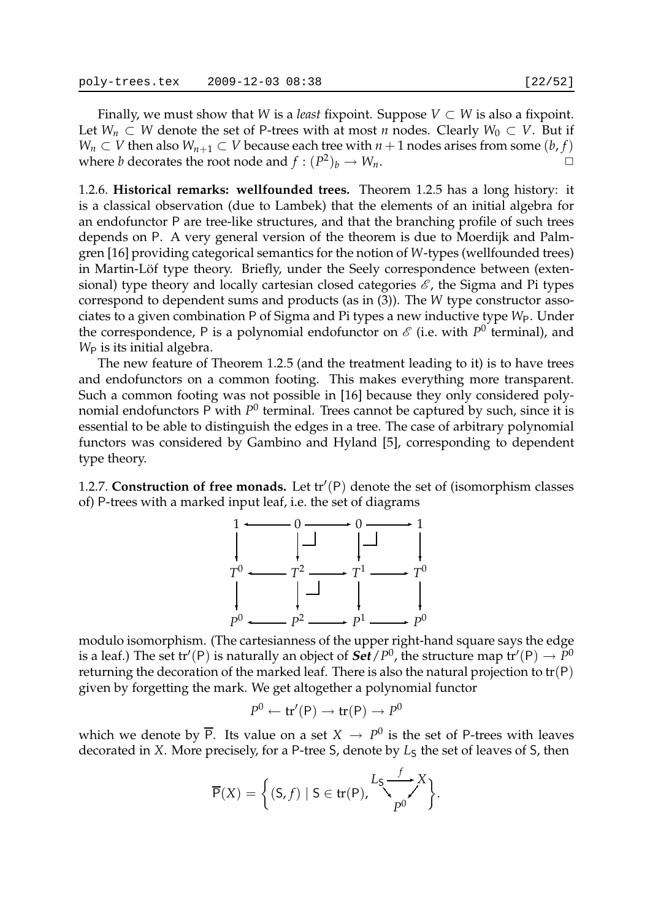Finally, we must show that *W* is a *least* fixpoint. Suppose  $V \subset W$  is also a fixpoint. Let *W<sub>n</sub>* ⊂ *W* denote the set of P-trees with at most *n* nodes. Clearly *W*<sub>0</sub> ⊂ *V*. But if *W*<sub>*n*</sub> ⊂ *V* then also  $W_{n+1}$  ⊂ *V* because each tree with *n* + 1 nodes arises from some (*b*, *f*) where *b* decorates the root node and  $f : (P^2)_b \to W_n$ .

1.2.6. **Historical remarks: wellfounded trees.** Theorem 1.2.5 has a long history: it is a classical observation (due to Lambek) that the elements of an initial algebra for an endofunctor P are tree-like structures, and that the branching profile of such trees depends on P. A very general version of the theorem is due to Moerdijk and Palmgren [16] providing categorical semantics for the notion of *W*-types (wellfounded trees) in Martin-Löf type theory. Briefly, under the Seely correspondence between (extensional) type theory and locally cartesian closed categories  $\mathscr{E}$ , the Sigma and Pi types correspond to dependent sums and products (as in (3)). The *W* type constructor associates to a given combination P of Sigma and Pi types a new inductive type *W*<sub>P</sub>. Under the correspondence, P is a polynomial endofunctor on  $\mathscr E$  (i.e. with  $P^0$  terminal), and *W*<sub>P</sub> is its initial algebra.

The new feature of Theorem 1.2.5 (and the treatment leading to it) is to have trees and endofunctors on a common footing. This makes everything more transparent. Such a common footing was not possible in [16] because they only considered polynomial endofunctors P with  $P^0$  terminal. Trees cannot be captured by such, since it is essential to be able to distinguish the edges in a tree. The case of arbitrary polynomial functors was considered by Gambino and Hyland [5], corresponding to dependent type theory.

1.2.7. **Construction of free monads.** Let tr′ (P) denote the set of (isomorphism classes of) P-trees with a marked input leaf, i.e. the set of diagrams



modulo isomorphism. (The cartesianness of the upper right-hand square says the edge is a leaf.) The set tr′(P) is naturally an object of  $\bm{Set}/P^0$ , the structure map tr′(P)  $\rightarrow P^0$ returning the decoration of the marked leaf. There is also the natural projection to  $tr(P)$ given by forgetting the mark. We get altogether a polynomial functor

$$
P^0 \leftarrow \text{tr}'(\mathsf{P}) \rightarrow \text{tr}(\mathsf{P}) \rightarrow P^0
$$

which we denote by  $\overline{\mathsf{P}}.$  Its value on a set  $X\,\rightarrow\,P^0$  is the set of P-trees with leaves decorated in *X*. More precisely, for a P-tree S, denote by  $L<sub>S</sub>$  the set of leaves of S, then

$$
\overline{\mathsf{P}}(X) = \left\{ (\mathsf{S}, f) \mid \mathsf{S} \in \mathsf{tr}(\mathsf{P}), \sum_{p_0}^{L_{\mathsf{S}}} \sum_{p_0}^{f} X \right\}.
$$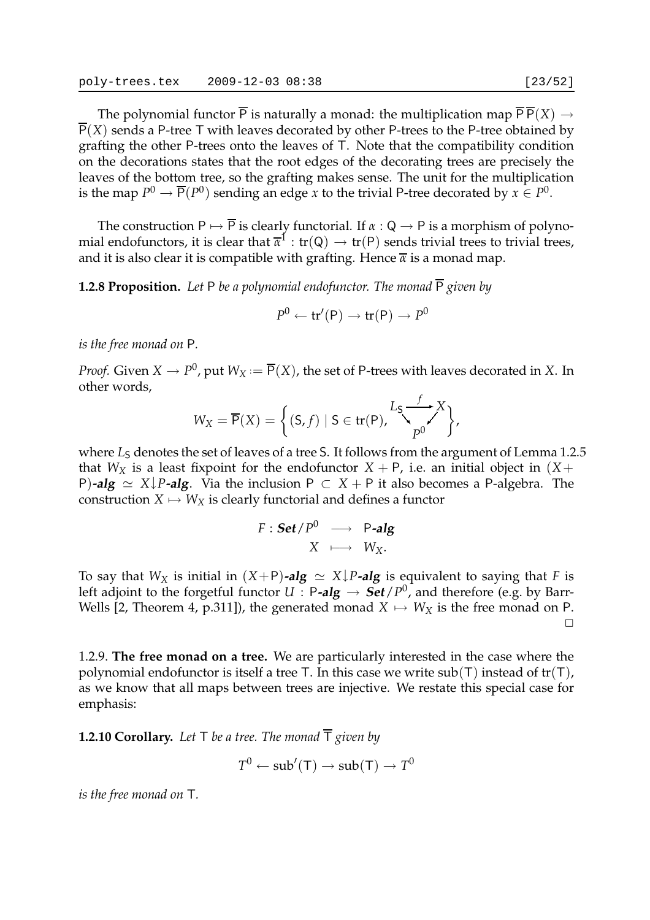The polynomial functor  $\overline{P}$  is naturally a monad: the multiplication map  $\overline{P} \overline{P}(X) \rightarrow$  $\overline{P}(X)$  sends a P-tree T with leaves decorated by other P-trees to the P-tree obtained by grafting the other P-trees onto the leaves of T. Note that the compatibility condition on the decorations states that the root edges of the decorating trees are precisely the leaves of the bottom tree, so the grafting makes sense. The unit for the multiplication is the map  $P^0 \to \overline{P}(P^0)$  sending an edge *x* to the trivial P-tree decorated by  $x \in P^0$ .

The construction  $P \mapsto \overline{P}$  is clearly functorial. If  $\alpha : Q \to P$  is a morphism of polynomial endofunctors, it is clear that  $\overline{\alpha}^1:\text{tr}(\mathsf{Q})\to \text{tr}(\mathsf{P})$  sends trivial trees to trivial trees, and it is also clear it is compatible with grafting. Hence  $\bar{x}$  is a monad map.

**1.2.8 Proposition.** Let P be a polynomial endofunctor. The monad  $\overline{P}$  given by

$$
P^0 \leftarrow \mathsf{tr}'(\mathsf{P}) \rightarrow \mathsf{tr}(\mathsf{P}) \rightarrow P^0
$$

*is the free monad on* P*.*

*Proof.* Given  $X \to P^0$ , put  $W_X := \overline{\mathsf{P}}(X)$ , the set of P-trees with leaves decorated in  $X$ . In other words,

$$
W_X = \overline{P}(X) = \left\{ (S, f) \mid S \in \text{tr}(P), \bigvee_{p^0}^{L_S} \bigvee_{p^0}^{f} X \right\},
$$

where  $L<sub>S</sub>$  denotes the set of leaves of a tree S. It follows from the argument of Lemma 1.2.5 that  $W_X$  is a least fixpoint for the endofunctor  $X + P$ , i.e. an initial object in  $(X + P)$ P)**-alg**  $\simeq$  *X*↓*P***-alg**. Via the inclusion P  $\subset$  *X* + P it also becomes a P-algebra. The construction  $X \mapsto W_X$  is clearly functorial and defines a functor

$$
F : \mathbf{Set}/P^0 \longrightarrow P\text{-alg}
$$

$$
X \longmapsto W_X.
$$

To say that *W*<sub>*X*</sub> is initial in  $(X+P)$ **-alg**  $\simeq X\downarrow P$ **-alg** is equivalent to saying that *F* is left adjoint to the forgetful functor  $U : P\text{-}alg \to \text{Set}/P^0$  , and therefore (e.g. by Barr-Wells [2, Theorem 4, p.311]), the generated monad  $X \mapsto W_X$  is the free monad on P.  $\Box$ 

1.2.9. **The free monad on a tree.** We are particularly interested in the case where the polynomial endofunctor is itself a tree T. In this case we write  $sub(T)$  instead of tr(T), as we know that all maps between trees are injective. We restate this special case for emphasis:

**1.2.10 Corollary.** Let  $\top$  be a tree. The monad  $\overline{\top}$  given by

$$
T^0 \leftarrow sub'(\mathsf{T}) \rightarrow sub(\mathsf{T}) \rightarrow T^0
$$

*is the free monad on* T*.*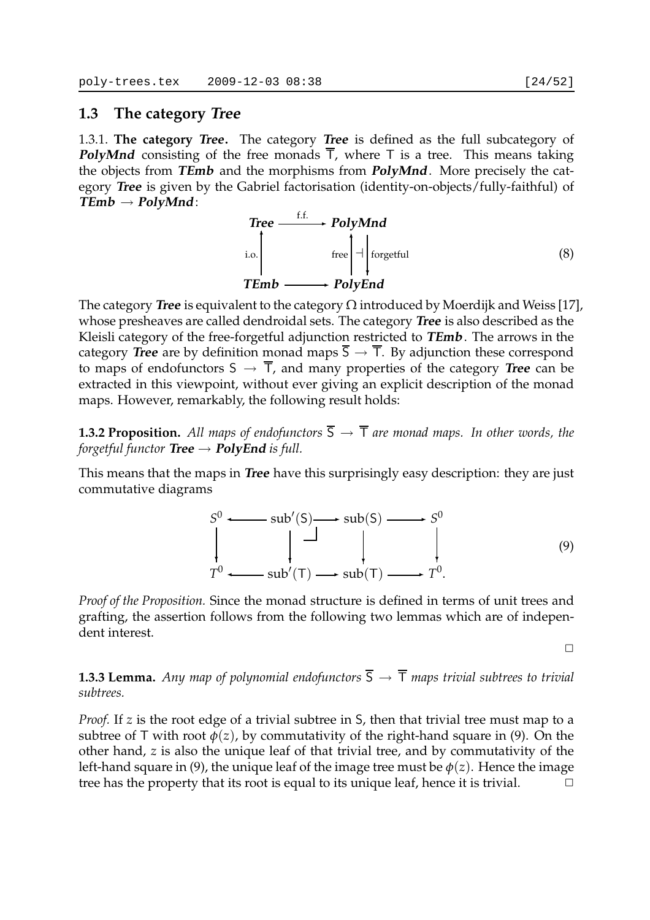## **1.3 The category Tree**

1.3.1. **The category Tree.** The category **Tree** is defined as the full subcategory of **PolyMnd** consisting of the free monads  $\overline{T}$ , where T is a tree. This means taking the objects from **TEmb** and the morphisms from **PolyMnd**. More precisely the category **Tree** is given by the Gabriel factorisation (identity-on-objects/fully-faithful) of **TEmb** → **PolyMnd**:



The category **Tree** is equivalent to the category  $\Omega$  introduced by Moerdijk and Weiss [17], whose presheaves are called dendroidal sets. The category **Tree** is also described as the Kleisli category of the free-forgetful adjunction restricted to **TEmb**. The arrows in the category **Tree** are by definition monad maps  $\overline{S} \rightarrow \overline{T}$ . By adjunction these correspond to maps of endofunctors  $S \to \overline{T}$ , and many properties of the category **Tree** can be extracted in this viewpoint, without ever giving an explicit description of the monad maps. However, remarkably, the following result holds:

**1.3.2 Proposition.** All maps of endofunctors  $\overline{S} \rightarrow \overline{T}$  are monad maps. In other words, the *forgetful functor* **Tree**  $\rightarrow$  **PolyEnd** *is full.* 

This means that the maps in **Tree** have this surprisingly easy description: they are just commutative diagrams

$$
S^{0} \longrightarrow sub'(S) \longrightarrow sub(S) \longrightarrow S^{0}
$$
  
\n
$$
\downarrow \qquad \qquad \downarrow \qquad \qquad \downarrow
$$
  
\n
$$
T^{0} \longrightarrow sub'(T) \longrightarrow sub(T) \longrightarrow T^{0}.
$$
  
\n(9)

*Proof of the Proposition.* Since the monad structure is defined in terms of unit trees and grafting, the assertion follows from the following two lemmas which are of independent interest.

 $\Box$ 

**1.3.3 Lemma.** *Any map of polynomial endofunctors*  $\overline{S} \rightarrow \overline{T}$  *maps trivial subtrees to trivial subtrees.*

*Proof.* If *z* is the root edge of a trivial subtree in *S*, then that trivial tree must map to a subtree of T with root  $\phi(z)$ , by commutativity of the right-hand square in (9). On the other hand, *z* is also the unique leaf of that trivial tree, and by commutativity of the left-hand square in (9), the unique leaf of the image tree must be  $\phi(z)$ . Hence the image tree has the property that its root is equal to its unique leaf, hence it is trivial.  $\Box$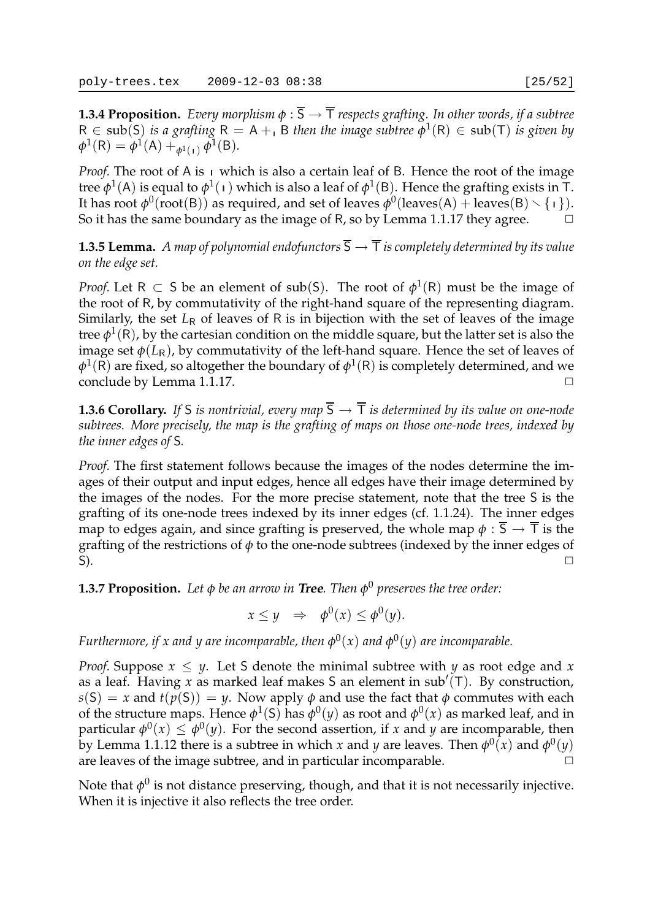**1.3.4 Proposition.** *Every morphism*  $\phi$ :  $\overline{S} \rightarrow \overline{T}$  *respects grafting. In other words, if a subtree*  $R \in sub(S)$  *is a grafting*  $R = A + B$  *then the image subtree*  $\phi^1(R) \in sub(T)$  *is given by*  $\phi^1(R) = \phi^1(A) + \phi^1_{(1)} \phi^1(B)$ .

*Proof.* The root of A is  $\mu$  which is also a certain leaf of B. Hence the root of the image tree  $\phi^1(A)$  is equal to  $\phi^1(\mathfrak{1})$  which is also a leaf of  $\phi^1(\mathsf{B})$ . Hence the grafting exists in  $\mathsf{T}$ . It has root  $\phi^0$ (root(B)) as required, and set of leaves  $\phi^0$ (leaves(A) + leaves(B) \{ 1}). So it has the same boundary as the image of R, so by Lemma 1.1.17 they agree.

**1.3.5 Lemma.** *A map of polynomial endofunctors*  $\overline{S} \rightarrow \overline{T}$  *is completely determined by its value on the edge set.*

*Proof.* Let  $R \subset S$  be an element of sub(S). The root of  $\phi^1(R)$  must be the image of the root of R, by commutativity of the right-hand square of the representing diagram. Similarly, the set  $L_R$  of leaves of R is in bijection with the set of leaves of the image tree  $\phi^1({\rm R})$ , by the cartesian condition on the middle square, but the latter set is also the image set  $\phi(L_R)$ , by commutativity of the left-hand square. Hence the set of leaves of  $\phi^1(\mathsf{R})$  are fixed, so altogether the boundary of  $\phi^1(\mathsf{R})$  is completely determined, and we conclude by Lemma 1.1.17.

**1.3.6 Corollary.** If S *is nontrivial, every map*  $\overline{S} \rightarrow \overline{T}$  *is determined by its value on one-node subtrees. More precisely, the map is the grafting of maps on those one-node trees, indexed by the inner edges of* S*.*

*Proof.* The first statement follows because the images of the nodes determine the images of their output and input edges, hence all edges have their image determined by the images of the nodes. For the more precise statement, note that the tree S is the grafting of its one-node trees indexed by its inner edges (cf. 1.1.24). The inner edges map to edges again, and since grafting is preserved, the whole map  $\phi : \overline{S} \to \overline{T}$  is the grafting of the restrictions of *φ* to the one-node subtrees (indexed by the inner edges of  $\check{\mathsf{S}}$ ).  $\check{\mathsf{S}}$ 

**1.3.7 Proposition.** *Let φ be an arrow in* **Tree***. Then φ* <sup>0</sup> *preserves the tree order:*

$$
x \le y \quad \Rightarrow \quad \phi^0(x) \le \phi^0(y).
$$

*Furthermore, if x and y are incomparable, then*  $\phi^0(x)$  *and*  $\phi^0(y)$  *are incomparable.* 

*Proof.* Suppose  $x \leq y$ . Let S denote the minimal subtree with *y* as root edge and *x* as a leaf. Having *x* as marked leaf makes S an element in sub′ (T). By construction,  $s(S) = x$  and  $t(p(S)) = y$ . Now apply  $\phi$  and use the fact that  $\phi$  commutes with each of the structure maps. Hence  $\phi^1(\mathsf{S})$  has  $\phi^0(y)$  as root and  $\phi^0(x)$  as marked leaf, and in particular  $\phi^0(x) \leq \phi^0(y)$ . For the second assertion, if *x* and *y* are incomparable, then by Lemma 1.1.12 there is a subtree in which *x* and *y* are leaves. Then  $\phi^0(x)$  and  $\phi^0(y)$ are leaves of the image subtree, and in particular incomparable.  $\Box$ 

Note that  $\phi^0$  is not distance preserving, though, and that it is not necessarily injective. When it is injective it also reflects the tree order.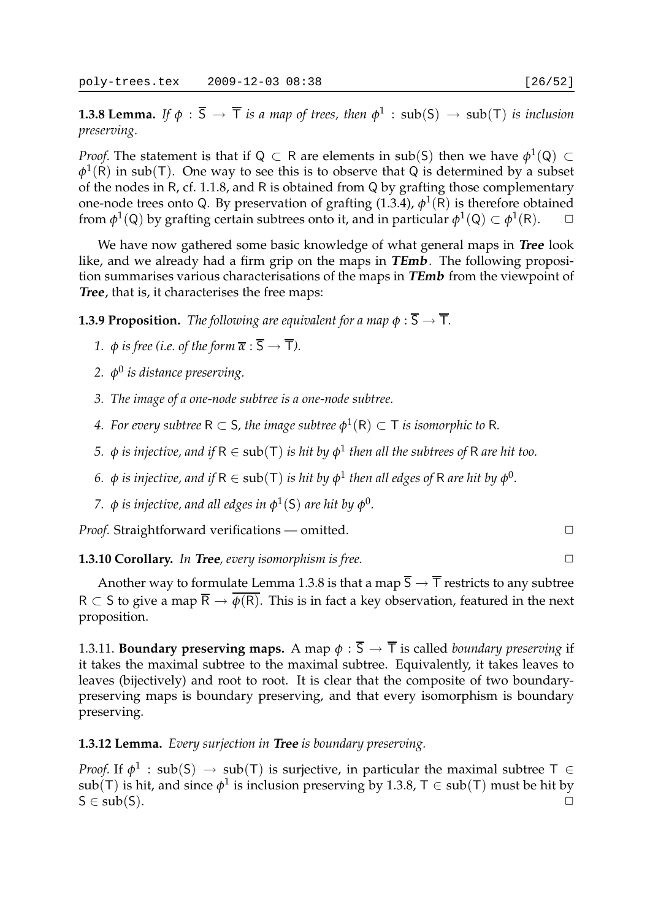**1.3.8 Lemma.** If  $\phi$  :  $\overline{S} \to \overline{T}$  *is a map of trees, then*  $\phi^1$  :  $\text{sub}(S) \to \text{sub}(T)$  *is inclusion preserving.*

*Proof.* The statement is that if Q  $\subset$  R are elements in sub(S) then we have  $\phi^1({\sf Q})\subset$  $\varphi^1(R)$  in sub(T). One way to see this is to observe that Q is determined by a subset of the nodes in R, cf. 1.1.8, and R is obtained from Q by grafting those complementary one-node trees onto Q. By preservation of grafting  $(1.3.4)$ ,  $\phi^1(\overline{R})$  is therefore obtained from  $\phi^1(Q)$  by grafting certain subtrees onto it, and in particular  $\phi^1(Q) \subset \phi^1(R)$ .  $\Box$ 

We have now gathered some basic knowledge of what general maps in **Tree** look like, and we already had a firm grip on the maps in **TEmb**. The following proposition summarises various characterisations of the maps in **TEmb** from the viewpoint of **Tree**, that is, it characterises the free maps:

**1.3.9 Proposition.** *The following are equivalent for a map*  $\phi : \overline{S} \to \overline{T}$ *.* 

- *1.*  $\phi$  *is free (i.e. of the form*  $\overline{\alpha}$  :  $\overline{S} \rightarrow \overline{T}$ ).
- *2. φ* 0 *is distance preserving.*
- *3. The image of a one-node subtree is a one-node subtree.*
- *4. For every subtree*  $R \subset S$ , the image subtree  $\phi^1(R) \subset T$  is isomorphic to R.
- *5.*  $\phi$  *is injective, and if*  $R \in sub(T)$  *is hit by*  $\phi^1$  *then all the subtrees of*  $R$  *are hit too.*
- *6.*  $ϕ$  *is injective, and if* R ∈ sub(⊤) *is hit by*  $ϕ$ <sup>1</sup> *then all edges of* R *are hit by*  $ϕ$ <sup>0</sup>.
- *7. φ is injective, and all edges in φ* 1 (S) *are hit by φ* 0 *.*

*Proof.* Straightforward verifications — omitted. □

**1.3.10 Corollary.** *In* **Tree***, every isomorphism is free.* ✷

Another way to formulate Lemma 1.3.8 is that a map  $\overline{S} \to \overline{T}$  restricts to any subtree  $R \subset S$  to give a map  $\overline{R} \to \overline{\phi(R)}$ . This is in fact a key observation, featured in the next proposition.

1.3.11. **Boundary preserving maps.** A map  $\phi$  :  $\overline{S} \rightarrow \overline{T}$  is called *boundary preserving* if it takes the maximal subtree to the maximal subtree. Equivalently, it takes leaves to leaves (bijectively) and root to root. It is clear that the composite of two boundarypreserving maps is boundary preserving, and that every isomorphism is boundary preserving.

#### **1.3.12 Lemma.** *Every surjection in* **Tree** *is boundary preserving.*

*Proof.* If  $\phi^1$  : sub(S)  $\rightarrow$  sub(T) is surjective, in particular the maximal subtree T  $\in$  $\mathsf{sub}(\mathsf{T})$  is hit, and since  $\phi^1$  is inclusion preserving by 1.3.8, T  $\in$   $\mathsf{sub}(\mathsf{T})$  must be hit by  $S \in sub(S)$ .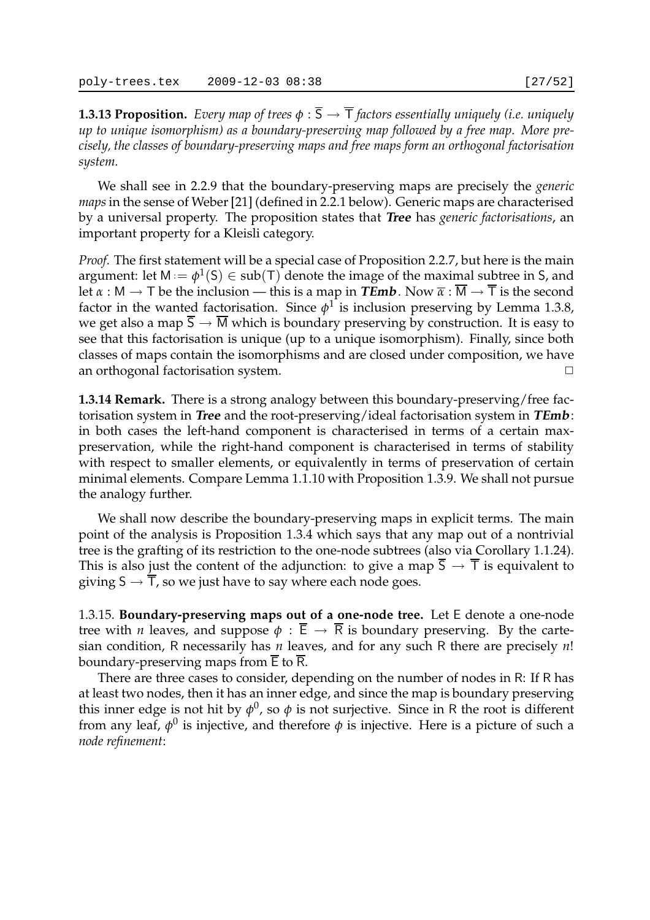**1.3.13 Proposition.** *Every map of trees*  $\phi$ :  $\overline{S} \rightarrow \overline{T}$  *factors essentially uniquely (i.e. uniquely up to unique isomorphism) as a boundary-preserving map followed by a free map. More precisely, the classes of boundary-preserving maps and free maps form an orthogonal factorisation system.*

We shall see in 2.2.9 that the boundary-preserving maps are precisely the *generic maps*in the sense of Weber [21] (defined in 2.2.1 below). Generic maps are characterised by a universal property. The proposition states that **Tree** has *generic factorisations*, an important property for a Kleisli category.

*Proof.* The first statement will be a special case of Proposition 2.2.7, but here is the main argument: let  $M := \phi^1(S) \in sub(T)$  denote the image of the maximal subtree in S, and let  $\alpha : M \to T$  be the inclusion — this is a map in **TEmb**. Now  $\overline{\alpha} : M \to T$  is the second factor in the wanted factorisation. Since  $\phi^1$  is inclusion preserving by Lemma 1.3.8, we get also a map  $\overline{S} \to \overline{M}$  which is boundary preserving by construction. It is easy to see that this factorisation is unique (up to a unique isomorphism). Finally, since both classes of maps contain the isomorphisms and are closed under composition, we have an orthogonal factorisation system.  $\Box$ 

**1.3.14 Remark.** There is a strong analogy between this boundary-preserving/free factorisation system in **Tree** and the root-preserving/ideal factorisation system in **TEmb**: in both cases the left-hand component is characterised in terms of a certain maxpreservation, while the right-hand component is characterised in terms of stability with respect to smaller elements, or equivalently in terms of preservation of certain minimal elements. Compare Lemma 1.1.10 with Proposition 1.3.9. We shall not pursue the analogy further.

We shall now describe the boundary-preserving maps in explicit terms. The main point of the analysis is Proposition 1.3.4 which says that any map out of a nontrivial tree is the grafting of its restriction to the one-node subtrees (also via Corollary 1.1.24). This is also just the content of the adjunction: to give a map  $\overline{S} \to \overline{T}$  is equivalent to giving  $S \rightarrow T$ , so we just have to say where each node goes.

1.3.15. **Boundary-preserving maps out of a one-node tree.** Let E denote a one-node tree with *n* leaves, and suppose  $\phi : \overline{E} \to \overline{R}$  is boundary preserving. By the cartesian condition, R necessarily has *n* leaves, and for any such R there are precisely *n*! boundary-preserving maps from  $\overline{E}$  to  $\overline{R}$ .

There are three cases to consider, depending on the number of nodes in R: If R has at least two nodes, then it has an inner edge, and since the map is boundary preserving this inner edge is not hit by  $\phi^0$ , so  $\phi$  is not surjective. Since in R the root is different from any leaf,  $\phi^0$  is injective, and therefore  $\phi$  is injective. Here is a picture of such a *node refinement*: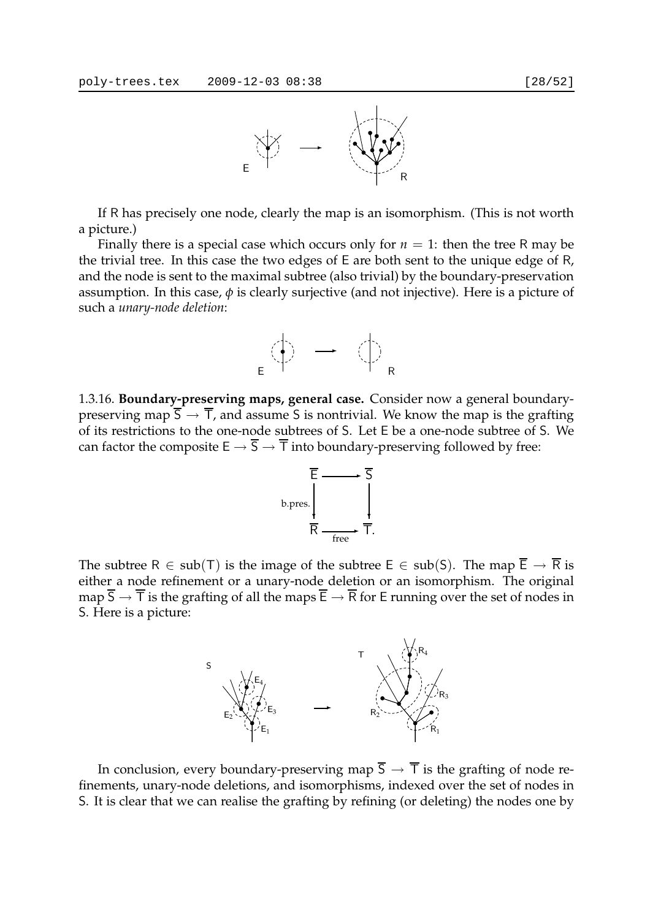

If R has precisely one node, clearly the map is an isomorphism. (This is not worth a picture.)

Finally there is a special case which occurs only for  $n = 1$ : then the tree R may be the trivial tree. In this case the two edges of E are both sent to the unique edge of R, and the node is sent to the maximal subtree (also trivial) by the boundary-preservation assumption. In this case,  $\phi$  is clearly surjective (and not injective). Here is a picture of such a *unary-node deletion*:



1.3.16. **Boundary-preserving maps, general case.** Consider now a general boundarypreserving map  $\overline{S} \to \overline{T}$ , and assume S is nontrivial. We know the map is the grafting of its restrictions to the one-node subtrees of S. Let E be a one-node subtree of S. We can factor the composite  $E \to \overline{S} \to \overline{T}$  into boundary-preserving followed by free:



The subtree R  $\in$  sub(T) is the image of the subtree E  $\in$  sub(S). The map  $\overline{E} \to \overline{R}$  is either a node refinement or a unary-node deletion or an isomorphism. The original map  $\overline{S} \to \overline{T}$  is the grafting of all the maps  $\overline{E} \to \overline{R}$  for E running over the set of nodes in S. Here is a picture:



In conclusion, every boundary-preserving map  $\overline{S} \to \overline{T}$  is the grafting of node refinements, unary-node deletions, and isomorphisms, indexed over the set of nodes in S. It is clear that we can realise the grafting by refining (or deleting) the nodes one by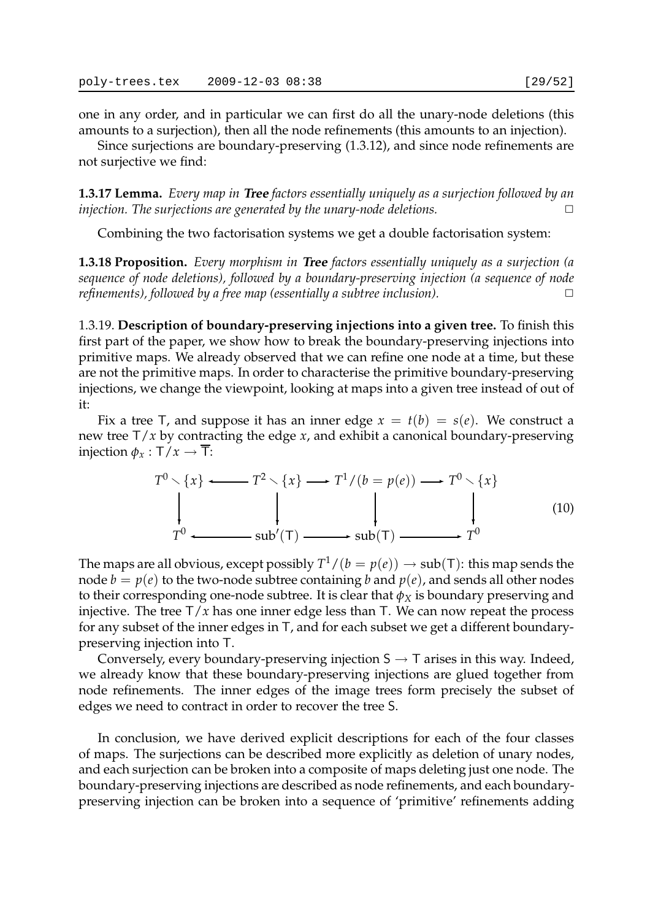one in any order, and in particular we can first do all the unary-node deletions (this amounts to a surjection), then all the node refinements (this amounts to an injection).

Since surjections are boundary-preserving (1.3.12), and since node refinements are not surjective we find:

**1.3.17 Lemma.** *Every map in* **Tree** *factors essentially uniquely as a surjection followed by an injection. The surjections are generated by the unary-node deletions.*  $\Box$ 

Combining the two factorisation systems we get a double factorisation system:

**1.3.18 Proposition.** *Every morphism in* **Tree** *factors essentially uniquely as a surjection (a sequence of node deletions), followed by a boundary-preserving injection (a sequence of node refinements), followed by a free map (essentially a subtree inclusion).* □

1.3.19. **Description of boundary-preserving injections into a given tree.** To finish this first part of the paper, we show how to break the boundary-preserving injections into primitive maps. We already observed that we can refine one node at a time, but these are not the primitive maps. In order to characterise the primitive boundary-preserving injections, we change the viewpoint, looking at maps into a given tree instead of out of it:

Fix a tree T, and suppose it has an inner edge  $x = t(b) = s(e)$ . We construct a new tree T/*x* by contracting the edge *x*, and exhibit a canonical boundary-preserving injection  $\phi_x : T/x \to \overline{T}$ :

$$
T^{0} \setminus \{x\} \longleftrightarrow T^{2} \setminus \{x\} \longrightarrow T^{1}/(b = p(e)) \longrightarrow T^{0} \setminus \{x\}
$$
  
\n
$$
\downarrow \qquad \qquad \downarrow \qquad \qquad \downarrow
$$
  
\n
$$
T^{0} \longleftrightarrow \text{sub}'(T) \longrightarrow \text{sub}(T) \longrightarrow T^{0}
$$
 (10)

The maps are all obvious, except possibly  $T^1/(b=p(e))\to\text{sub}(\mathsf{T})$ : this map sends the node  $b = p(e)$  to the two-node subtree containing *b* and  $p(e)$ , and sends all other nodes to their corresponding one-node subtree. It is clear that  $\phi_X$  is boundary preserving and injective. The tree  $T/x$  has one inner edge less than  $T$ . We can now repeat the process for any subset of the inner edges in T, and for each subset we get a different boundarypreserving injection into T.

Conversely, every boundary-preserving injection  $S \rightarrow T$  arises in this way. Indeed, we already know that these boundary-preserving injections are glued together from node refinements. The inner edges of the image trees form precisely the subset of edges we need to contract in order to recover the tree S.

In conclusion, we have derived explicit descriptions for each of the four classes of maps. The surjections can be described more explicitly as deletion of unary nodes, and each surjection can be broken into a composite of maps deleting just one node. The boundary-preserving injections are described as node refinements, and each boundarypreserving injection can be broken into a sequence of 'primitive' refinements adding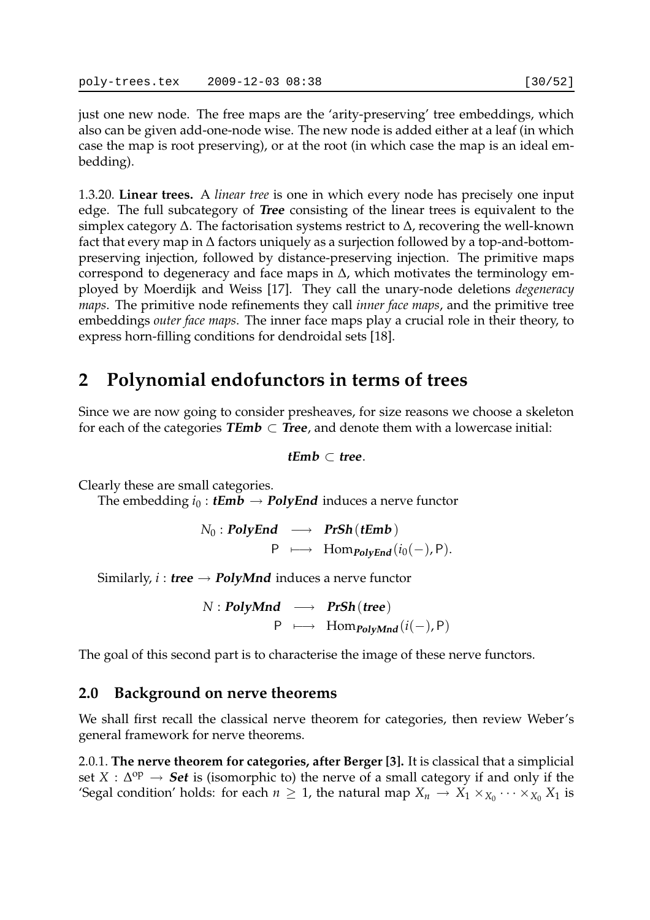just one new node. The free maps are the 'arity-preserving' tree embeddings, which also can be given add-one-node wise. The new node is added either at a leaf (in which case the map is root preserving), or at the root (in which case the map is an ideal embedding).

1.3.20. **Linear trees.** A *linear tree* is one in which every node has precisely one input edge. The full subcategory of **Tree** consisting of the linear trees is equivalent to the simplex category ∆. The factorisation systems restrict to ∆, recovering the well-known fact that every map in ∆ factors uniquely as a surjection followed by a top-and-bottompreserving injection, followed by distance-preserving injection. The primitive maps correspond to degeneracy and face maps in ∆, which motivates the terminology employed by Moerdijk and Weiss [17]. They call the unary-node deletions *degeneracy maps*. The primitive node refinements they call *inner face maps*, and the primitive tree embeddings *outer face maps*. The inner face maps play a crucial role in their theory, to express horn-filling conditions for dendroidal sets [18].

## **2 Polynomial endofunctors in terms of trees**

Since we are now going to consider presheaves, for size reasons we choose a skeleton for each of the categories **TEmb**  $\subset$  **Tree**, and denote them with a lowercase initial:

### **tEmb** ⊂ **tree**.

Clearly these are small categories.

The embedding  $i_0$ : *tEmb*  $\rightarrow$  *PolyEnd* induces a nerve functor

 $N_0$  : **PolyEnd**  $\longrightarrow$  **PrSh**(**tEmb**) P  $\longmapsto$  Hom<sub>*PolvEnd*</sub>( $i_0(-)$ , P).

Similarly, *i* : *tree*  $\rightarrow$  *PolyMnd* induces a nerve functor

*N* : **PolyMnd** −→ **PrSh**(**tree**) P  $\longmapsto$  Hom<sub>PolyMnd</sub>( $i(-)$ , P)

The goal of this second part is to characterise the image of these nerve functors.

## **2.0 Background on nerve theorems**

We shall first recall the classical nerve theorem for categories, then review Weber's general framework for nerve theorems.

2.0.1. **The nerve theorem for categories, after Berger [3].** It is classical that a simplicial set *X* :  $\Delta^{op}$  → **Set** is (isomorphic to) the nerve of a small category if and only if the 'Segal condition' holds: for each  $n \geq 1$ , the natural map  $X_n \to X_1 \times_{X_0} \cdots \times_{X_0} X_1$  is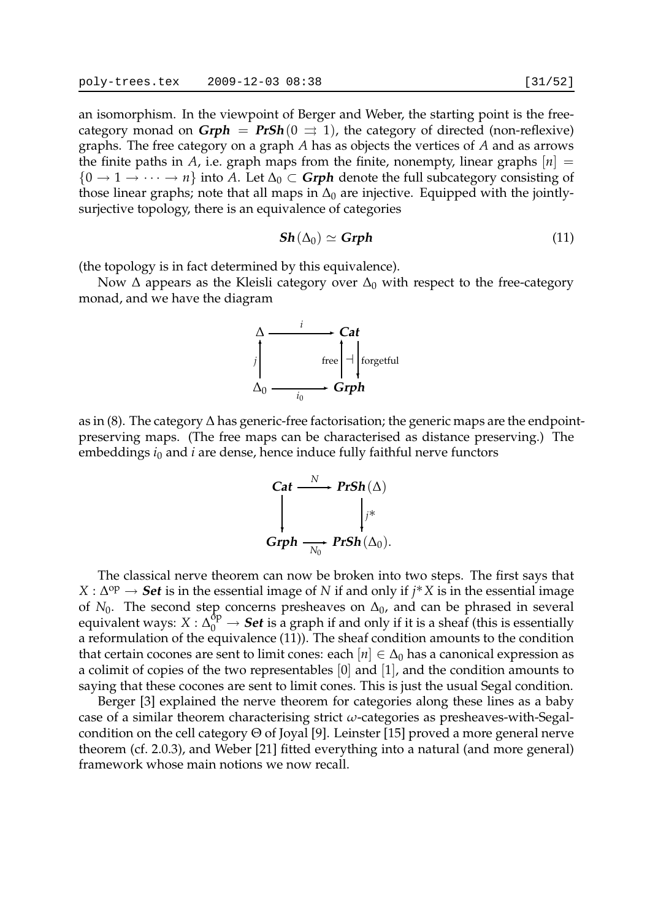an isomorphism. In the viewpoint of Berger and Weber, the starting point is the freecategory monad on  $\mathbf{Grph} = \mathbf{PrSh}(0 \Rightarrow 1)$ , the category of directed (non-reflexive) graphs. The free category on a graph *A* has as objects the vertices of *A* and as arrows the finite paths in *A*, i.e. graph maps from the finite, nonempty, linear graphs  $[n]$  =  $\{0 \to 1 \to \cdots \to n\}$  into A. Let  $\Delta_0 \subset \mathbf{Grph}$  denote the full subcategory consisting of those linear graphs; note that all maps in  $\Delta_0$  are injective. Equipped with the jointlysurjective topology, there is an equivalence of categories

$$
\mathbf{Sh}(\Delta_0) \simeq \mathbf{Grph} \tag{11}
$$

(the topology is in fact determined by this equivalence).

Now  $\Delta$  appears as the Kleisli category over  $\Delta_0$  with respect to the free-category monad, and we have the diagram



as in (8). The category ∆ has generic-free factorisation; the generic maps are the endpointpreserving maps. (The free maps can be characterised as distance preserving.) The embeddings *i*<sup>0</sup> and *i* are dense, hence induce fully faithful nerve functors

$$
\begin{array}{ccc}\n\textbf{Cat} & \xrightarrow{N} & \textbf{PrSh}(\Delta) \\
\downarrow & & \downarrow^{*} \\
\textbf{Grph} & \xrightarrow{N_0} & \textbf{PrSh}(\Delta_0).\n\end{array}
$$

The classical nerve theorem can now be broken into two steps. The first says that *X* : ∆ op → **Set** is in the essential image of *N* if and only if *j*∗*X* is in the essential image of  $N_0$ . The second step concerns presheaves on  $\Delta_0$ , and can be phrased in several equivalent ways:  $X : \Delta_0^{\text{dp}} \to \text{Set}$  is a graph if and only if it is a sheaf (this is essentially a reformulation of the equivalence (11)). The sheaf condition amounts to the condition that certain cocones are sent to limit cones: each  $[n] \in \Delta_0$  has a canonical expression as a colimit of copies of the two representables [0] and [1], and the condition amounts to saying that these cocones are sent to limit cones. This is just the usual Segal condition.

Berger [3] explained the nerve theorem for categories along these lines as a baby case of a similar theorem characterising strict *ω*-categories as presheaves-with-Segalcondition on the cell category Θ of Joyal [9]. Leinster [15] proved a more general nerve theorem (cf. 2.0.3), and Weber [21] fitted everything into a natural (and more general) framework whose main notions we now recall.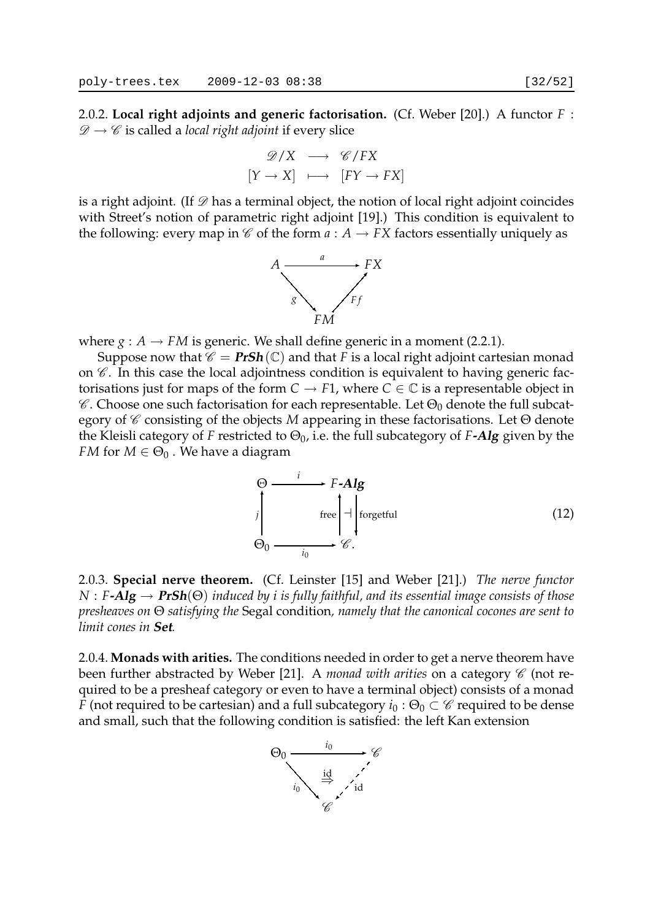2.0.2. **Local right adjoints and generic factorisation.** (Cf. Weber [20].) A functor *F* :  $\mathscr{D} \to \mathscr{C}$  is called a *local right adjoint* if every slice

$$
\mathcal{D}/X \longrightarrow \mathcal{C}/FX
$$

$$
[Y \to X] \longmapsto [FY \to FX]
$$

is a right adjoint. (If  $\mathscr D$  has a terminal object, the notion of local right adjoint coincides with Street's notion of parametric right adjoint [19].) This condition is equivalent to the following: every map in  $\mathscr C$  of the form  $a: A \to FX$  factors essentially uniquely as



where  $g : A \rightarrow FM$  is generic. We shall define generic in a moment (2.2.1).

Suppose now that  $\mathscr{C} = \text{PrSh}(\mathbb{C})$  and that *F* is a local right adjoint cartesian monad on  $\mathscr C$ . In this case the local adjointness condition is equivalent to having generic factorisations just for maps of the form  $C \to F1$ , where  $C \in \mathbb{C}$  is a representable object in  $\mathscr C$ . Choose one such factorisation for each representable. Let  $\Theta_0$  denote the full subcategory of C consisting of the objects *M* appearing in these factorisations. Let Θ denote the Kleisli category of *F* restricted to  $\Theta_0$ , i.e. the full subcategory of *F***-Alg** given by the *FM* for  $M \in \Theta_0$ . We have a diagram

$$
\Theta \longrightarrow F\text{-}Alg
$$
\n
$$
j \qquad \text{free} \qquad \Bigg| \text{+} \Bigg| \text{for} \text{getful}
$$
\n
$$
\Theta_0 \longrightarrow G
$$
\n
$$
i_0 \qquad \bullet \qquad G.
$$
\n(12)

2.0.3. **Special nerve theorem.** (Cf. Leinster [15] and Weber [21].) *The nerve functor N* : *F***-Alg** → **PrSh**(Θ) *induced by i is fully faithful, and its essential image consists of those presheaves on* Θ *satisfying the* Segal condition*, namely that the canonical cocones are sent to limit cones in* **Set***.*

2.0.4. **Monads with arities.** The conditions needed in order to get a nerve theorem have been further abstracted by Weber [21]. A *monad with arities* on a category  $\mathscr C$  (not required to be a presheaf category or even to have a terminal object) consists of a monad *F* (not required to be cartesian) and a full subcategory  $i_0$  :  $\Theta_0 \subset \mathscr{C}$  required to be dense and small, such that the following condition is satisfied: the left Kan extension

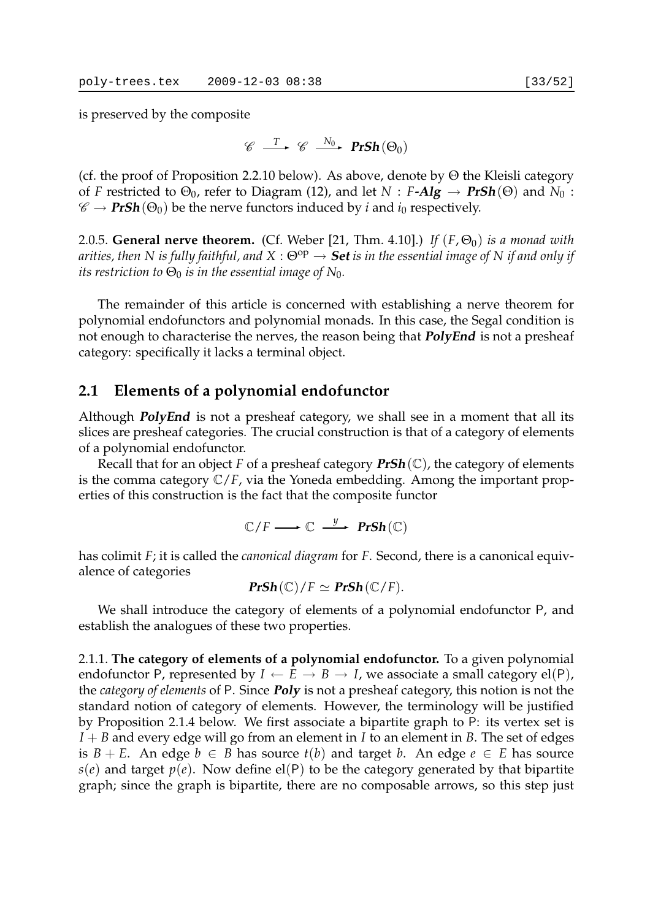is preserved by the composite

$$
\mathscr{C} \stackrel{T}{\longrightarrow} \mathscr{C} \stackrel{N_0}{\longrightarrow} \mathbf{PrSh}(\Theta_0)
$$

(cf. the proof of Proposition 2.2.10 below). As above, denote by  $\Theta$  the Kleisli category of *F* restricted to  $\Theta_0$ , refer to Diagram (12), and let  $N : F\text{-}Alg \to PrSh(\Theta)$  and  $N_0 :$  $\mathscr{C} \to \text{PrSh}(\Theta_0)$  be the nerve functors induced by *i* and *i*<sub>0</sub> respectively.

2.0.5. **General nerve theorem.** (Cf. Weber [21, Thm. 4.10].) *If*  $(F, \Theta_0)$  *is a monad with arities, then N is fully faithful, and X* :  $\Theta^{op} \to$  **Set** *is in the essential image of N if and only if its restriction to*  $\Theta_0$  *is in the essential image of*  $N_0$ *.* 

The remainder of this article is concerned with establishing a nerve theorem for polynomial endofunctors and polynomial monads. In this case, the Segal condition is not enough to characterise the nerves, the reason being that **PolyEnd** is not a presheaf category: specifically it lacks a terminal object.

## **2.1 Elements of a polynomial endofunctor**

Although **PolyEnd** is not a presheaf category, we shall see in a moment that all its slices are presheaf categories. The crucial construction is that of a category of elements of a polynomial endofunctor.

Recall that for an object *F* of a presheaf category **PrSh**(C), the category of elements is the comma category C/*F*, via the Yoneda embedding. Among the important properties of this construction is the fact that the composite functor

$$
\mathbb{C}/F \longrightarrow \mathbb{C} \stackrel{y}{\longrightarrow} \mathbf{PrSh}(\mathbb{C})
$$

has colimit *F*; it is called the *canonical diagram* for *F*. Second, there is a canonical equivalence of categories

$$
\mathbf{PrSh}(\mathbb{C})/F \simeq \mathbf{PrSh}(\mathbb{C}/F).
$$

We shall introduce the category of elements of a polynomial endofunctor P, and establish the analogues of these two properties.

2.1.1. **The category of elements of a polynomial endofunctor.** To a given polynomial endofunctor P, represented by  $I \leftarrow E \rightarrow B \rightarrow I$ , we associate a small category el(P), the *category of elements* of P. Since **Poly** is not a presheaf category, this notion is not the standard notion of category of elements. However, the terminology will be justified by Proposition 2.1.4 below. We first associate a bipartite graph to P: its vertex set is  $I + B$  and every edge will go from an element in *I* to an element in *B*. The set of edges is *B* + *E*. An edge *b* ∈ *B* has source *t*(*b*) and target *b*. An edge *e* ∈ *E* has source  $s(e)$  and target  $p(e)$ . Now define el(P) to be the category generated by that bipartite graph; since the graph is bipartite, there are no composable arrows, so this step just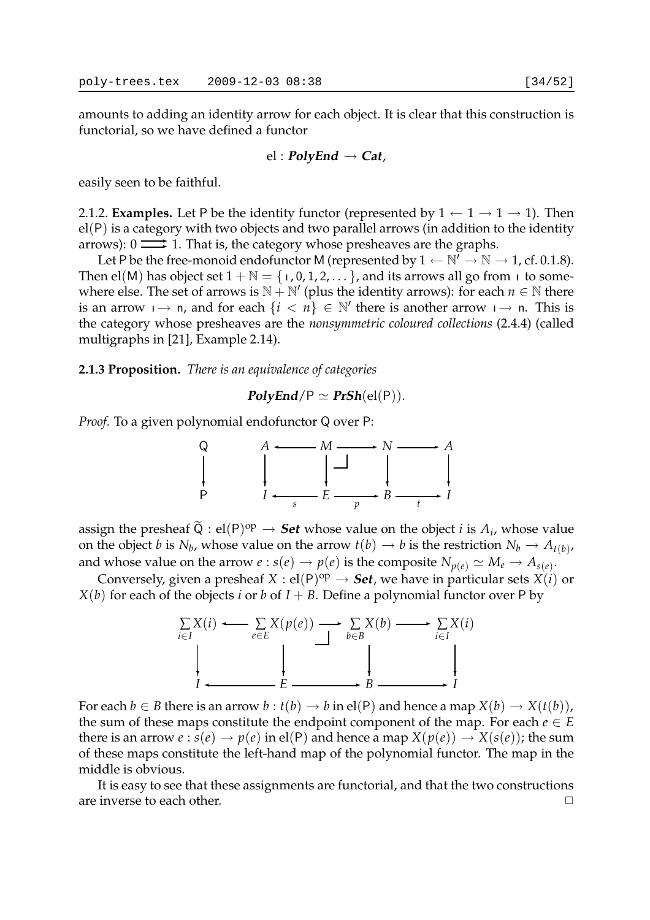amounts to adding an identity arrow for each object. It is clear that this construction is functorial, so we have defined a functor

$$
el: PolyEnd \to Cat,
$$

easily seen to be faithful.

2.1.2. **Examples.** Let P be the identity functor (represented by  $1 \leftarrow 1 \rightarrow 1 \rightarrow 1$ ). Then el(P) is a category with two objects and two parallel arrows (in addition to the identity arrows):  $0 \implies$  1. That is, the category whose presheaves are the graphs.

Let P be the free-monoid endofunctor M (represented by  $1 \leftarrow \mathbb{N}' \rightarrow \mathbb{N} \rightarrow 1$ , cf. 0.1.8). Then el(M) has object set  $1 + \mathbb{N} = \{1, 0, 1, 2, ...\}$ , and its arrows all go from  $\top$  to somewhere else. The set of arrows is  $N + N'$  (plus the identity arrows): for each  $n \in \mathbb{N}$  there is an arrow  $\mapsto$  n, and for each  $\{i < n\} \in \mathbb{N}'$  there is another arrow  $\mapsto$  n. This is the category whose presheaves are the *nonsymmetric coloured collections* (2.4.4) (called multigraphs in [21], Example 2.14).

**2.1.3 Proposition.** *There is an equivalence of categories*

 $PolyEnd/P \simeq PrSh(\mathrm{el}(P)).$ 

*Proof.* To a given polynomial endofunctor Q over P:



assign the presheaf  $\widetilde{Q}$  : el(P)<sup>op</sup>  $\rightarrow$  **Set** whose value on the object *i* is  $A_i$ , whose value on the object  $b$  is  $N_b$ , whose value on the arrow  $t(b)\to b$  is the restriction  $N_b\to A_{t(b)}$ , and whose value on the arrow  $e$  :  $s(e) \rightarrow p(e)$  is the composite  $N_{p(e)} \simeq M_e \rightarrow A_{s(e)}.$ 

Conversely, given a presheaf  $X : \text{el}(P)^{op} \to \text{Set}$ , we have in particular sets  $X(i)$  or *X*(*b*) for each of the objects *i* or *b* of  $I + B$ . Define a polynomial functor over P by



For each  $b \in B$  there is an arrow  $b : t(b) \to b$  in el(P) and hence a map  $X(b) \to X(t(b))$ , the sum of these maps constitute the endpoint component of the map. For each  $e \in E$ there is an arrow  $e : s(e) \to p(e)$  in el(P) and hence a map  $X(p(e)) \to X(s(e))$ ; the sum of these maps constitute the left-hand map of the polynomial functor. The map in the middle is obvious.

It is easy to see that these assignments are functorial, and that the two constructions are inverse to each other.  $\Box$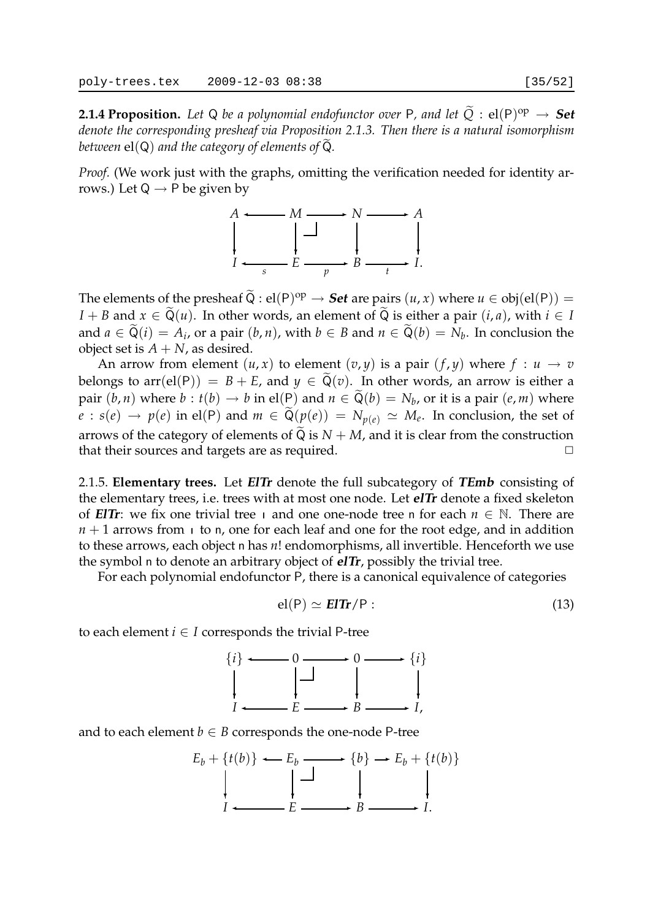**2.1.4 Proposition.** Let Q be a polynomial endofunctor over P, and let  $\widetilde{Q}$  :  $el(P)^{op} \rightarrow$  Set *denote the corresponding presheaf via Proposition 2.1.3. Then there is a natural isomorphism between*  $el(Q)$  *and the category of elements of*  $Q$ *.* 

*Proof.* (We work just with the graphs, omitting the verification needed for identity arrows.) Let  $Q \rightarrow P$  be given by



The elements of the presheaf  $\widetilde{Q}$  :  $el(P)^{op} \to$  **Set** are pairs  $(u, x)$  where  $u \in obj(el(P)) =$ *I* + *B* and  $x \in \tilde{Q}(u)$ . In other words, an element of  $\tilde{Q}$  is either a pair  $(i, a)$ , with  $i \in I$ and  $a \in \mathsf{Q}(i) = A_i$ , or a pair  $(b, n)$ , with  $b \in B$  and  $n \in \mathsf{Q}(b) = N_b$ . In conclusion the object set is  $A + N$ , as desired.

An arrow from element  $(u, x)$  to element  $(v, y)$  is a pair  $(f, y)$  where  $f : u \to v$ belongs to  $arr(el(P)) = B + E$ , and  $y \in \tilde{Q}(v)$ . In other words, an arrow is either a pair  $(b, n)$  where  $b : t(b) \to b$  in el $(\bigcup_{n=1}^{\infty} a_n)$  and  $n \in \mathsf{Q}(b) = N_b$ , or it is a pair  $(e, m)$  where *e* : *s*(*e*) → *p*(*e*) in el(P) and *m* ∈  $Q(p(e)) = N_{p(e)} \simeq M_e$ . In conclusion, the set of arrows of the category of elements of  $\tilde{Q}$  is  $N + M$ , and it is clear from the construction that their sources and targets are as required that their sources and targets are as required.

2.1.5. **Elementary trees.** Let **ElTr** denote the full subcategory of **TEmb** consisting of the elementary trees, i.e. trees with at most one node. Let **elTr** denote a fixed skeleton of **EIT***r*: we fix one trivial tree  $\theta$  and one one-node tree n for each  $n \in \mathbb{N}$ . There are  $n + 1$  arrows from  $\mu$  to n, one for each leaf and one for the root edge, and in addition to these arrows, each object n has *n*! endomorphisms, all invertible. Henceforth we use the symbol n to denote an arbitrary object of **elTr**, possibly the trivial tree.

For each polynomial endofunctor P, there is a canonical equivalence of categories

$$
el(P) \simeq \mathbf{EITr}/P: \tag{13}
$$

to each element  $i \in I$  corresponds the trivial P-tree



and to each element  $b \in B$  corresponds the one-node P-tree

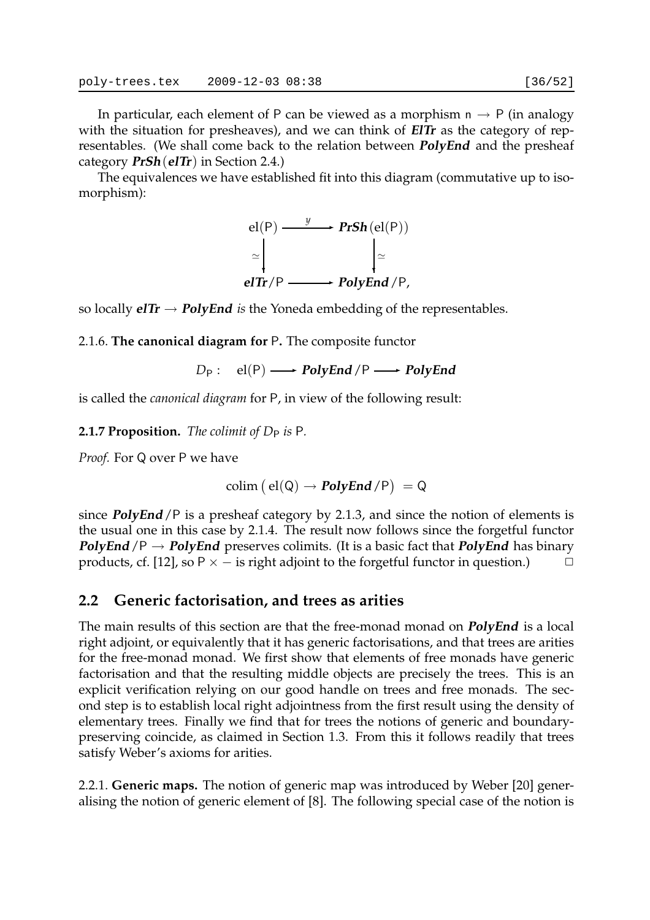category **PrSh**(**elTr**) in Section 2.4.) The equivalences we have established fit into this diagram (commutative up to isomorphism):



so locally  $e^T T r \rightarrow PolyEnd$  *is* the Yoneda embedding of the representables.

2.1.6. **The canonical diagram for** P**.** The composite functor

 $D_P$  : el(P)  $\longrightarrow$  **PolyEnd** /P  $\longrightarrow$  **PolyEnd** 

is called the *canonical diagram* for P, in view of the following result:

**2.1.7 Proposition.** *The colimit of D<sub>P</sub> is P.* 

*Proof.* For Q over P we have

$$
colim (el(Q) \rightarrow \text{PolyEnd}/P) = Q
$$

since **PolyEnd**/P is a presheaf category by 2.1.3, and since the notion of elements is the usual one in this case by 2.1.4. The result now follows since the forgetful functor **PolyEnd**/P  $\rightarrow$  **PolyEnd** preserves colimits. (It is a basic fact that **PolyEnd** has binary products, cf. [12], so P  $\times$  – is right adjoint to the forgetful functor in question.)  $\Box$ 

## **2.2 Generic factorisation, and trees as arities**

The main results of this section are that the free-monad monad on **PolyEnd** is a local right adjoint, or equivalently that it has generic factorisations, and that trees are arities for the free-monad monad. We first show that elements of free monads have generic factorisation and that the resulting middle objects are precisely the trees. This is an explicit verification relying on our good handle on trees and free monads. The second step is to establish local right adjointness from the first result using the density of elementary trees. Finally we find that for trees the notions of generic and boundarypreserving coincide, as claimed in Section 1.3. From this it follows readily that trees satisfy Weber's axioms for arities.

2.2.1. **Generic maps.** The notion of generic map was introduced by Weber [20] generalising the notion of generic element of [8]. The following special case of the notion is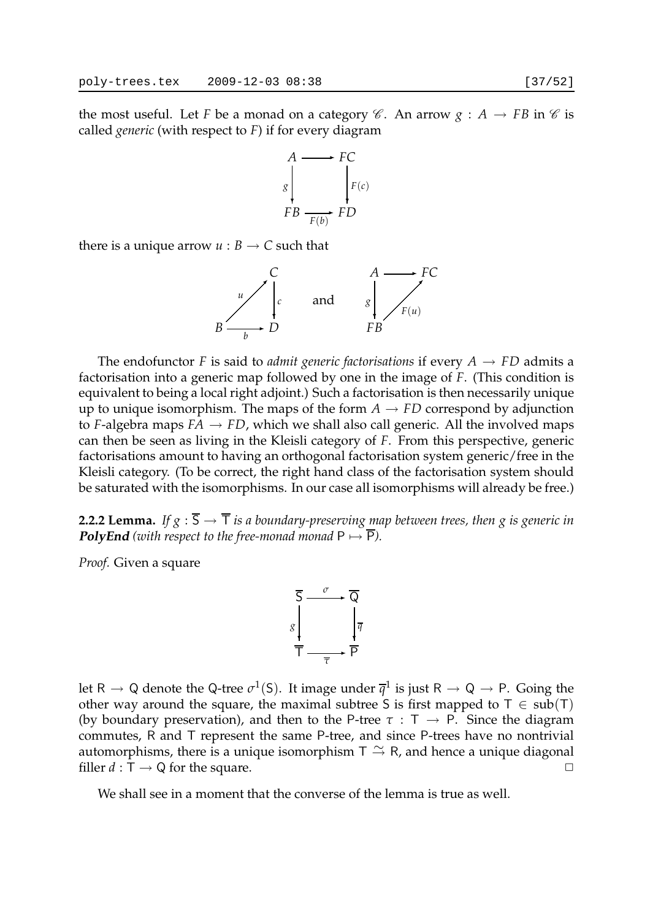the most useful. Let *F* be a monad on a category  $\mathscr C$ . An arrow  $g : A \to FB$  in  $\mathscr C$  is called *generic* (with respect to *F*) if for every diagram



there is a unique arrow  $u : B \to C$  such that



The endofunctor *F* is said to *admit generic factorisations* if every  $A \rightarrow FD$  admits a factorisation into a generic map followed by one in the image of *F*. (This condition is equivalent to being a local right adjoint.) Such a factorisation is then necessarily unique up to unique isomorphism. The maps of the form  $A \rightarrow FD$  correspond by adjunction to *F*-algebra maps  $FA \rightarrow FD$ , which we shall also call generic. All the involved maps can then be seen as living in the Kleisli category of *F*. From this perspective, generic factorisations amount to having an orthogonal factorisation system generic/free in the Kleisli category. (To be correct, the right hand class of the factorisation system should be saturated with the isomorphisms. In our case all isomorphisms will already be free.)

**2.2.2 Lemma.** If  $g : \overline{S} \to \overline{T}$  *is a boundary-preserving map between trees, then g is generic in* **PolyEnd** (with respect to the free-monad monad  $P \mapsto \overline{P}$ ).

*Proof.* Given a square



let R  $\to$  Q denote the Q-tree  $\sigma^1(S)$ . It image under  $\overline{q}^1$  is just R  $\to$  Q  $\to$  P. Going the other way around the square, the maximal subtree S is first mapped to  $T \in sub(T)$ (by boundary preservation), and then to the P-tree  $\tau : T \rightarrow P$ . Since the diagram commutes, R and T represent the same P-tree, and since P-trees have no nontrivial automorphisms, there is a unique isomorphism  $\top \cong \mathsf{R}$ , and hence a unique diagonal filler  $d : \mathsf{T} \to \mathsf{Q}$  for the square.  $\Box$ 

We shall see in a moment that the converse of the lemma is true as well.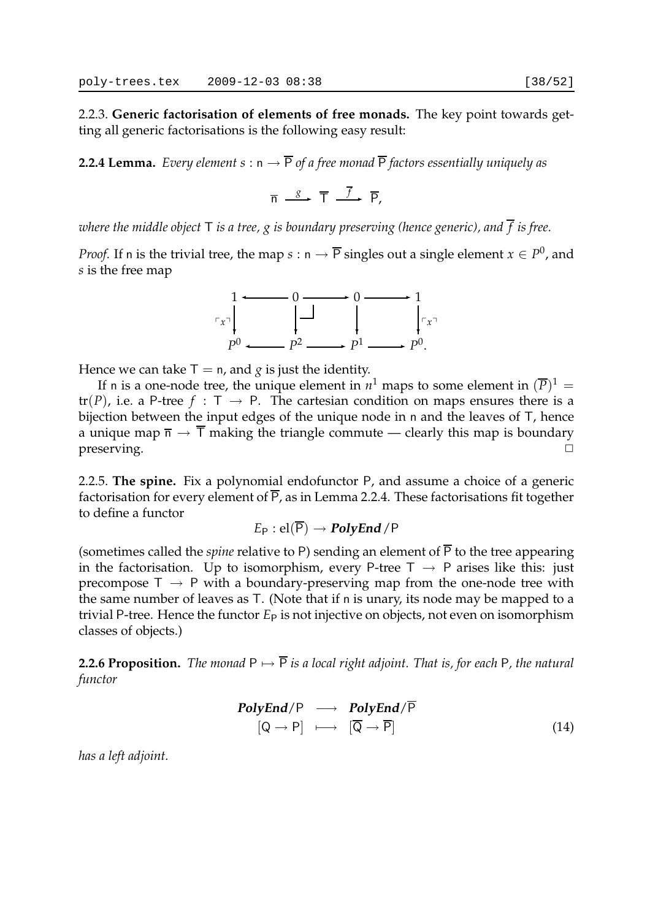2.2.3. **Generic factorisation of elements of free monads.** The key point towards getting all generic factorisations is the following easy result:

**2.2.4 Lemma.** *Every element*  $s : n \to \overline{P}$  *of a free monad*  $\overline{P}$  *factors essentially uniquely as* 

$$
\overline{n} \stackrel{g}{\longrightarrow} \overline{T} \stackrel{\overline{f}}{\longrightarrow} \overline{P},
$$

*where the middle object* T *is a tree, g is boundary preserving (hence generic), and f is free.*

*Proof.* If n is the trivial tree, the map  $s : n \to \overline{P}$  singles out a single element  $x \in P^0$ , and *s* is the free map



Hence we can take  $T = n$ , and *g* is just the identity.

If n is a one-node tree, the unique element in  $n^1$  maps to some element in  $(\overline{P})^1 =$  $tr(P)$ , i.e. a P-tree  $f : T \rightarrow P$ . The cartesian condition on maps ensures there is a bijection between the input edges of the unique node in n and the leaves of T, hence a unique map  $\overline{n} \to \overline{T}$  making the triangle commute — clearly this map is boundary  $preserving.$ 

2.2.5. **The spine.** Fix a polynomial endofunctor P, and assume a choice of a generic factorisation for every element of  $\overline{P}$ , as in Lemma 2.2.4. These factorisations fit together to define a functor

 $E_P$  : el( $\overline{P}$ )  $\rightarrow$  **PolyEnd** /P

(sometimes called the *spine* relative to P) sending an element of  $\overline{P}$  to the tree appearing in the factorisation. Up to isomorphism, every P-tree  $T \rightarrow P$  arises like this: just precompose  $T \rightarrow P$  with a boundary-preserving map from the one-node tree with the same number of leaves as T. (Note that if n is unary, its node may be mapped to a trivial P-tree. Hence the functor  $E_P$  is not injective on objects, not even on isomorphism classes of objects.)

**2.2.6 Proposition.** *The monad*  $P \mapsto \overline{P}$  *is a local right adjoint. That is, for each* P*, the natural functor*

$$
\begin{array}{rcl}\n\text{PolyEnd}/\mathsf{P} & \longrightarrow & \text{PolyEnd}/\overline{\mathsf{P}} \\
\left[\mathsf{Q} \to \mathsf{P}\right] & \longmapsto & \left[\overline{\mathsf{Q}} \to \overline{\mathsf{P}}\right]\n\end{array}\n\tag{14}
$$

*has a left adjoint.*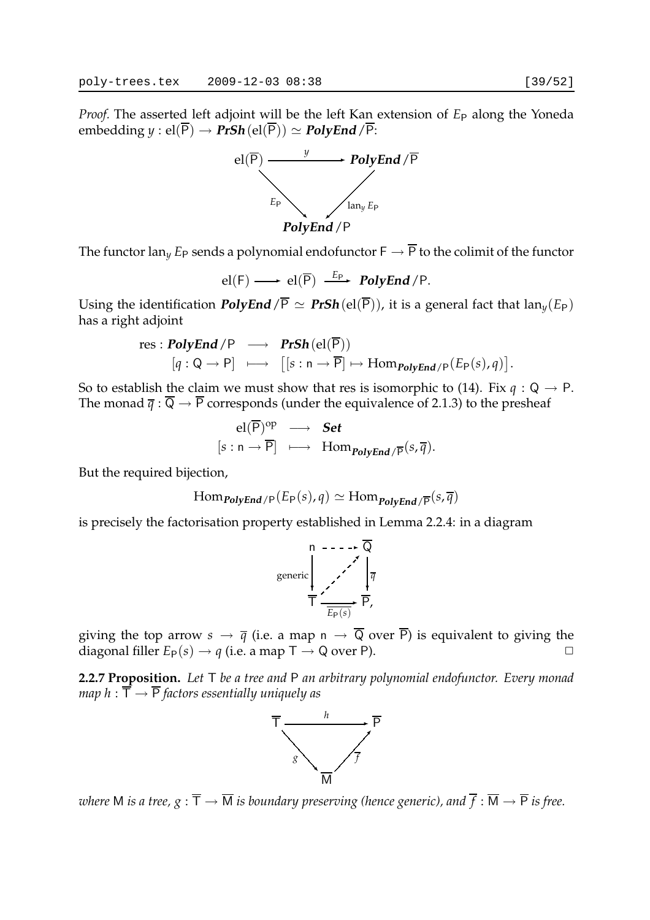*Proof.* The asserted left adjoint will be the left Kan extension of  $E_P$  along the Yoneda  $embedding y : el(\overline{P}) \rightarrow PrSh(el(\overline{P})) \simeq PolyEnd/\overline{P}$ :



The functor lan<sub>y</sub>  $E_P$  sends a polynomial endofunctor  $\mathsf{F} \to \overline{\mathsf{P}}$  to the colimit of the functor

$$
el(F) \longrightarrow el(\overline{P}) \stackrel{E_P}{\longrightarrow} PolyEnd/P.
$$

Using the identification **PolyEnd**/ $\overline{P} \simeq PrSh(\text{el}(\overline{P}))$ , it is a general fact that  $\text{lan}_{\gamma}(E_{P})$ has a right adjoint

res : ***PolyEnd*** / P 
$$
\longrightarrow
$$
 ***PrSh***(el( $\overline{P}$ ))  
[ $q : Q \rightarrow P$ ]  $\longmapsto$  [[ $s : n \rightarrow \overline{P}$ ]  $\mapsto$  Hom<sub>*PolyEnd*</sub> / P( $E_P(s)$ ,  $q$ )].

So to establish the claim we must show that res is isomorphic to (14). Fix  $q : Q \to P$ . The monad  $\overline{q}$  :  $\overline{Q}$   $\rightarrow$   $\overline{P}$  corresponds (under the equivalence of 2.1.3) to the presheaf

$$
\begin{array}{ccc}\n\text{el}(\overline{P})^{\text{op}} & \longrightarrow & \textbf{Set} \\
[s:n \to \overline{P}] & \longmapsto & \text{Hom}_{\textbf{PolyEnd}/\overline{P}}(s,\overline{q}).\n\end{array}
$$

But the required bijection,

$$
\text{Hom}_{\text{PolyEnd}/\text{P}}(E_{\text{P}}(s), q) \simeq \text{Hom}_{\text{PolyEnd}/\text{P}}(s, \overline{q})
$$

is precisely the factorisation property established in Lemma 2.2.4: in a diagram



giving the top arrow  $s \to \overline{q}$  (i.e. a map  $n \to \overline{Q}$  over  $\overline{P}$ ) is equivalent to giving the diagonal filler  $E_P(s) \to q$  (i.e. a map  $T \to Q$  over P).

**2.2.7 Proposition.** *Let* T *be a tree and* P *an arbitrary polynomial endofunctor. Every monad map*  $h : \overline{T} \rightarrow \overline{P}$  *factors essentially uniquely as* 



*where* M *is a tree,*  $g : \overline{T} \to \overline{M}$  *is boundary preserving (hence generic), and*  $\overline{f} : \overline{M} \to \overline{P}$  *is free.*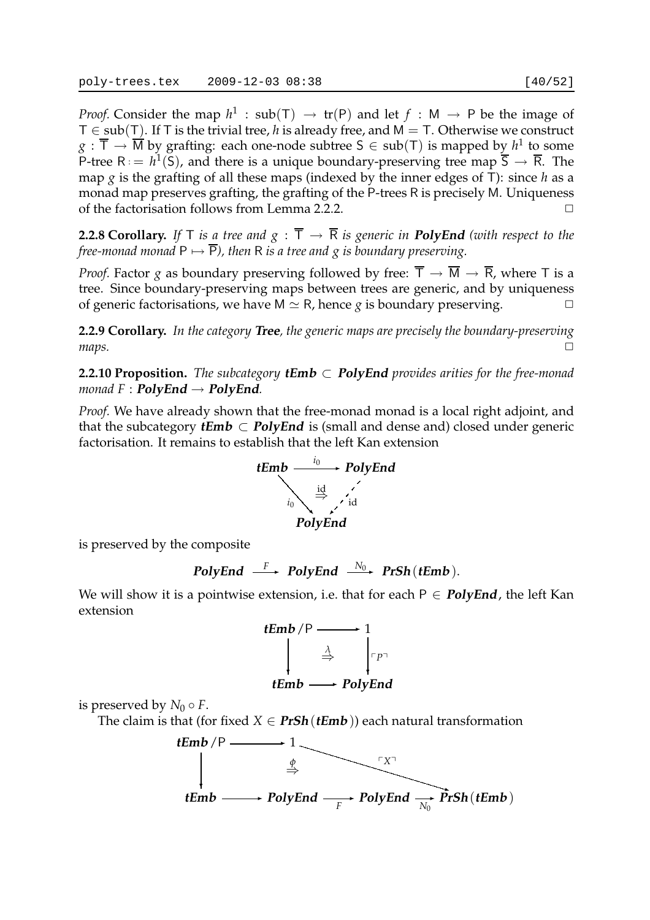*Proof.* Consider the map  $h^1$  :  $sub(T) \rightarrow tr(P)$  and let  $f : M \rightarrow P$  be the image of T ∈ sub(T). If T is the trivial tree, *h* is already free, and M = T. Otherwise we construct  $g: \overline{\mathsf{T}} \to \overline{\mathsf{M}}$  by grafting: each one-node subtree  $\mathsf{S} \in \mathsf{sub}(\mathsf{T})$  is mapped by  $h^1$  to some P-tree  $R := h^1(S)$ , and there is a unique boundary-preserving tree map  $\overline{S} \to \overline{R}$ . The map *g* is the grafting of all these maps (indexed by the inner edges of T): since *h* as a monad map preserves grafting, the grafting of the P-trees R is precisely M. Uniqueness of the factorisation follows from Lemma 2.2.2.

**2.2.8 Corollary.** If  $\top$  *is a tree and*  $g : \overline{\top} \rightarrow \overline{R}$  *is generic in PolyEnd (with respect to the free-monad monad*  $P \mapsto \overline{P}$ *), then* R *is a tree and g is boundary preserving.* 

*Proof.* Factor *g* as boundary preserving followed by free:  $\overline{T} \to \overline{M} \to \overline{R}$ , where T is a tree. Since boundary-preserving maps between trees are generic, and by uniqueness of generic factorisations, we have  $M \simeq R$ , hence *g* is boundary preserving.

**2.2.9 Corollary.** *In the category* **Tree***, the generic maps are precisely the boundary-preserving*  $maps.$ 

**2.2.10 Proposition.** *The subcategory* **tEmb** ⊂ **PolyEnd** *provides arities for the free-monad monad*  $F : \text{PolyEnd} \rightarrow \text{PolyEnd}$ *.* 

*Proof.* We have already shown that the free-monad monad is a local right adjoint, and that the subcategory **tEmb**  $\subset$  **PolyEnd** is (small and dense and) closed under generic factorisation. It remains to establish that the left Kan extension



is preserved by the composite

PolyEnd 
$$
\xrightarrow{F}
$$
 PolyEnd  $\xrightarrow{N_0}$  PrSh(tEmb).

We will show it is a pointwise extension, i.e. that for each  $P \in PolyEnd$ , the left Kan extension



is preserved by  $N_0 \circ F$ .

The claim is that (for fixed  $X \in \text{PrSh}(\text{tEmb})$ ) each natural transformation

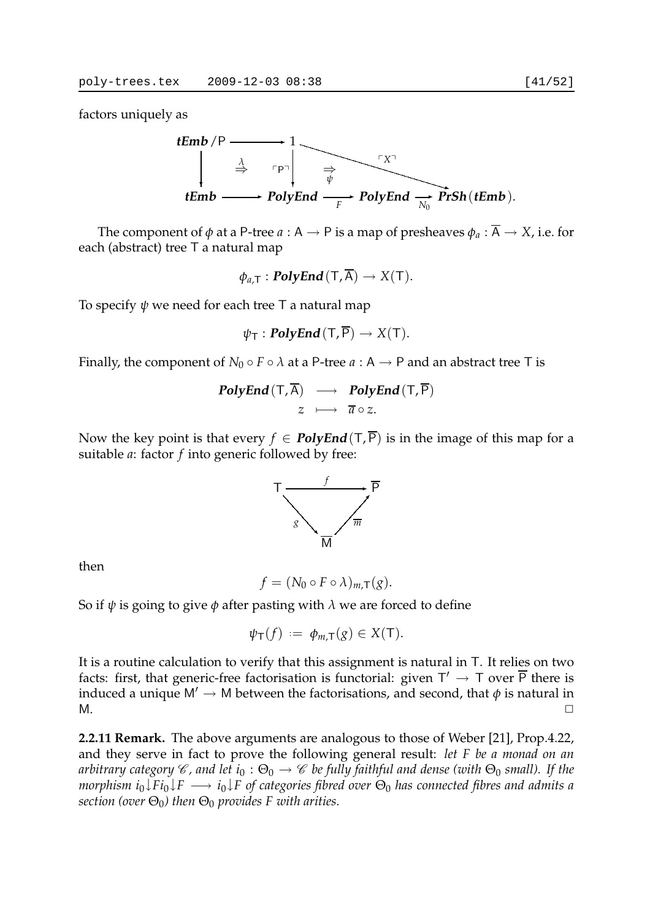factors uniquely as



The component of  $\phi$  at a P-tree  $a : A \rightarrow P$  is a map of presheaves  $\phi_a : \overline{A} \rightarrow X$ , i.e. for each (abstract) tree T a natural map

 $\phi_{a,\mathsf{T}} : \mathbf{PolyEnd}(\mathsf{T}, \overline{\mathsf{A}}) \to X(\mathsf{T}).$ 

To specify *ψ* we need for each tree T a natural map

$$
\psi_{\mathsf{T}}: \mathbf{PolyEnd}(\mathsf{T},\overline{\mathsf{P}}) \to X(\mathsf{T}).
$$

Finally, the component of  $N_0 \circ F \circ \lambda$  at a P-tree  $a : A \to P$  and an abstract tree T is

**PolyEnd** 
$$
(T, \overline{A}) \longrightarrow
$$
 **PolyEnd**  $(T, \overline{P})$   
 $z \longmapsto \overline{a} \circ z$ .

Now the key point is that every  $f \in \mathbf{PolyEnd}(T,\overline{P})$  is in the image of this map for a suitable *a*: factor *f* into generic followed by free:



then

$$
f = (N_0 \circ F \circ \lambda)_{m,\mathsf{T}}(g).
$$

So if *ψ* is going to give *φ* after pasting with *λ* we are forced to define

$$
\psi_{\mathsf{T}}(f) := \phi_{m,\mathsf{T}}(g) \in X(\mathsf{T}).
$$

It is a routine calculation to verify that this assignment is natural in T. It relies on two facts: first, that generic-free factorisation is functorial: given  $T' \to T$  over  $\overline{P}$  there is induced a unique  $M' \rightarrow M$  between the factorisations, and second, that  $\phi$  is natural in  $M.$ 

**2.2.11 Remark.** The above arguments are analogous to those of Weber [21], Prop.4.22, and they serve in fact to prove the following general result: *let F be a monad on an arbitrary category*  $\mathscr C$ , and let  $i_0 : \Theta_0 \to \mathscr C$  be fully faithful and dense (with  $\Theta_0$  small). If the *morphism*  $i_0 \downarrow F i_0 \downarrow F \longrightarrow i_0 \downarrow F$  of categories fibred over  $\Theta_0$  has connected fibres and admits a *section (over*  $\Theta_0$ *) then*  $\Theta_0$  *provides F with arities.*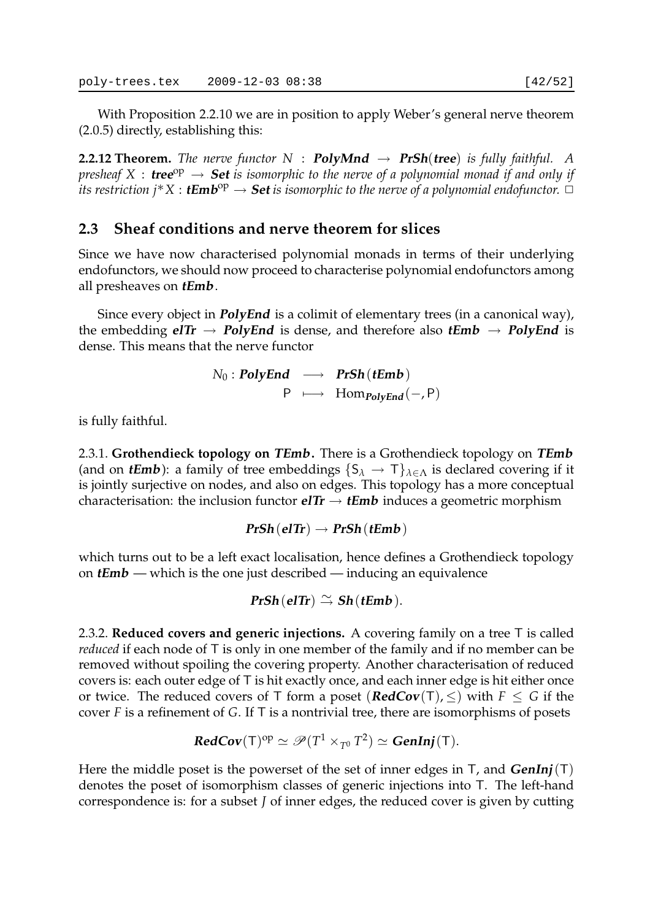With Proposition 2.2.10 we are in position to apply Weber's general nerve theorem (2.0.5) directly, establishing this:

**2.2.12 Theorem.** The nerve functor  $N$  : **PolyMnd**  $\rightarrow$  **PrSh(tree)** is fully faithful. A  $p$ resheaf  $X$  :  $\bf{tree}^{op}$   $\rightarrow$   $\bf{Set}$  is isomorphic to the nerve of a polynomial monad if and only if *its restriction j*∗*X* : **tEmb** op → **Set** *is isomorphic to the nerve of a polynomial endofunctor.* ✷

## **2.3 Sheaf conditions and nerve theorem for slices**

Since we have now characterised polynomial monads in terms of their underlying endofunctors, we should now proceed to characterise polynomial endofunctors among all presheaves on **tEmb**.

Since every object in **PolyEnd** is a colimit of elementary trees (in a canonical way), the embedding  $e^{\int T}$   $\rightarrow$  **PolyEnd** is dense, and therefore also  $tEmb \rightarrow PolyEnd$  is dense. This means that the nerve functor

> $N_0$  : **PolyEnd**  $\longrightarrow$  **PrSh**(**tEmb**)  $P \longmapsto$  Hom<sub>*PolyEnd*</sub>(−, P)

is fully faithful.

2.3.1. **Grothendieck topology on TEmb.** There is a Grothendieck topology on **TEmb** (and on **tEmb**): a family of tree embeddings  $\{S_\lambda \to T\}_{\lambda \in \Lambda}$  is declared covering if it is jointly surjective on nodes, and also on edges. This topology has a more conceptual characterisation: the inclusion functor  $eITr \rightarrow tEmb$  induces a geometric morphism

 $PrSh$ (**elTr**)  $\rightarrow PrSh$ (**tEmb**)

which turns out to be a left exact localisation, hence defines a Grothendieck topology on **tEmb** — which is the one just described — inducing an equivalence

 $PrSh$ (**elTr**)  $\cong$  **Sh**(**tEmb**).

2.3.2. **Reduced covers and generic injections.** A covering family on a tree T is called *reduced* if each node of T is only in one member of the family and if no member can be removed without spoiling the covering property. Another characterisation of reduced covers is: each outer edge of T is hit exactly once, and each inner edge is hit either once or twice. The reduced covers of T form a poset  $(\text{RedCov}(T), \leq)$  with  $F \leq G$  if the cover *F* is a refinement of *G*. If T is a nontrivial tree, there are isomorphisms of posets

$$
\text{RedCov}(\mathsf{T})^{\mathrm{op}} \simeq \mathscr{P}(T^1 \times_{T^0} T^2) \simeq \text{GenInj}(\mathsf{T}).
$$

Here the middle poset is the powerset of the set of inner edges in  $T$ , and  $GenInj(T)$ denotes the poset of isomorphism classes of generic injections into T. The left-hand correspondence is: for a subset *J* of inner edges, the reduced cover is given by cutting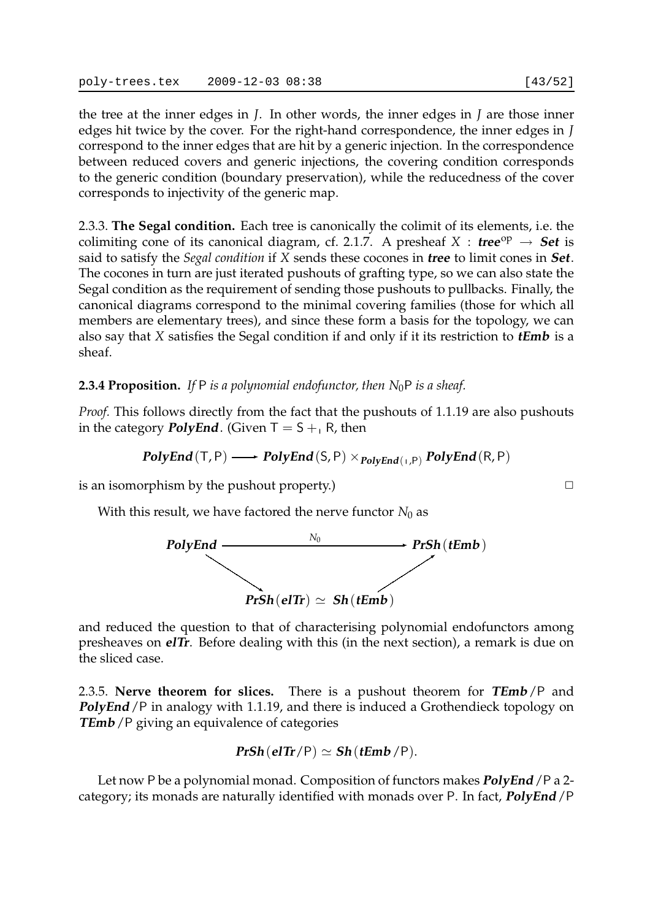the tree at the inner edges in *J*. In other words, the inner edges in *J* are those inner edges hit twice by the cover. For the right-hand correspondence, the inner edges in *J* correspond to the inner edges that are hit by a generic injection. In the correspondence between reduced covers and generic injections, the covering condition corresponds to the generic condition (boundary preservation), while the reducedness of the cover corresponds to injectivity of the generic map.

2.3.3. **The Segal condition.** Each tree is canonically the colimit of its elements, i.e. the colimiting cone of its canonical diagram, cf. 2.1.7. A presheaf  $X : \textbf{tree}^{\text{op}} \to \textbf{Set}$  is said to satisfy the *Segal condition* if *X* sends these cocones in **tree** to limit cones in **Set**. The cocones in turn are just iterated pushouts of grafting type, so we can also state the Segal condition as the requirement of sending those pushouts to pullbacks. Finally, the canonical diagrams correspond to the minimal covering families (those for which all members are elementary trees), and since these form a basis for the topology, we can also say that *X* satisfies the Segal condition if and only if it its restriction to **tEmb** is a sheaf.

### **2.3.4 Proposition.** If P is a polynomial endofunctor, then  $N_0P$  is a sheaf.

*Proof.* This follows directly from the fact that the pushouts of 1.1.19 are also pushouts in the category **PolyEnd**. (Given  $T = S + R$ , then

$$
\textit{PolyEnd}(\mathsf{T},\mathsf{P}) \longrightarrow \textit{PolyEnd}(\mathsf{S},\mathsf{P}) \times_{\textit{PolyEnd}(\mathsf{T},\mathsf{P})} \textit{PolyEnd}(\mathsf{R},\mathsf{P})
$$

is an isomorphism by the pushout property.)  $\Box$ 

With this result, we have factored the nerve functor  $N_0$  as



and reduced the question to that of characterising polynomial endofunctors among presheaves on **elTr**. Before dealing with this (in the next section), a remark is due on the sliced case.

2.3.5. **Nerve theorem for slices.** There is a pushout theorem for **TEmb**/P and **PolyEnd** /P in analogy with 1.1.19, and there is induced a Grothendieck topology on **TEmb** / P giving an equivalence of categories

$$
PrSh(elTr/P) \simeq Sh(tlEmb/P).
$$

Let now P be a polynomial monad. Composition of functors makes **PolyEnd**/P a 2 category; its monads are naturally identified with monads over P. In fact, **PolyEnd**/P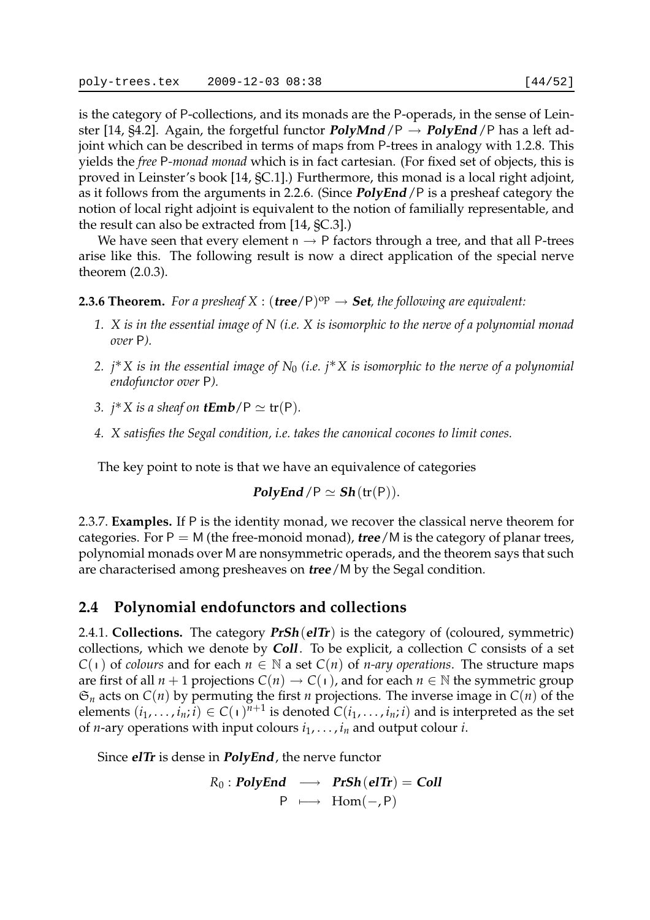is the category of P-collections, and its monads are the P-operads, in the sense of Leinster [14, §4.2]. Again, the forgetful functor **PolyMnd**  $/P \rightarrow$  **PolyEnd**  $/P$  has a left adjoint which can be described in terms of maps from P-trees in analogy with 1.2.8. This yields the *free* P*-monad monad* which is in fact cartesian. (For fixed set of objects, this is proved in Leinster's book [14, §C.1].) Furthermore, this monad is a local right adjoint, as it follows from the arguments in 2.2.6. (Since **PolyEnd**/P is a presheaf category the

notion of local right adjoint is equivalent to the notion of familially representable, and the result can also be extracted from [14, §C.3].) We have seen that every element  $n \rightarrow P$  factors through a tree, and that all P-trees arise like this. The following result is now a direct application of the special nerve

**2.3.6 Theorem.** For a presheaf  $X : (tree/P)^{op} \rightarrow Set$ , the following are equivalent:

- *1. X is in the essential image of N (i.e. X is isomorphic to the nerve of a polynomial monad over* P*).*
- *2. j*∗*X is in the essential image of N*<sup>0</sup> *(i.e. j*∗*X is isomorphic to the nerve of a polynomial endofunctor over* P*).*
- *3.*  $j^*X$  *is a sheaf on tEmb*/ $P \simeq$  **tr** $(P)$ *.*

theorem (2.0.3).

*4. X satisfies the Segal condition, i.e. takes the canonical cocones to limit cones.*

The key point to note is that we have an equivalence of categories

$$
PolyEnd / P \simeq Sh(tr(P)).
$$

2.3.7. **Examples.** If P is the identity monad, we recover the classical nerve theorem for categories. For  $P = M$  (the free-monoid monad), **tree**/M is the category of planar trees, polynomial monads over M are nonsymmetric operads, and the theorem says that such are characterised among presheaves on **tree**/M by the Segal condition.

### **2.4 Polynomial endofunctors and collections**

2.4.1. **Collections.** The category **PrSh**(**elTr**) is the category of (coloured, symmetric) collections, which we denote by **Coll**. To be explicit, a collection *C* consists of a set *C*( $\iota$ ) of *colours* and for each  $n \in \mathbb{N}$  a set *C*(*n*) of *n-ary operations*. The structure maps are first of all  $n + 1$  projections  $C(n) \to C(1)$ , and for each  $n \in \mathbb{N}$  the symmetric group  $\mathfrak{S}_n$  acts on  $C(n)$  by permuting the first *n* projections. The inverse image in  $C(n)$  of the elements  $(i_1, \ldots, i_n; i) \in C(\bot)^{n+1}$  is denoted  $C(i_1, \ldots, i_n; i)$  and is interpreted as the set of *n*-ary operations with input colours  $i_1, \ldots, i_n$  and output colour *i*.

Since **elTr** is dense in **PolyEnd**, the nerve functor

$$
R_0: \text{PolyEnd} \longrightarrow \text{PrSh}(\text{elTr}) = \text{Coll}
$$
  

$$
P \longmapsto \text{Hom}(-, P)
$$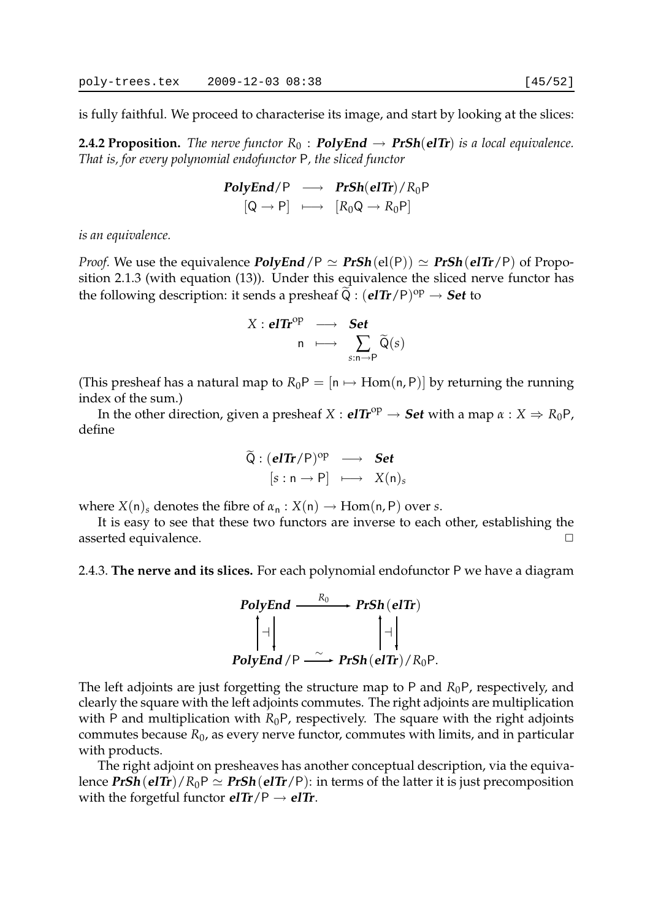is fully faithful. We proceed to characterise its image, and start by looking at the slices:

**2.4.2 Proposition.** *The nerve functor*  $R_0$  : **PolyEnd**  $\rightarrow$  **PrSh(eITr)** *is a local equivalence. That is, for every polynomial endofunctor* P*, the sliced functor*

$$
\begin{array}{ccc}\n\text{PolyEnd}/\mathsf{P} & \longrightarrow & \text{PrSh}(\text{elTr})/R_0\mathsf{P} \\
\left[\mathsf{Q} \rightarrow \mathsf{P}\right] & \longmapsto & \left[R_0\mathsf{Q} \rightarrow R_0\mathsf{P}\right]\n\end{array}
$$

*is an equivalence.*

*Proof.* We use the equivalence *PolyEnd*/P  $\simeq$  *PrSh*(el(P))  $\simeq$  *PrSh***(elTr**/P) of Proposition 2.1.3 (with equation (13)). Under this equivalence the sliced nerve functor has the following description: it sends a presheaf  $\widetilde{Q}$  :  $(\textbf{elTr}/P)^{\text{op}} \to \textbf{Set}$  to

$$
X: \mathbf{elTr}^{\mathrm{op}} \longrightarrow \mathbf{Set} \\ n \longmapsto \sum_{s: n \to P} \widetilde{Q}(s)
$$

(This presheaf has a natural map to  $R_0P = [n \mapsto Hom(n, P)]$  by returning the running index of the sum.)

In the other direction, given a presheaf  $X : \mathbf{elTr}^{\mathrm{op}} \to \mathbf{Set}$  with a map  $\alpha : X \Rightarrow R_0 \mathsf{P}$ , define

$$
\widetilde{Q}: (\mathbf{elTr}/P)^{op} \longrightarrow \mathbf{Set} \n[s:n \rightarrow P] \longmapsto X(n)_s
$$

where  $X(n)_s$  denotes the fibre of  $\alpha_n : X(n) \to \text{Hom}(n, P)$  over *s*.

It is easy to see that these two functors are inverse to each other, establishing the asserted equivalence.

2.4.3. **The nerve and its slices.** For each polynomial endofunctor P we have a diagram



The left adjoints are just forgetting the structure map to P and  $R_0P$ , respectively, and clearly the square with the left adjoints commutes. The right adjoints are multiplication with P and multiplication with  $R_0P$ , respectively. The square with the right adjoints commutes because  $R_0$ , as every nerve functor, commutes with limits, and in particular with products.

The right adjoint on presheaves has another conceptual description, via the equivalence  $PrSh$ ( $eITr$ )/ $R_0P \simeq PrSh$ ( $eITr/P$ ): in terms of the latter it is just precomposition with the forgetful functor  $elTr/P \rightarrow elTr$ .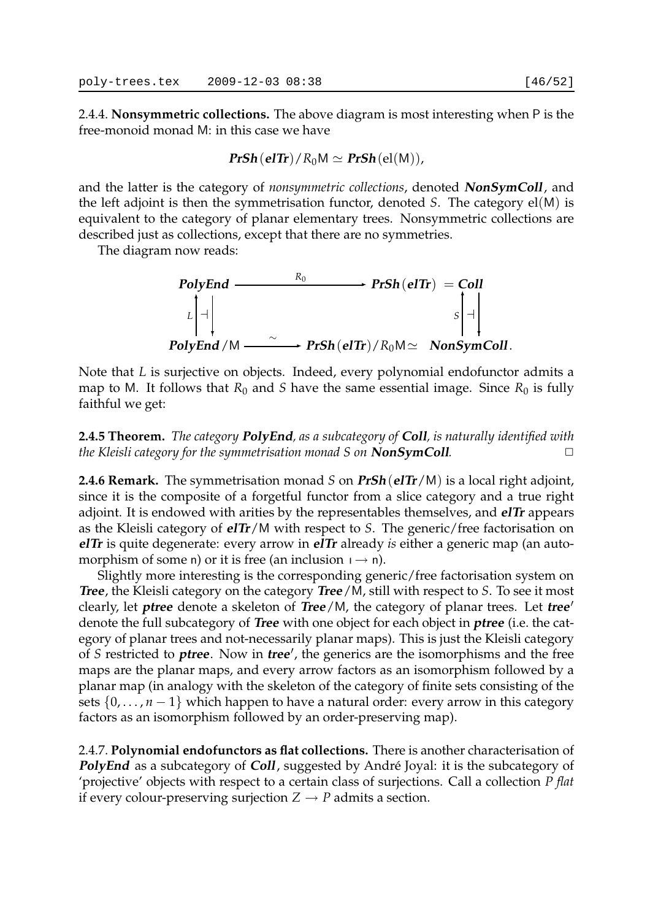2.4.4. **Nonsymmetric collections.** The above diagram is most interesting when P is the free-monoid monad M: in this case we have

$$
\text{PrSh}(\text{elTr})/R_0M \simeq \text{PrSh}(\text{el}(M)),
$$

and the latter is the category of *nonsymmetric collections*, denoted **NonSymColl**, and the left adjoint is then the symmetrisation functor, denoted *S*. The category el(M) is equivalent to the category of planar elementary trees. Nonsymmetric collections are described just as collections, except that there are no symmetries.

The diagram now reads:



Note that *L* is surjective on objects. Indeed, every polynomial endofunctor admits a map to M. It follows that  $R_0$  and *S* have the same essential image. Since  $R_0$  is fully faithful we get:

**2.4.5 Theorem.** *The category* **PolyEnd***, as a subcategory of* **Coll***, is naturally identified with the Kleisli category for the symmetrisation monad S on* **NonSymColl***.* 

**2.4.6 Remark.** The symmetrisation monad *S* on **PrSh**(**elTr**/M) is a local right adjoint, since it is the composite of a forgetful functor from a slice category and a true right adjoint. It is endowed with arities by the representables themselves, and **elTr** appears as the Kleisli category of **elTr**/M with respect to *S*. The generic/free factorisation on **elTr** is quite degenerate: every arrow in **elTr** already *is* either a generic map (an automorphism of some n) or it is free (an inclusion  $p \rightarrow n$ ).

Slightly more interesting is the corresponding generic/free factorisation system on **Tree**, the Kleisli category on the category **Tree**/M, still with respect to *S*. To see it most clearly, let **ptree** denote a skeleton of **Tree**/M, the category of planar trees. Let **tree** ′ denote the full subcategory of **Tree** with one object for each object in **ptree** (i.e. the category of planar trees and not-necessarily planar maps). This is just the Kleisli category of *S* restricted to **ptree**. Now in **tree** ′ , the generics are the isomorphisms and the free maps are the planar maps, and every arrow factors as an isomorphism followed by a planar map (in analogy with the skeleton of the category of finite sets consisting of the sets  $\{0, \ldots, n-1\}$  which happen to have a natural order: every arrow in this category factors as an isomorphism followed by an order-preserving map).

2.4.7. **Polynomial endofunctors as flat collections.** There is another characterisation of **PolyEnd** as a subcategory of **Coll**, suggested by André Joyal: it is the subcategory of 'projective' objects with respect to a certain class of surjections. Call a collection *P flat* if every colour-preserving surjection  $Z \rightarrow P$  admits a section.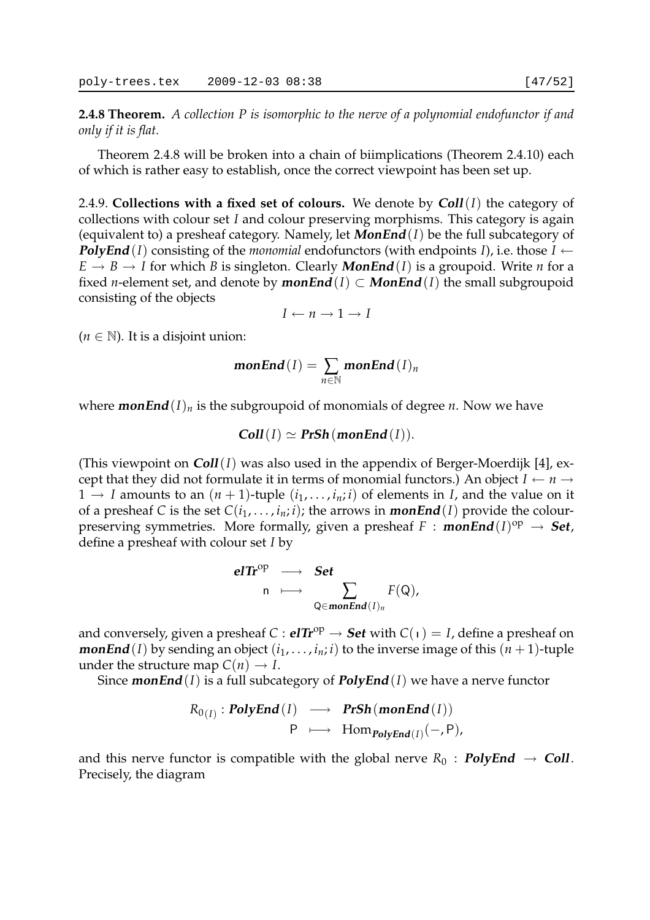**2.4.8 Theorem.** *A collection P is isomorphic to the nerve of a polynomial endofunctor if and only if it is flat.*

Theorem 2.4.8 will be broken into a chain of biimplications (Theorem 2.4.10) each of which is rather easy to establish, once the correct viewpoint has been set up.

2.4.9. **Collections with a fixed set of colours.** We denote by **Coll**(*I*) the category of collections with colour set *I* and colour preserving morphisms. This category is again (equivalent to) a presheaf category. Namely, let **MonEnd**(*I*) be the full subcategory of **PolyEnd**(*I*) consisting of the *monomial* endofunctors (with endpoints *I*), i.e. those *I* ←  $E \rightarrow B \rightarrow I$  for which *B* is singleton. Clearly **MonEnd**(*I*) is a groupoid. Write *n* for a fixed *n*-element set, and denote by **monEnd**(*I*)  $\subset$  **MonEnd**(*I*) the small subgroupoid consisting of the objects

 $I \leftarrow n \rightarrow 1 \rightarrow I$ 

 $(n \in \mathbb{N})$ . It is a disjoint union:

$$
monEnd(I)=\sum_{n\in\mathbb{N}} monEnd(I)_n
$$

where **monEnd** $(I)_n$  is the subgroupoid of monomials of degree *n*. Now we have

$$
Coll(I) \simeq PrSh(monEnd(I)).
$$

(This viewpoint on **Coll**(*I*) was also used in the appendix of Berger-Moerdijk [4], except that they did not formulate it in terms of monomial functors.) An object  $I \leftarrow n \rightarrow$  $1 \rightarrow I$  amounts to an  $(n + 1)$ -tuple  $(i_1, \ldots, i_n; i)$  of elements in *I*, and the value on it of a presheaf *C* is the set  $C(i_1, \ldots, i_n; i)$ ; the arrows in **monEnd**(*I*) provide the colourpreserving symmetries. More formally, given a presheaf  $F : monEnd(I)^{op} \rightarrow Set$ , define a presheaf with colour set *I* by

$$
\begin{array}{cccc}\n\mathbf{elTr}^{\mathrm{op}} & \longrightarrow & \mathbf{Set} \\
n & \longmapsto & \sum_{\mathbf{Q} \in \mathbf{monEnd}(I)_n} F(\mathbf{Q}),\n\end{array}
$$

and conversely, given a presheaf  $C : \mathbf{e} \mathbf{I} \mathbf{I} \mathbf{r}^{\mathrm{op}} \to \mathbf{Set}$  with  $C(1) = I$ , define a presheaf on **monEnd**(*I*) by sending an object  $(i_1, \ldots, i_n; i)$  to the inverse image of this  $(n + 1)$ -tuple under the structure map  $C(n) \rightarrow I$ .

Since **monEnd**(*I*) is a full subcategory of **PolyEnd**(*I*) we have a nerve functor

$$
R_{0(I)}: \text{PolyEnd}(I) \longrightarrow \text{PrSh}(\text{monEnd}(I))
$$
  
 
$$
P \longmapsto \text{Hom}_{\text{PolyEnd}(I)}(-, P),
$$

and this nerve functor is compatible with the global nerve  $R_0$  : **PolyEnd**  $\rightarrow$  **Coll**. Precisely, the diagram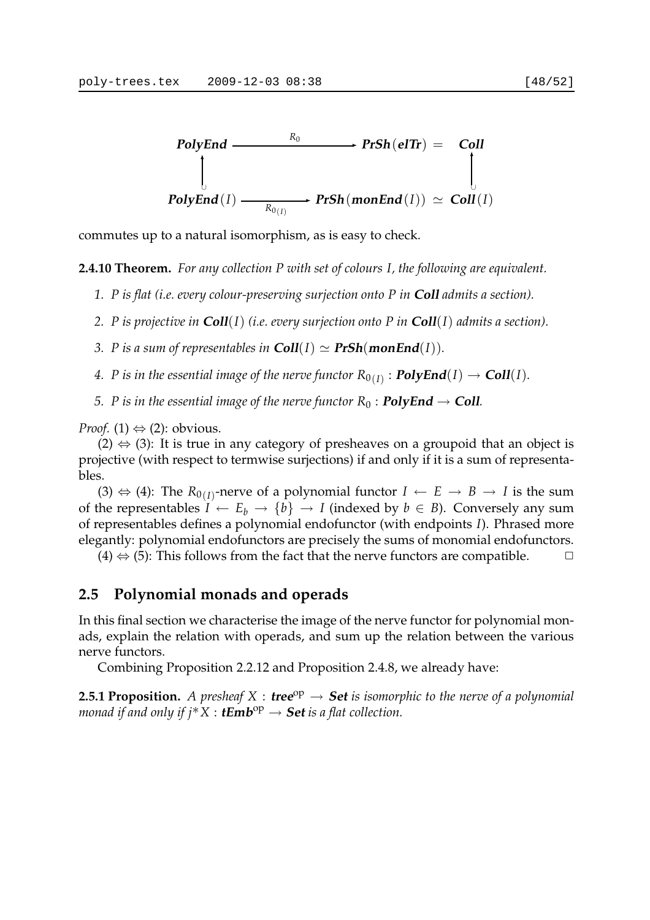

commutes up to a natural isomorphism, as is easy to check.

**2.4.10 Theorem.** *For any collection P with set of colours I, the following are equivalent.*

- *1. P is flat (i.e. every colour-preserving surjection onto P in* **Coll** *admits a section).*
- *2. P is projective in* **Coll**(*I*) *(i.e. every surjection onto P in* **Coll**(*I*) *admits a section).*
- *3. P is a sum of representables in*  $\text{Coll}(I) \simeq \text{PrSh}(\text{monEnd}(I)).$
- 4. P is in the essential image of the nerve functor  $R_{0(I)}: \mathbf{PolyEnd}(I) \to \mathbf{Coll}(I).$
- *5. P* is in the essential image of the nerve functor  $R_0$  : **PolyEnd**  $\rightarrow$  **Coll***.*

*Proof.* (1)  $\Leftrightarrow$  (2): obvious.

 $(2) \Leftrightarrow (3)$ : It is true in any category of presheaves on a groupoid that an object is projective (with respect to termwise surjections) if and only if it is a sum of representables.

(3)  $\Leftrightarrow$  (4): The  $R_{0(I)}$ -nerve of a polynomial functor *I* ← *E* → *B* → *I* is the sum of the representables  $I \leftarrow E_b \rightarrow \{b\} \rightarrow I$  (indexed by  $b \in B$ ). Conversely any sum of representables defines a polynomial endofunctor (with endpoints *I*). Phrased more elegantly: polynomial endofunctors are precisely the sums of monomial endofunctors.

(4)  $\Leftrightarrow$  (5): This follows from the fact that the nerve functors are compatible.  $\Box$ 

## **2.5 Polynomial monads and operads**

In this final section we characterise the image of the nerve functor for polynomial monads, explain the relation with operads, and sum up the relation between the various nerve functors.

Combining Proposition 2.2.12 and Proposition 2.4.8, we already have:

**2.5.1 Proposition.** A presheaf  $X$  : **tree**<sup>op</sup>  $\rightarrow$  **Set** is isomorphic to the nerve of a polynomial *monad if and only if j\**  $X : \mathbf{tEmb}^\mathrm{op} \to \mathbf{Set}$  *is a flat collection.*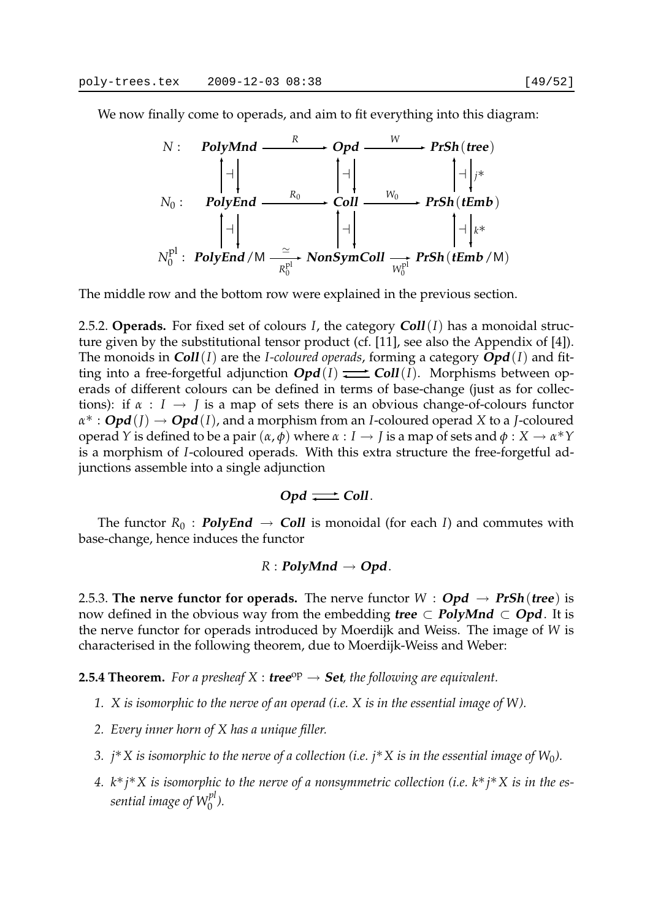We now finally come to operads, and aim to fit everything into this diagram:



The middle row and the bottom row were explained in the previous section.

2.5.2. **Operads.** For fixed set of colours *I*, the category **Coll**(*I*) has a monoidal structure given by the substitutional tensor product (cf. [11], see also the Appendix of [4]). The monoids in **Coll**(*I*) are the *I-coloured operads*, forming a category **Opd**(*I*) and fitting into a free-forgetful adjunction  $Opd(I) \rightleftarrows Coll(I)$ . Morphisms between operads of different colours can be defined in terms of base-change (just as for collections): if  $\alpha : I \rightarrow J$  is a map of sets there is an obvious change-of-colours functor *α*∗ : **Opd**(*J*) → **Opd**(*I*), and a morphism from an *I*-coloured operad *X* to a *J*-coloured operad *Y* is defined to be a pair (*α*, *φ*) where *α* : *I* → *J* is a map of sets and *φ* : *X* → *α*∗*Y* is a morphism of *I*-coloured operads. With this extra structure the free-forgetful adjunctions assemble into a single adjunction

$$
Opd \rightleftarrows Coll.
$$

The functor  $R_0$ : **PolyEnd**  $\rightarrow$  **Coll** is monoidal (for each *I*) and commutes with base-change, hence induces the functor

#### $R$  : **PolyMnd**  $\rightarrow$  **Opd**.

2.5.3. **The nerve functor for operads.** The nerve functor  $W : \textbf{Opd} \rightarrow \textbf{PrSh}(\textbf{tree})$  is now defined in the obvious way from the embedding **tree**  $\subset$  **PolyMnd**  $\subset$  **Opd**. It is the nerve functor for operads introduced by Moerdijk and Weiss. The image of *W* is characterised in the following theorem, due to Moerdijk-Weiss and Weber:

**2.5.4 Theorem.** For a presheaf  $X$  : **tree**<sup>op</sup>  $\rightarrow$  **Set**, the following are equivalent.

- *1. X is isomorphic to the nerve of an operad (i.e. X is in the essential image of W).*
- *2. Every inner horn of X has a unique filler.*
- *3. j*∗*X is isomorphic to the nerve of a collection (i.e. j*∗*X is in the essential image of W*0*).*
- *4. k*∗*j*∗*X is isomorphic to the nerve of a nonsymmetric collection (i.e. k*∗*j*∗*X is in the essential image of Wpl* 0 *).*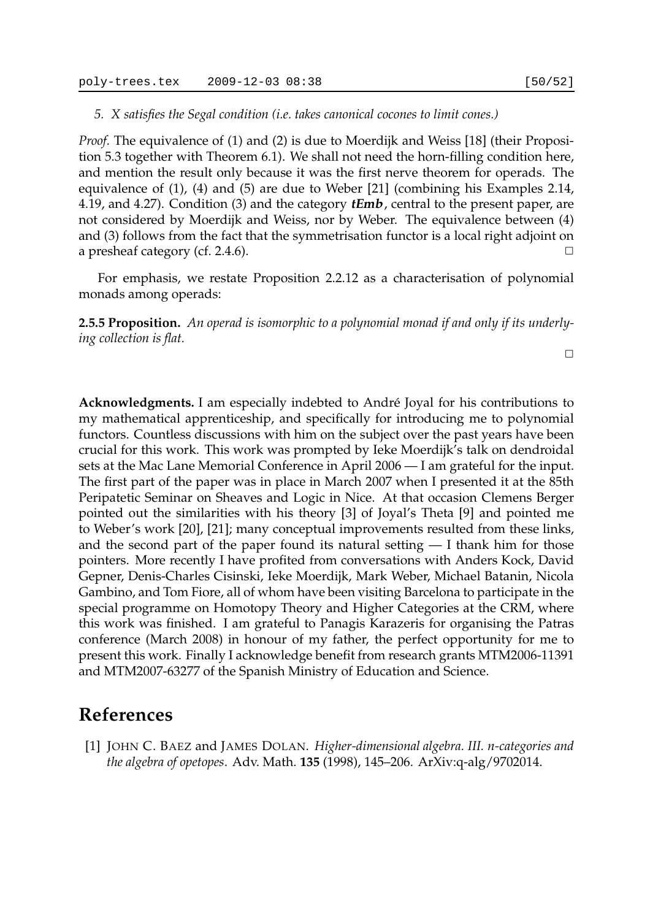#### *5. X satisfies the Segal condition (i.e. takes canonical cocones to limit cones.)*

*Proof.* The equivalence of (1) and (2) is due to Moerdijk and Weiss [18] (their Proposition 5.3 together with Theorem 6.1). We shall not need the horn-filling condition here, and mention the result only because it was the first nerve theorem for operads. The equivalence of (1), (4) and (5) are due to Weber [21] (combining his Examples 2.14, 4.19, and 4.27). Condition (3) and the category **tEmb**, central to the present paper, are not considered by Moerdijk and Weiss, nor by Weber. The equivalence between (4) and (3) follows from the fact that the symmetrisation functor is a local right adjoint on a presheaf category (cf. 2.4.6).  $\Box$ 

For emphasis, we restate Proposition 2.2.12 as a characterisation of polynomial monads among operads:

**2.5.5 Proposition.** *An operad is isomorphic to a polynomial monad if and only if its underlying collection is flat.*

 $\Box$ 

**Acknowledgments.** I am especially indebted to André Joyal for his contributions to my mathematical apprenticeship, and specifically for introducing me to polynomial functors. Countless discussions with him on the subject over the past years have been crucial for this work. This work was prompted by Ieke Moerdijk's talk on dendroidal sets at the Mac Lane Memorial Conference in April 2006 — I am grateful for the input. The first part of the paper was in place in March 2007 when I presented it at the 85th Peripatetic Seminar on Sheaves and Logic in Nice. At that occasion Clemens Berger pointed out the similarities with his theory [3] of Joyal's Theta [9] and pointed me to Weber's work [20], [21]; many conceptual improvements resulted from these links, and the second part of the paper found its natural setting — I thank him for those pointers. More recently I have profited from conversations with Anders Kock, David Gepner, Denis-Charles Cisinski, Ieke Moerdijk, Mark Weber, Michael Batanin, Nicola Gambino, and Tom Fiore, all of whom have been visiting Barcelona to participate in the special programme on Homotopy Theory and Higher Categories at the CRM, where this work was finished. I am grateful to Panagis Karazeris for organising the Patras conference (March 2008) in honour of my father, the perfect opportunity for me to present this work. Finally I acknowledge benefit from research grants MTM2006-11391 and MTM2007-63277 of the Spanish Ministry of Education and Science.

## **References**

[1] JOHN C. BAEZ and JAMES DOLAN. *Higher-dimensional algebra. III. n-categories and the algebra of opetopes*. Adv. Math. **135** (1998), 145–206. ArXiv:q-alg/9702014.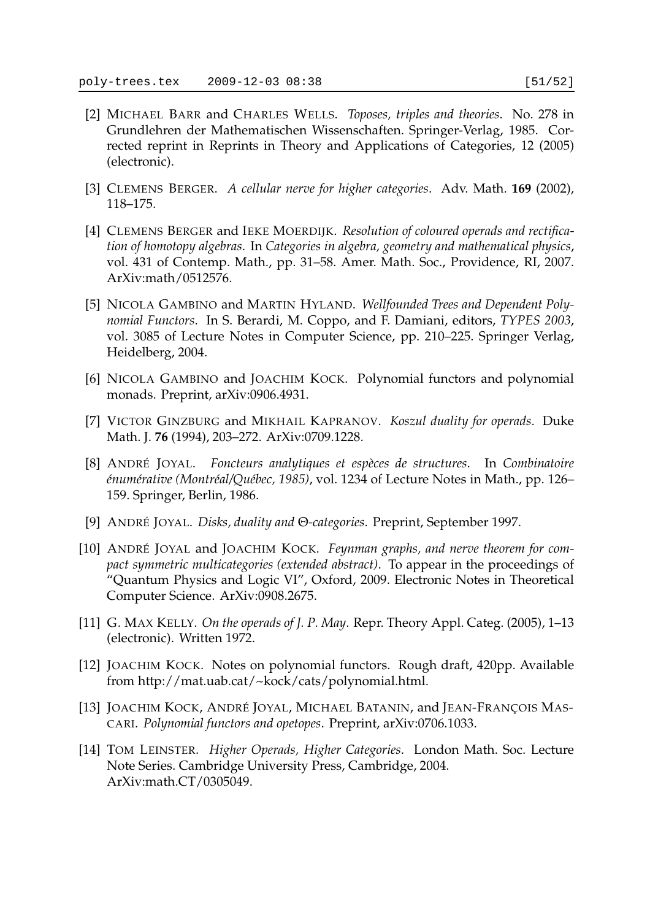- [2] MICHAEL BARR and CHARLES WELLS. *Toposes, triples and theories*. No. 278 in Grundlehren der Mathematischen Wissenschaften. Springer-Verlag, 1985. Corrected reprint in Reprints in Theory and Applications of Categories, 12 (2005) (electronic).
- [3] CLEMENS BERGER. *A cellular nerve for higher categories*. Adv. Math. **169** (2002), 118–175.
- [4] CLEMENS BERGER and IEKE MOERDIJK. *Resolution of coloured operads and rectification of homotopy algebras*. In *Categories in algebra, geometry and mathematical physics*, vol. 431 of Contemp. Math., pp. 31–58. Amer. Math. Soc., Providence, RI, 2007. ArXiv:math/0512576.
- [5] NICOLA GAMBINO and MARTIN HYLAND. *Wellfounded Trees and Dependent Polynomial Functors*. In S. Berardi, M. Coppo, and F. Damiani, editors, *TYPES 2003*, vol. 3085 of Lecture Notes in Computer Science, pp. 210–225. Springer Verlag, Heidelberg, 2004.
- [6] NICOLA GAMBINO and JOACHIM KOCK. Polynomial functors and polynomial monads. Preprint, arXiv:0906.4931.
- [7] VICTOR GINZBURG and MIKHAIL KAPRANOV. *Koszul duality for operads*. Duke Math. J. **76** (1994), 203–272. ArXiv:0709.1228.
- [8] ANDRÉ JOYAL. *Foncteurs analytiques et espèces de structures*. In *Combinatoire énumérative (Montréal/Québec, 1985)*, vol. 1234 of Lecture Notes in Math., pp. 126– 159. Springer, Berlin, 1986.
- [9] ANDRÉ JOYAL. *Disks, duality and* Θ*-categories*. Preprint, September 1997.
- [10] ANDRÉ JOYAL and JOACHIM KOCK. *Feynman graphs, and nerve theorem for compact symmetric multicategories (extended abstract)*. To appear in the proceedings of "Quantum Physics and Logic VI", Oxford, 2009. Electronic Notes in Theoretical Computer Science. ArXiv:0908.2675.
- [11] G. MAX KELLY. *On the operads of J. P. May*. Repr. Theory Appl. Categ. (2005), 1–13 (electronic). Written 1972.
- [12] JOACHIM KOCK. Notes on polynomial functors. Rough draft, 420pp. Available from http://mat.uab.cat/~kock/cats/polynomial.html.
- [13] JOACHIM KOCK, ANDRÉ JOYAL, MICHAEL BATANIN, and JEAN-FRANÇOIS MAS-CARI. *Polynomial functors and opetopes*. Preprint, arXiv:0706.1033.
- [14] TOM LEINSTER. *Higher Operads, Higher Categories*. London Math. Soc. Lecture Note Series. Cambridge University Press, Cambridge, 2004. ArXiv:math.CT/0305049.